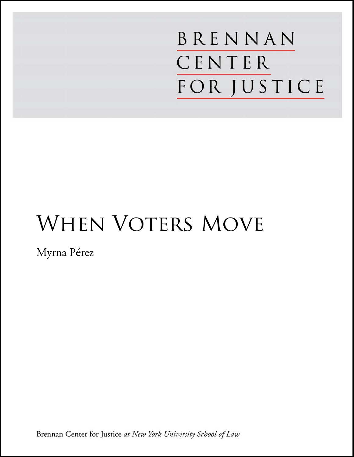BRENNAN CENTER **FOR JUSTICE** 

# WHEN VOTERS MOVE

Myrna Pérez

Brennan Center for Justice at New York University School of Law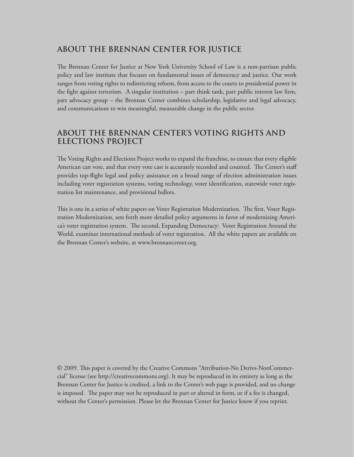## **ABOUT THE BRENNAN CENTER FOR JUSTICE**

The Brennan Center for Justice at New York University School of Law is a non-partisan public policy and law institute that focuses on fundamental issues of democracy and justice. Our work ranges from voting rights to redistricting reform, from access to the courts to presidential power in the fight against terrorism. A singular institution – part think tank, part public interest law firm, part advocacy group – the Brennan Center combines scholarship, legislative and legal advocacy, and communications to win meaningful, measurable change in the public sector.

## **ABOUT THE BRENNAN CENTER'S VOTING RIGHTS AND ELECTIONS PROJECT**

The Voting Rights and Elections Project works to expand the franchise, to ensure that every eligible American can vote, and that every vote cast is accurately recorded and counted. The Center's staff provides top-flight legal and policy assistance on a broad range of election administration issues including voter registration systems, voting technology, voter identification, statewide voter registration list maintenance, and provisional ballots.

This is one in a series of white papers on Voter Registration Modernization. The first, Voter Registration Modernization, sets forth more detailed policy arguments in favor of modernizing America's voter registration system. The second, Expanding Democracy: Voter Registration Around the World, examines international methods of voter registration. All the white papers are available on the Brennan Center's website, at www.brennancenter.org.

© 2009. This paper is covered by the Creative Commons "Attribution-No Derivs-NonCommercial" license (see http://creativecommons.org). It may be reproduced in its entirety as long as the Brennan Center for Justice is credited, a link to the Center's web page is provided, and no change is imposed. The paper may not be reproduced in part or altered in form, or if a fee is changed, without the Center's permission. Please let the Brennan Center for Justice know if you reprint.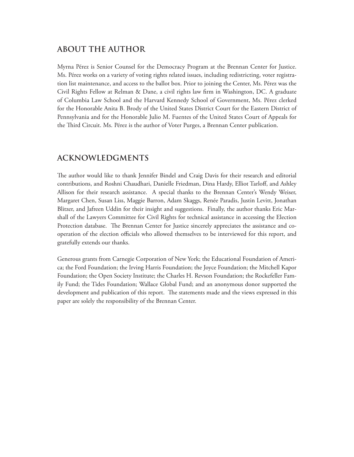## **ABOUT THE AUTHOR**

Myrna Pérez is Senior Counsel for the Democracy Program at the Brennan Center for Justice. Ms. Pérez works on a variety of voting rights related issues, including redistricting, voter registration list maintenance, and access to the ballot box. Prior to joining the Center, Ms. Pérez was the Civil Rights Fellow at Relman & Dane, a civil rights law firm in Washington, DC. A graduate of Columbia Law School and the Harvard Kennedy School of Government, Ms. Pérez clerked for the Honorable Anita B. Brody of the United States District Court for the Eastern District of Pennsylvania and for the Honorable Julio M. Fuentes of the United States Court of Appeals for the Third Circuit. Ms. Pérez is the author of Voter Purges, a Brennan Center publication.

## **ACKNOWLEDGMENTS**

The author would like to thank Jennifer Bindel and Craig Davis for their research and editorial contributions, and Roshni Chaudhari, Danielle Friedman, Dina Hardy, Elliot Tarloff, and Ashley Allison for their research assistance. A special thanks to the Brennan Center's Wendy Weiser, Margaret Chen, Susan Liss, Maggie Barron, Adam Skaggs, Renée Paradis, Justin Levitt, Jonathan Blitzer, and Jafreen Uddin for their insight and suggestions. Finally, the author thanks Eric Marshall of the Lawyers Committee for Civil Rights for technical assistance in accessing the Election Protection database. The Brennan Center for Justice sincerely appreciates the assistance and cooperation of the election officials who allowed themselves to be interviewed for this report, and gratefully extends our thanks.

Generous grants from Carnegie Corporation of New York; the Educational Foundation of America; the Ford Foundation; the Irving Harris Foundation; the Joyce Foundation; the Mitchell Kapor Foundation; the Open Society Institute; the Charles H. Revson Foundation; the Rockefeller Family Fund; the Tides Foundation; Wallace Global Fund; and an anonymous donor supported the development and publication of this report. The statements made and the views expressed in this paper are solely the responsibility of the Brennan Center.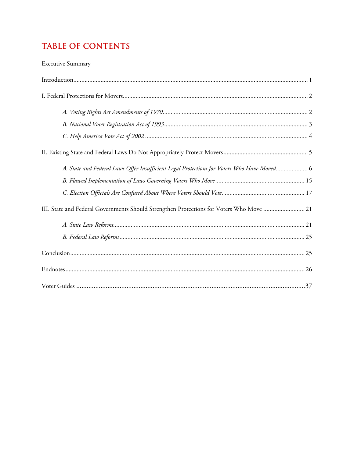## **TABLE OF CONTENTS**

#### **Executive Summary**

| A. State and Federal Laws Offer Insufficient Legal Protections for Voters Who Have Moved 6 |
|--------------------------------------------------------------------------------------------|
|                                                                                            |
|                                                                                            |
| III. State and Federal Governments Should Strengthen Protections for Voters Who Move  21   |
|                                                                                            |
|                                                                                            |
|                                                                                            |
|                                                                                            |
|                                                                                            |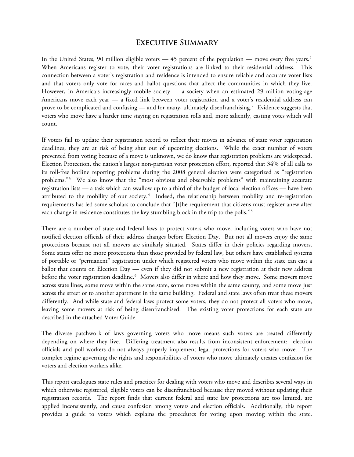#### **Executive Summary**

In the United States, 90 million eligible voters — 45 percent of the population — move every five years.<sup>[1](#page-30-0)</sup> When Americans register to vote, their voter registrations are linked to their residential address. This connection between a voter's registration and residence is intended to ensure reliable and accurate voter lists and that voters only vote for races and ballot questions that affect the communities in which they live. However, in America's increasingly mobile society — a society when an estimated 29 million voting-age Americans move each year — a fixed link between voter registration and a voter's residential address can prove to be complicated and confusing — and for many, ultimately disenfranchising.<sup>[2](#page-30-1)</sup> Evidence suggests that voters who move have a harder time staying on registration rolls and, more saliently, casting votes which will count.

If voters fail to update their registration record to reflect their moves in advance of state voter registration deadlines, they are at risk of being shut out of upcoming elections. While the exact number of voters prevented from voting because of a move is unknown, we do know that registration problems are widespread. Election Protection, the nation's largest non-partisan voter protection effort, reported that 34% of all calls to its toll-free hotline reporting problems during the 2008 general election were categorized as "registration problems."<sup>[3](#page-30-2)</sup> We also know that the "most obvious and observable problems" with maintaining accurate registration lists — a task which can swallow up to a third of the budget of local election offices — have been attributed to the mobility of our society.<sup>[4](#page-30-3)</sup> Indeed, the relationship between mobility and re-registration requirements has led some scholars to conclude that ''[t]he requirement that citizens must register anew after each change in residence constitutes the key stumbling block in the trip to the polls.''[5](#page-30-4)

There are a number of state and federal laws to protect voters who move, including voters who have not notified election officials of their address changes before Election Day. But not all movers enjoy the same protections because not all movers are similarly situated. States differ in their policies regarding movers. Some states offer no more protections than those provided by federal law, but others have established systems of portable or "permanent" registration under which registered voters who move within the state can cast a ballot that counts on Election Day — even if they did not submit a new registration at their new address before the voter registration deadline.<sup>[6](#page-30-5)</sup> Movers also differ in where and how they move. Some movers move across state lines, some move within the same state, some move within the same county, and some move just across the street or to another apartment in the same building. Federal and state laws often treat these movers differently. And while state and federal laws protect some voters, they do not protect all voters who move, leaving some movers at risk of being disenfranchised. The existing voter protections for each state are described in the attached Voter Guide.

The diverse patchwork of laws governing voters who move means such voters are treated differently depending on where they live. Differing treatment also results from inconsistent enforcement: election officials and poll workers do not always properly implement legal protections for voters who move. The complex regime governing the rights and responsibilities of voters who move ultimately creates confusion for voters and election workers alike.

This report catalogues state rules and practices for dealing with voters who move and describes several ways in which otherwise registered, eligible voters can be disenfranchised because they moved without updating their registration records. The report finds that current federal and state law protections are too limited, are applied inconsistently, and cause confusion among voters and election officials. Additionally, this report provides a guide to voters which explains the procedures for voting upon moving within the state.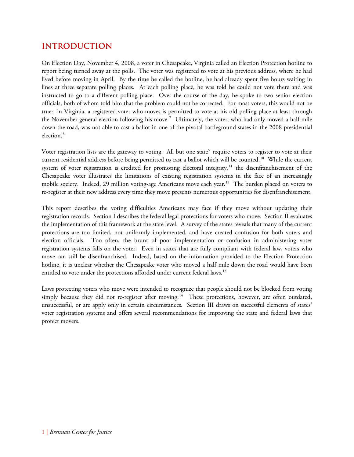## **INTRODUCTION**

On Election Day, November 4, 2008, a voter in Chesapeake, Virginia called an Election Protection hotline to report being turned away at the polls. The voter was registered to vote at his previous address, where he had lived before moving in April. By the time he called the hotline, he had already spent five hours waiting in lines at three separate polling places. At each polling place, he was told he could not vote there and was instructed to go to a different polling place. Over the course of the day, he spoke to two senior election officials, both of whom told him that the problem could not be corrected. For most voters, this would not be true: in Virginia, a registered voter who moves is permitted to vote at his old polling place at least through the November general election following his move.<sup>[7](#page-30-6)</sup> Ultimately, the voter, who had only moved a half mile down the road, was not able to cast a ballot in one of the pivotal battleground states in the 2008 presidential election.<sup>[8](#page-30-7)</sup>

Voter registration lists are the gateway to voting. All but one state<sup>[9](#page-30-8)</sup> require voters to register to vote at their current residential address before being permitted to cast a ballot which will be counted.<sup>[10](#page-30-9)</sup> While the current system of voter registration is credited for promoting electoral integrity,<sup>[11](#page-30-10)</sup> the disenfranchisement of the Chesapeake voter illustrates the limitations of existing registration systems in the face of an increasingly mobile society. Indeed, 29 million voting-age Americans move each year.<sup>[12](#page-30-11)</sup> The burden placed on voters to re-register at their new address every time they move presents numerous opportunities for disenfranchisement.

This report describes the voting difficulties Americans may face if they move without updating their registration records. Section I describes the federal legal protections for voters who move. Section II evaluates the implementation of this framework at the state level. A survey of the states reveals that many of the current protections are too limited, not uniformly implemented, and have created confusion for both voters and election officials. Too often, the brunt of poor implementation or confusion in administering voter registration systems falls on the voter. Even in states that are fully compliant with federal law, voters who move can still be disenfranchised. Indeed, based on the information provided to the Election Protection hotline, it is unclear whether the Chesapeake voter who moved a half mile down the road would have been entitled to vote under the protections afforded under current federal laws.<sup>[13](#page-30-12)</sup>

Laws protecting voters who move were intended to recognize that people should not be blocked from voting simply because they did not re-register after moving.<sup>[14](#page-30-13)</sup> These protections, however, are often outdated, unsuccessful, or are apply only in certain circumstances. Section III draws on successful elements of states' voter registration systems and offers several recommendations for improving the state and federal laws that protect movers.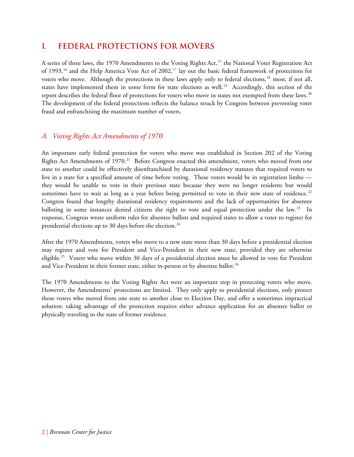## **I. FEDERAL PROTECTIONS FOR MOVERS**

A series of three laws, the 1970 Amendments to the Voting Rights Act,<sup>[15](#page-30-14)</sup> the National Voter Registration Act of 1993,<sup>[16](#page-30-15)</sup> and the Help America Vote Act of 2002,<sup>[17](#page-30-16)</sup> lay out the basic federal framework of protections for voters who move. Although the protections in these laws apply only to federal elections,<sup>[18](#page-30-17)</sup> most, if not all, states have implemented them in some form for state elections as well.<sup>[19](#page-31-0)</sup> Accordingly, this section of the report describes the federal floor of protections for voters who move in states not exempted from these laws.<sup>[20](#page-31-1)</sup> The development of the federal protections reflects the balance struck by Congress between preventing voter fraud and enfranchising the maximum number of voters.

#### *A. Voting Rights Act Amendments of 1970*

An important early federal protection for voters who move was established in Section 202 of the Voting Rights Act Amendments of 1970.<sup>[21](#page-31-2)</sup> Before Congress enacted this amendment, voters who moved from one state to another could be effectively disenfranchised by durational residency statutes that required voters to live in a state for a specified amount of time before voting. These voters would be in registration limbo they would be unable to vote in their previous state because they were no longer residents but would sometimes have to wait as long as a year before being permitted to vote in their new state of residence.<sup>[22](#page-31-3)</sup> Congress found that lengthy durational residency requirements and the lack of opportunities for absentee balloting in some instances denied citizens the right to vote and equal protection under the law.<sup>[23](#page-31-4)</sup> In response, Congress wrote uniform rules for absentee ballots and required states to allow a voter to register for presidential elections up to 30 days before the election.<sup>[24](#page-31-5)</sup>

After the 1970 Amendments, voters who move to a new state more than 30 days before a presidential election may register and vote for President and Vice-President in their new state, provided they are otherwise eligible.<sup>[25](#page-31-6)</sup> Voters who move within 30 days of a presidential election must be allowed to vote for President and Vice-President in their former state, either in-person or by absentee ballot.<sup>[26](#page-31-7)</sup>

The 1970 Amendments to the Voting Rights Act were an important step in protecting voters who move. However, the Amendments' protections are limited. They only apply to presidential elections, only protect those voters who moved from one state to another close to Election Day, and offer a sometimes impractical solution: taking advantage of the protection requires either advance application for an absentee ballot or physically traveling to the state of former residence.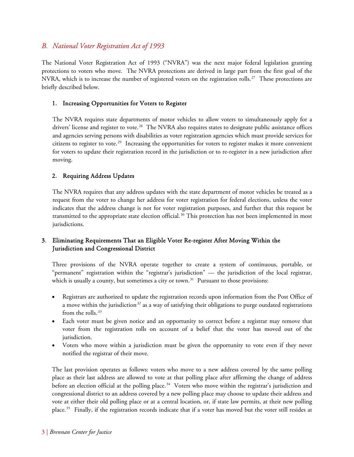#### *B. National Voter Registration Act of 1993*

The National Voter Registration Act of 1993 ("NVRA") was the next major federal legislation granting protections to voters who move. The NVRA protections are derived in large part from the first goal of the NVRA, which is to increase the number of registered voters on the registration rolls.<sup>[27](#page-31-8)</sup> These protections are briefly described below.

#### 1. Increasing Opportunities for Voters to Register

The NVRA requires state departments of motor vehicles to allow voters to simultaneously apply for a drivers' license and register to vote.<sup>[28](#page-31-9)</sup> The NVRA also requires states to designate public assistance offices and agencies serving persons with disabilities as voter registration agencies which must provide services for citizens to register to vote.[29](#page-31-10) Increasing the opportunities for voters to register makes it more convenient for voters to update their registration record in the jurisdiction or to re-register in a new jurisdiction after moving.

#### 2. Requiring Address Updates

The NVRA requires that any address updates with the state department of motor vehicles be treated as a request from the voter to change her address for voter registration for federal elections, unless the voter indicates that the address change is not for voter registration purposes, and further that this request be transmitted to the appropriate state election official.<sup>[30](#page-31-11)</sup> This protection has not been implemented in most jurisdictions.

#### 3. Eliminating Requirements That an Eligible Voter Re-register After Moving Within the Jurisdiction and Congressional District

Three provisions of the NVRA operate together to create a system of continuous, portable, or "permanent" registration within the "registrar's jurisdiction" — the jurisdiction of the local registrar, which is usually a county, but sometimes a city or town.<sup>[31](#page-31-12)</sup> Pursuant to those provisions:

- Registrars are authorized to update the registration records upon information from the Post Office of a move within the jurisdiction*[32](#page-31-13)* as a way of satisfying their obligations to purge outdated registrations from the rolls.*[33](#page-31-14)*
- Each voter must be given notice and an opportunity to correct before a registrar may remove that voter from the registration rolls on account of a belief that the voter has moved out of the jurisdiction.
- Voters who move within a jurisdiction must be given the opportunity to vote even if they never notified the registrar of their move.

The last provision operates as follows: voters who move to a new address covered by the same polling place as their last address are allowed to vote at that polling place after affirming the change of address before an election official at the polling place.<sup>[34](#page-31-15)</sup> Voters who move within the registrar's jurisdiction and congressional district to an address covered by a new polling place may choose to update their address and vote at either their old polling place or at a central location, or, if state law permits, at their new polling place.<sup>[35](#page-31-16)</sup> Finally, if the registration records indicate that if a voter has moved but the voter still resides at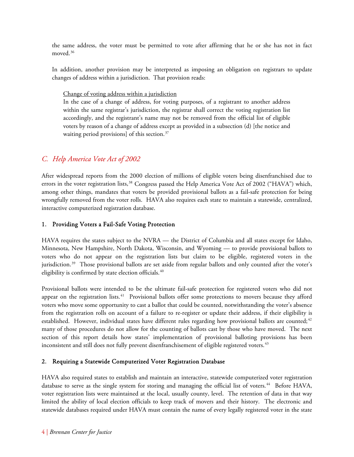the same address, the voter must be permitted to vote after affirming that he or she has not in fact moved.<sup>[36](#page-31-17)</sup>

In addition, another provision may be interpreted as imposing an obligation on registrars to update changes of address within a jurisdiction. That provision reads:

Change of voting address within a jurisdiction

In the case of a change of address, for voting purposes, of a registrant to another address within the same registrar's jurisdiction, the registrar shall correct the voting registration list accordingly, and the registrant's name may not be removed from the official list of eligible voters by reason of a change of address except as provided in a subsection (d) [the notice and waiting period provisions] of this section.<sup>[37](#page-31-18)</sup>

## *C. Help America Vote Act of 2002*

After widespread reports from the 2000 election of millions of eligible voters being disenfranchised due to errors in the voter registration lists,<sup>[38](#page-31-19)</sup> Congress passed the Help America Vote Act of 2002 ("HAVA") which, among other things, mandates that voters be provided provisional ballots as a fail-safe protection for being wrongfully removed from the voter rolls. HAVA also requires each state to maintain a statewide, centralized, interactive computerized registration database.

#### 1. Providing Voters a Fail-Safe Voting Protection

HAVA requires the states subject to the NVRA — the District of Columbia and all states except for Idaho, Minnesota, New Hampshire, North Dakota, Wisconsin, and Wyoming — to provide provisional ballots to voters who do not appear on the registration lists but claim to be eligible, registered voters in the jurisdiction.<sup>[39](#page-31-20)</sup> Those provisional ballots are set aside from regular ballots and only counted after the voter's eligibility is confirmed by state election officials.<sup>[40](#page-31-21)</sup>

Provisional ballots were intended to be the ultimate fail-safe protection for registered voters who did not appear on the registration lists.<sup>[41](#page-31-22)</sup> Provisional ballots offer some protections to movers because they afford voters who move some opportunity to cast a ballot that could be counted, notwithstanding the voter's absence from the registration rolls on account of a failure to re-register or update their address, if their eligibility is established. However, individual states have different rules regarding how provisional ballots are counted;<sup>[42](#page-31-23)</sup> many of those procedures do not allow for the counting of ballots cast by those who have moved. The next section of this report details how states' implementation of provisional balloting provisions has been inconsistent and still does not fully prevent disenfranchisement of eligible registered voters.<sup>[43](#page-32-0)</sup>

#### 2. Requiring a Statewide Computerized Voter Registration Database

HAVA also required states to establish and maintain an interactive, statewide computerized voter registration database to serve as the single system for storing and managing the official list of voters.<sup>[44](#page-32-1)</sup> Before HAVA, voter registration lists were maintained at the local, usually county, level. The retention of data in that way limited the ability of local election officials to keep track of movers and their history. The electronic and statewide databases required under HAVA must contain the name of every legally registered voter in the state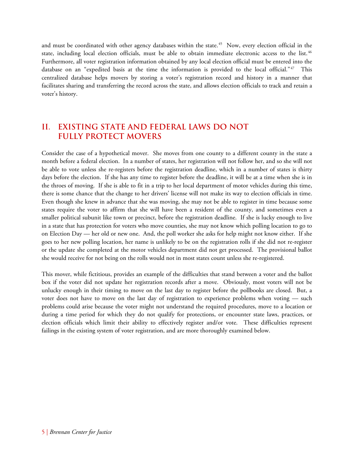and must be coordinated with other agency databases within the state.<sup>[45](#page-32-2)</sup> Now, every election official in the state, including local election officials, must be able to obtain immediate electronic access to the list.<sup>[46](#page-32-3)</sup> Furthermore, all voter registration information obtained by any local election official must be entered into the database on an "expedited basis at the time the information is provided to the local official."<sup>[47](#page-32-4)</sup> This centralized database helps movers by storing a voter's registration record and history in a manner that facilitates sharing and transferring the record across the state, and allows election officials to track and retain a voter's history.

## **II. EXISTING STATE AND FEDERAL LAWS DO NOT FULLY PROTECT MOVERS**

Consider the case of a hypothetical mover. She moves from one county to a different county in the state a month before a federal election. In a number of states, her registration will not follow her, and so she will not be able to vote unless she re-registers before the registration deadline, which in a number of states is thirty days before the election. If she has any time to register before the deadline, it will be at a time when she is in the throes of moving. If she is able to fit in a trip to her local department of motor vehicles during this time, there is some chance that the change to her drivers' license will not make its way to election officials in time. Even though she knew in advance that she was moving, she may not be able to register in time because some states require the voter to affirm that she will have been a resident of the county, and sometimes even a smaller political subunit like town or precinct, before the registration deadline. If she is lucky enough to live in a state that has protection for voters who move counties, she may not know which polling location to go to on Election Day — her old or new one. And, the poll worker she asks for help might not know either. If she goes to her new polling location, her name is unlikely to be on the registration rolls if she did not re-register or the update she completed at the motor vehicles department did not get processed. The provisional ballot she would receive for not being on the rolls would not in most states count unless she re-registered.

This mover, while fictitious, provides an example of the difficulties that stand between a voter and the ballot box if the voter did not update her registration records after a move. Obviously, most voters will not be unlucky enough in their timing to move on the last day to register before the pollbooks are closed. But, a voter does not have to move on the last day of registration to experience problems when voting — such problems could arise because the voter might not understand the required procedures, move to a location or during a time period for which they do not qualify for protections, or encounter state laws, practices, or election officials which limit their ability to effectively register and/or vote. These difficulties represent failings in the existing system of voter registration, and are more thoroughly examined below.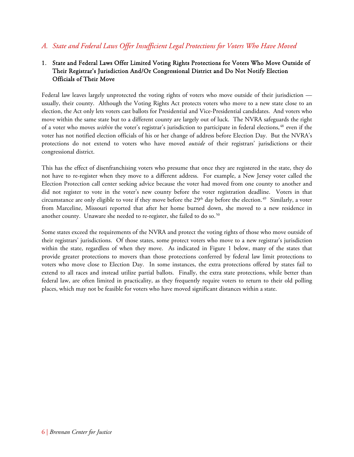#### *A. State and Federal Laws Offer Insufficient Legal Protections for Voters Who Have Moved*

#### 1. State and Federal Laws Offer Limited Voting Rights Protections for Voters Who Move Outside of Their Registrar's Jurisdiction And/Or Congressional District and Do Not Notify Election Officials of Their Move

Federal law leaves largely unprotected the voting rights of voters who move outside of their jurisdiction usually, their county. Although the Voting Rights Act protects voters who move to a new state close to an election, the Act only lets voters cast ballots for Presidential and Vice-Presidential candidates. And voters who move within the same state but to a different county are largely out of luck. The NVRA safeguards the right of a voter who moves *within* the voter's registrar's jurisdiction to participate in federal elections,<sup>[48](#page-32-5)</sup> even if the voter has not notified election officials of his or her change of address before Election Day. But the NVRA's protections do not extend to voters who have moved *outside* of their registrars' jurisdictions or their congressional district.

This has the effect of disenfranchising voters who presume that once they are registered in the state, they do not have to re-register when they move to a different address. For example, a New Jersey voter called the Election Protection call center seeking advice because the voter had moved from one county to another and did not register to vote in the voter's new county before the voter registration deadline. Voters in that circumstance are only eligible to vote if they move before the 29<sup>th</sup> day before the election.<sup>[49](#page-32-6)</sup> Similarly, a voter from Marceline, Missouri reported that after her home burned down, she moved to a new residence in another county. Unaware she needed to re-register, she failed to do so.<sup>[50](#page-32-7)</sup>

Some states exceed the requirements of the NVRA and protect the voting rights of those who move outside of their registrars' jurisdictions. Of those states, some protect voters who move to a new registrar's jurisdiction within the state, regardless of when they move. As indicated in Figure 1 below, many of the states that provide greater protections to movers than those protections conferred by federal law limit protections to voters who move close to Election Day. In some instances, the extra protections offered by states fail to extend to all races and instead utilize partial ballots. Finally, the extra state protections, while better than federal law, are often limited in practicality, as they frequently require voters to return to their old polling places, which may not be feasible for voters who have moved significant distances within a state.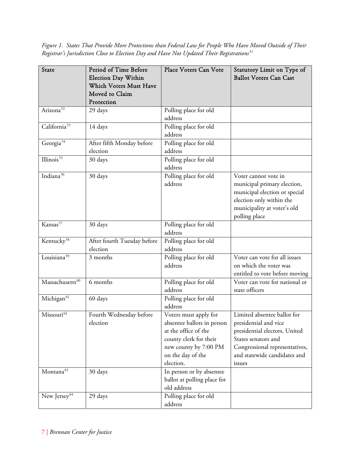*Figure 1. States That Provide More Protections than Federal Law for People Who Have Moved Outside of Their Registrar's Jurisdiction Close to Election Day and Have Not Updated Their Registrations[51](#page-32-8)*

| State                       | Period of Time Before<br><b>Election Day Within</b><br><b>Which Voters Must Have</b><br>Moved to Claim<br>Protection | Place Voters Can Vote                                                                                                                                            | Statutory Limit on Type of<br><b>Ballot Voters Can Cast</b>                                                                                                                              |
|-----------------------------|----------------------------------------------------------------------------------------------------------------------|------------------------------------------------------------------------------------------------------------------------------------------------------------------|------------------------------------------------------------------------------------------------------------------------------------------------------------------------------------------|
| Arizona <sup>52</sup>       | 29 days                                                                                                              | Polling place for old<br>address                                                                                                                                 |                                                                                                                                                                                          |
| California <sup>53</sup>    | 14 days                                                                                                              | Polling place for old<br>address                                                                                                                                 |                                                                                                                                                                                          |
| Georgia <sup>54</sup>       | After fifth Monday before<br>election                                                                                | Polling place for old<br>address                                                                                                                                 |                                                                                                                                                                                          |
| Illinois <sup>55</sup>      | 30 days                                                                                                              | Polling place for old<br>address                                                                                                                                 |                                                                                                                                                                                          |
| Indiana <sup>56</sup>       | 30 days                                                                                                              | Polling place for old<br>address                                                                                                                                 | Voter cannot vote in<br>municipal primary election,<br>municipal election or special<br>election only within the<br>municipality at voter's old<br>polling place                         |
| Kansas <sup>57</sup>        | 30 days                                                                                                              | Polling place for old<br>address                                                                                                                                 |                                                                                                                                                                                          |
| Kentucky <sup>58</sup>      | After fourth Tuesday before<br>election                                                                              | Polling place for old<br>address                                                                                                                                 |                                                                                                                                                                                          |
| Louisiana <sup>59</sup>     | 3 months                                                                                                             | Polling place for old<br>address                                                                                                                                 | Voter can vote for all issues<br>on which the voter was<br>entitled to vote before moving                                                                                                |
| Massachusetts <sup>60</sup> | 6 months                                                                                                             | Polling place for old<br>address                                                                                                                                 | Voter can vote for national or<br>state officers                                                                                                                                         |
| Michigan <sup>61</sup>      | 60 days                                                                                                              | Polling place for old<br>address                                                                                                                                 |                                                                                                                                                                                          |
| Missouri <sup>62</sup>      | Fourth Wednesday before<br>election                                                                                  | Voters must apply for<br>absentee ballots in person<br>at the office of the<br>county clerk for their<br>new county by 7:00 PM<br>on the day of the<br>election. | Limited absentee ballot for<br>presidential and vice<br>presidential electors, United<br>States senators and<br>Congressional representatives,<br>and statewide candidates and<br>issues |
| Montana <sup>63</sup>       | 30 days                                                                                                              | In person or by absentee<br>ballot at polling place for<br>old address                                                                                           |                                                                                                                                                                                          |
| New Jersey <sup>64</sup>    | 29 days                                                                                                              | Polling place for old<br>address                                                                                                                                 |                                                                                                                                                                                          |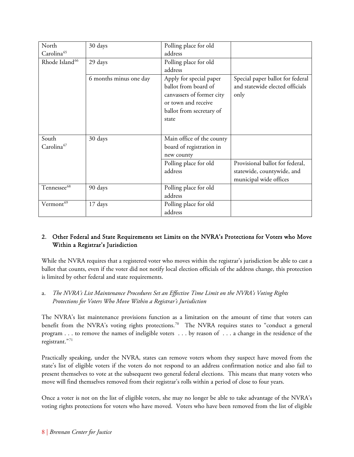| North                      | 30 days                | Polling place for old     |                                  |
|----------------------------|------------------------|---------------------------|----------------------------------|
| Carolina <sup>65</sup>     |                        | address                   |                                  |
| Rhode Island <sup>66</sup> | 29 days                | Polling place for old     |                                  |
|                            |                        | address                   |                                  |
|                            | 6 months minus one day | Apply for special paper   | Special paper ballot for federal |
|                            |                        | ballot from board of      | and statewide elected officials  |
|                            |                        | canvassers of former city | only                             |
|                            |                        | or town and receive       |                                  |
|                            |                        | ballot from secretary of  |                                  |
|                            |                        | state                     |                                  |
|                            |                        |                           |                                  |
| South                      | 30 days                | Main office of the county |                                  |
| Carolina <sup>67</sup>     |                        | board of registration in  |                                  |
|                            |                        | new county                |                                  |
|                            |                        | Polling place for old     | Provisional ballot for federal,  |
|                            |                        | address                   | statewide, countywide, and       |
|                            |                        |                           | municipal wide offices           |
| Tennessee <sup>68</sup>    | 90 days                | Polling place for old     |                                  |
|                            |                        | address                   |                                  |
| Vermont <sup>69</sup>      | 17 days                | Polling place for old     |                                  |
|                            |                        | address                   |                                  |

#### 2. Other Federal and State Requirements set Limits on the NVRA's Protections for Voters who Move Within a Registrar's Jurisdiction

While the NVRA requires that a registered voter who moves within the registrar's jurisdiction be able to cast a ballot that counts, even if the voter did not notify local election officials of the address change, this protection is limited by other federal and state requirements.

a. *The NVRA's List Maintenance Procedures Set an Effective Time Limit on the NVRA's Voting Rights Protections for Voters Who Move Within a Registrar's Jurisdiction* 

The NVRA's list maintenance provisions function as a limitation on the amount of time that voters can benefit from the NVRA's voting rights protections.<sup>[70](#page-32-27)</sup> The NVRA requires states to "conduct a general program . . . to remove the names of ineligible voters . . . by reason of . . . a change in the residence of the registrant."[71](#page-33-0)

Practically speaking, under the NVRA, states can remove voters whom they suspect have moved from the state's list of eligible voters if the voters do not respond to an address confirmation notice and also fail to present themselves to vote at the subsequent two general federal elections. This means that many voters who move will find themselves removed from their registrar's rolls within a period of close to four years.

Once a voter is not on the list of eligible voters, she may no longer be able to take advantage of the NVRA's voting rights protections for voters who have moved. Voters who have been removed from the list of eligible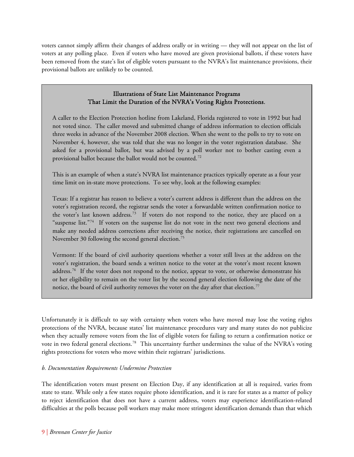voters cannot simply affirm their changes of address orally or in writing — they will not appear on the list of voters at any polling place. Even if voters who have moved are given provisional ballots, if these voters have been removed from the state's list of eligible voters pursuant to the NVRA's list maintenance provisions, their provisional ballots are unlikely to be counted.

#### Illustrations of State List Maintenance Programs That Limit the Duration of the NVRA's Voting Rights Protections.

A caller to the Election Protection hotline from Lakeland, Florida registered to vote in 1992 but had not voted since. The caller moved and submitted change of address information to election officials three weeks in advance of the November 2008 election. When she went to the polls to try to vote on November 4, however, she was told that she was no longer in the voter registration database. She asked for a provisional ballot, but was advised by a poll worker not to bother casting even a provisional ballot because the ballot would not be counted.[72](#page-33-1)

This is an example of when a state's NVRA list maintenance practices typically operate as a four year time limit on in-state move protections. To see why, look at the following examples:

Texas: If a registrar has reason to believe a voter's current address is different than the address on the voter's registration record, the registrar sends the voter a forwardable written confirmation notice to the voter's last known address.<sup>[73](#page-33-2)</sup> If voters do not respond to the notice, they are placed on a "suspense list."<sup>[74](#page-33-3)</sup> If voters on the suspense list do not vote in the next two general elections and make any needed address corrections after receiving the notice, their registrations are cancelled on November 30 following the second general election.<sup>[75](#page-33-4)</sup>

Vermont: If the board of civil authority questions whether a voter still lives at the address on the voter's registration, the board sends a written notice to the voter at the voter's most recent known address.<sup>[76](#page-33-5)</sup> If the voter does not respond to the notice, appear to vote, or otherwise demonstrate his or her eligibility to remain on the voter list by the second general election following the date of the notice, the board of civil authority removes the voter on the day after that election.<sup>[77](#page-33-6)</sup>

Unfortunately it is difficult to say with certainty when voters who have moved may lose the voting rights protections of the NVRA, because states' list maintenance procedures vary and many states do not publicize when they actually remove voters from the list of eligible voters for failing to return a confirmation notice or vote in two federal general elections.<sup>[78](#page-33-7)</sup> This uncertainty further undermines the value of the NVRA's voting rights protections for voters who move within their registrars' jurisdictions.

#### *b. Documentation Requirements Undermine Protection*

The identification voters must present on Election Day, if any identification at all is required, varies from state to state. While only a few states require photo identification, and it is rare for states as a matter of policy to reject identification that does not have a current address, voters may experience identification-related difficulties at the polls because poll workers may make more stringent identification demands than that which

İ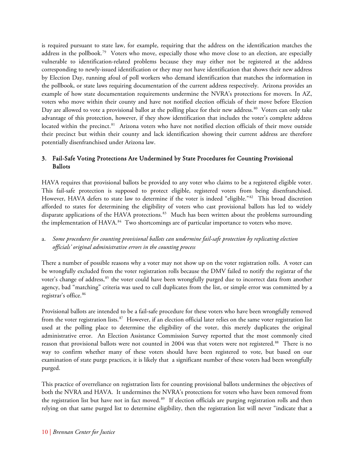is required pursuant to state law, for example, requiring that the address on the identification matches the address in the pollbook.<sup>[79](#page-33-8)</sup> Voters who move, especially those who move close to an election, are especially vulnerable to identification-related problems because they may either not be registered at the address corresponding to newly-issued identification or they may not have identification that shows their new address by Election Day, running afoul of poll workers who demand identification that matches the information in the pollbook, or state laws requiring documentation of the current address respectively. Arizona provides an example of how state documentation requirements undermine the NVRA's protections for movers. In AZ, voters who move within their county and have not notified election officials of their move before Election Day are allowed to vote a provisional ballot at the polling place for their new address.<sup>[80](#page-33-9)</sup> Voters can only take advantage of this protection, however, if they show identification that includes the voter's complete address located within the precinct.<sup>[81](#page-33-10)</sup> Arizona voters who have not notified election officials of their move outside their precinct but within their county and lack identification showing their current address are therefore potentially disenfranchised under Arizona law.

#### 3. Fail-Safe Voting Protections Are Undermined by State Procedures for Counting Provisional Ballots

HAVA requires that provisional ballots be provided to any voter who claims to be a registered eligible voter. This fail-safe protection is supposed to protect eligible, registered voters from being disenfranchised. However, HAVA defers to state law to determine if the voter is indeed "eligible."<sup>[82](#page-33-11)</sup> This broad discretion afforded to states for determining the eligibility of voters who cast provisional ballots has led to widely disparate applications of the HAVA protections.<sup>[83](#page-33-12)</sup> Much has been written about the problems surrounding the implementation of HAVA.<sup>[84](#page-33-13)</sup> Two shortcomings are of particular importance to voters who move.

#### a. *Some procedures for counting provisional ballots can undermine fail-safe protection by replicating election officials' original administrative errors in the counting process*

There a number of possible reasons why a voter may not show up on the voter registration rolls. A voter can be wrongfully excluded from the voter registration rolls because the DMV failed to notify the registrar of the voter's change of address,<sup>[85](#page-33-14)</sup> the voter could have been wrongfully purged due to incorrect data from another agency, bad "matching" criteria was used to cull duplicates from the list, or simple error was committed by a registrar's office. [86](#page-33-15)

Provisional ballots are intended to be a fail-safe procedure for these voters who have been wrongfully removed from the voter registration lists.<sup>[87](#page-33-16)</sup> However, if an election official later relies on the same voter registration list used at the polling place to determine the eligibility of the voter, this merely duplicates the original administrative error. An Election Assistance Commission Survey reported that the most commonly cited reason that provisional ballots were not counted in 2004 was that voters were not registered.<sup>[88](#page-34-0)</sup> There is no way to confirm whether many of these voters should have been registered to vote, but based on our examination of state purge practices, it is likely that a significant number of these voters had been wrongfully purged.

This practice of overreliance on registration lists for counting provisional ballots undermines the objectives of both the NVRA and HAVA. It undermines the NVRA's protections for voters who have been removed from the registration list but have not in fact moved.<sup>[89](#page-34-1)</sup> If election officials are purging registration rolls and then relying on that same purged list to determine eligibility, then the registration list will never "indicate that a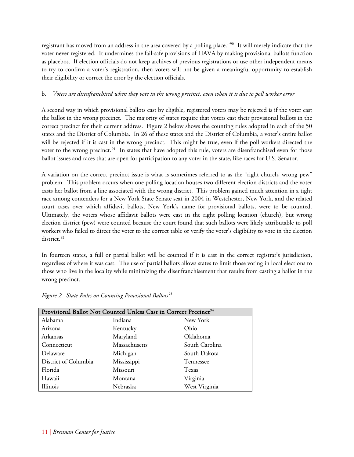registrant has moved from an address in the area covered by a polling place."<sup>[90](#page-34-2)</sup> It will merely indicate that the voter never registered. It undermines the fail-safe provisions of HAVA by making provisional ballots function as placebos. If election officials do not keep archives of previous registrations or use other independent means to try to confirm a voter's registration, then voters will not be given a meaningful opportunity to establish their eligibility or correct the error by the election officials.

#### b. *Voters are disenfranchised when they vote in the wrong precinct, even when it is due to poll worker error*

A second way in which provisional ballots cast by eligible, registered voters may be rejected is if the voter cast the ballot in the wrong precinct. The majority of states require that voters cast their provisional ballots in the correct precinct for their current address. Figure 2 below shows the counting rules adopted in each of the 50 states and the District of Columbia. In 26 of these states and the District of Columbia, a voter's entire ballot will be rejected if it is cast in the wrong precinct. This might be true, even if the poll workers directed the voter to the wrong precinct.<sup>[91](#page-34-3)</sup> In states that have adopted this rule, voters are disenfranchised even for those ballot issues and races that are open for participation to any voter in the state, like races for U.S. Senator.

A variation on the correct precinct issue is what is sometimes referred to as the "right church, wrong pew" problem. This problem occurs when one polling location houses two different election districts and the voter casts her ballot from a line associated with the wrong district. This problem gained much attention in a tight race among contenders for a New York State Senate seat in 2004 in Westchester, New York, and the related court cases over which affidavit ballots, New York's name for provisional ballots, were to be counted. Ultimately, the voters whose affidavit ballots were cast in the right polling location (church), but wrong election district (pew) were counted because the court found that such ballots were likely attributable to poll workers who failed to direct the voter to the correct table or verify the voter's eligibility to vote in the election district.<sup>[92](#page-34-4)</sup>

In fourteen states, a full or partial ballot will be counted if it is cast in the correct registrar's jurisdiction, regardless of where it was cast. The use of partial ballots allows states to limit those voting in local elections to those who live in the locality while minimizing the disenfranchisement that results from casting a ballot in the wrong precinct.

| Provisional Ballot Not Counted Unless Cast in Correct Precinct <sup>94</sup> |               |                |  |
|------------------------------------------------------------------------------|---------------|----------------|--|
| Alabama                                                                      | Indiana       | New York       |  |
| Arizona                                                                      | Kentucky      | Ohio           |  |
| Arkansas                                                                     | Maryland      | Oklahoma       |  |
| Connecticut                                                                  | Massachusetts | South Carolina |  |
| Delaware                                                                     | Michigan      | South Dakota   |  |
| District of Columbia                                                         | Mississippi   | Tennessee      |  |
| Florida                                                                      | Missouri      | Texas          |  |
| Hawaii                                                                       | Montana       | Virginia       |  |
| Illinois                                                                     | Nebraska      | West Virginia  |  |

*Figure 2. State Rules on Counting Provisional Ballots[93](#page-34-5)*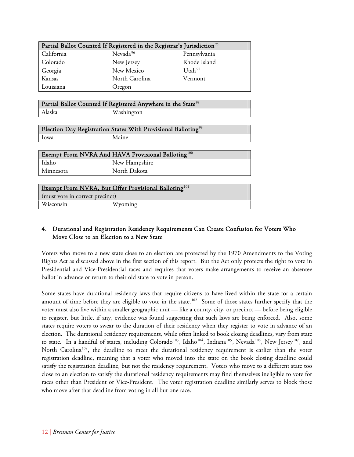| Partial Ballot Counted If Registered in the Registrar's Jurisdiction <sup>95</sup> |                      |                    |  |
|------------------------------------------------------------------------------------|----------------------|--------------------|--|
| California                                                                         | Nevada <sup>96</sup> | Pennsylvania       |  |
| Colorado                                                                           | New Jersey           | Rhode Island       |  |
| Georgia                                                                            | New Mexico           | Utah <sup>97</sup> |  |
| Kansas                                                                             | North Carolina       | Vermont            |  |
| Louisiana                                                                          | Oregon               |                    |  |

|        | Partial Ballot Counted If Registered Anywhere in the State <sup>98</sup> |  |
|--------|--------------------------------------------------------------------------|--|
| Alaska | Washington                                                               |  |

|             | Election Day Registration States With Provisional Balloting <sup>99</sup> |
|-------------|---------------------------------------------------------------------------|
| <b>Lowa</b> | Maine                                                                     |

| Exempt From NVRA And HAVA Provisional Balloting <sup>100</sup> |               |  |  |
|----------------------------------------------------------------|---------------|--|--|
| Idaho                                                          | New Hampshire |  |  |
| Minnesota                                                      | North Dakota  |  |  |
|                                                                |               |  |  |

| Exempt From NVRA, But Offer Provisional Balloting <sup>101</sup> |  |  |  |
|------------------------------------------------------------------|--|--|--|
| (must vote in correct precinct)                                  |  |  |  |
| Wisconsin<br>Wyoming                                             |  |  |  |

#### 4. Durational and Registration Residency Requirements Can Create Confusion for Voters Who Move Close to an Election to a New State

Voters who move to a new state close to an election are protected by the 1970 Amendments to the Voting Rights Act as discussed above in the first section of this report. But the Act only protects the right to vote in Presidential and Vice-Presidential races and requires that voters make arrangements to receive an absentee ballot in advance or return to their old state to vote in person.

Some states have durational residency laws that require citizens to have lived within the state for a certain amount of time before they are eligible to vote in the state.<sup>[102](#page-35-1)</sup> Some of those states further specify that the voter must also live within a smaller geographic unit — like a county, city, or precinct — before being eligible to register, but little, if any, evidence was found suggesting that such laws are being enforced. Also, some states require voters to swear to the duration of their residency when they register to vote in advance of an election. The durational residency requirements, while often linked to book closing deadlines, vary from state to state. In a handful of states, including Colorado<sup>[103](#page-35-2)</sup>, Idaho<sup>[104](#page-35-3)</sup>, Indiana<sup>[105](#page-35-4)</sup>, Nevada<sup>[106](#page-35-5)</sup>, New Jersey<sup>[107](#page-35-6)</sup>, and North Carolina<sup>[108](#page-35-7)</sup>, the deadline to meet the durational residency requirement is earlier than the voter registration deadline, meaning that a voter who moved into the state on the book closing deadline could satisfy the registration deadline, but not the residency requirement. Voters who move to a different state too close to an election to satisfy the durational residency requirements may find themselves ineligible to vote for races other than President or Vice-President. The voter registration deadline similarly serves to block those who move after that deadline from voting in all but one race.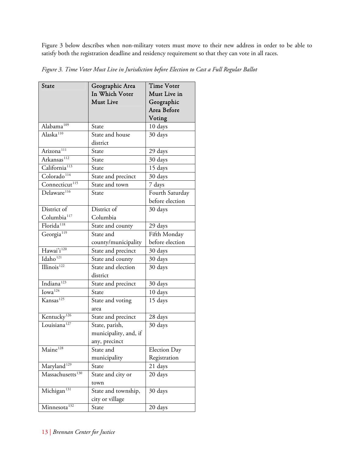Figure 3 below describes when non-military voters must move to their new address in order to be able to satisfy both the registration deadline and residency requirement so that they can vote in all races.

| State                        | Geographic Area       | <b>Time Voter</b> |
|------------------------------|-----------------------|-------------------|
|                              | In Which Voter        | Must Live in      |
|                              | <b>Must Live</b>      | Geographic        |
|                              |                       | Area Before       |
|                              |                       | Voting            |
| Alabama <sup>109</sup>       | State                 | 10 days           |
| Alaska <sup>110</sup>        | State and house       | 30 days           |
|                              | district              |                   |
| Arizona <sup>111</sup>       | State                 | 29 days           |
| Arkansas <sup>112</sup>      | State                 | 30 days           |
| California <sup>113</sup>    | State                 | 15 days           |
| Colorado <sup>114</sup>      | State and precinct    | 30 days           |
| Connecticut <sup>115</sup>   | State and town        | 7 days            |
| Delaware <sup>116</sup>      | State                 | Fourth Saturday   |
|                              |                       | before election   |
| District of                  | District of           | 30 days           |
| Columbia <sup>117</sup>      | Columbia              |                   |
| Florida <sup>118</sup>       | State and county      | 29 days           |
| Georgia <sup>119</sup>       | State and             | Fifth Monday      |
|                              | county/municipality   | before election   |
| Hawai'i <sup>120</sup>       | State and precinct    | 30 days           |
| Idaho <sup>121</sup>         | State and county      | 30 days           |
| Illinois <sup>122</sup>      | State and election    | 30 days           |
|                              | district              |                   |
| Indiana <sup>123</sup>       | State and precinct    | 30 days           |
| Iowa <sup>124</sup>          | State                 | 10 days           |
| Kansas <sup>125</sup>        | State and voting      | 15 days           |
|                              | area                  |                   |
| Kentucky <sup>126</sup>      | State and precinct    | 28 days           |
| Louisiana <sup>127</sup>     | State, parish,        | 30 days           |
|                              | municipality, and, if |                   |
|                              | any, precinct         |                   |
| Maine <sup>128</sup>         | State and             | Election Day      |
|                              | municipality          | Registration      |
| Maryland <sup>129</sup>      | State                 | 21 days           |
| Massachusetts <sup>130</sup> | State and city or     | 20 days           |
|                              | town                  |                   |
| Michigan <sup>131</sup>      | State and township,   | 30 days           |
|                              | city or village       |                   |
| Minnesota <sup>132</sup>     | State                 | 20 days           |

*Figure 3. Time Voter Must Live in Jurisdiction before Election to Cast a Full Regular Ballot*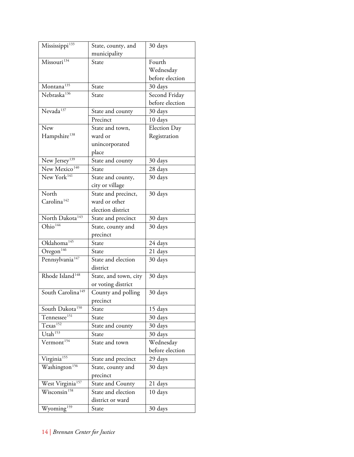| Mississippi <sup>133</sup>    | State, county, and    | 30 days         |
|-------------------------------|-----------------------|-----------------|
|                               | municipality          |                 |
| Missouri <sup>134</sup>       | State                 | Fourth          |
|                               |                       | Wednesday       |
|                               |                       | before election |
| Montana <sup>135</sup>        | State                 | 30 days         |
| Nebraska <sup>136</sup>       | State                 | Second Friday   |
|                               |                       | before election |
| Nevada <sup>137</sup>         | State and county      | 30 days         |
|                               | Precinct              | 10 days         |
| New                           | State and town,       | Election Day    |
| Hampshire <sup>138</sup>      | ward or               | Registration    |
|                               | unincorporated        |                 |
|                               | place                 |                 |
| New Jersey <sup>139</sup>     | State and county      | 30 days         |
| New Mexico <sup>140</sup>     | State                 | 28 days         |
| New York <sup>141</sup>       | State and county,     | 30 days         |
|                               | city or village       |                 |
| North                         | State and precinct,   | 30 days         |
| Carolina <sup>142</sup>       | ward or other         |                 |
|                               | election district     |                 |
| North Dakota <sup>143</sup>   | State and precinct    | 30 days         |
| Ohio <sup>144</sup>           | State, county and     | 30 days         |
|                               | precinct              |                 |
| Oklahoma <sup>145</sup>       | State                 | 24 days         |
| Oregon <sup>146</sup>         | State                 | 21 days         |
| Pennsylvania <sup>147</sup>   | State and election    | 30 days         |
|                               | district              |                 |
| Rhode Island <sup>148</sup>   | State, and town, city | 30 days         |
|                               | or voting district    |                 |
| South Carolina <sup>149</sup> | County and polling    | 30 days         |
|                               | precinct              |                 |
| South Dakota <sup>150</sup>   | State                 | 15 days         |
| Tennessee <sup>151</sup>      | State                 | 30 days         |
| Texas <sup>152</sup>          | State and county      | 30 days         |
| Utah <sup>153</sup>           | State                 | 30 days         |
| Vermont <sup>154</sup>        | State and town        | Wednesday       |
|                               |                       | before election |
| Virginia <sup>155</sup>       | State and precinct    | 29 days         |
| Washington <sup>156</sup>     | State, county and     | 30 days         |
|                               | precinct              |                 |
| West Virginia <sup>157</sup>  | State and County      | 21 days         |
| Wisconsin <sup>158</sup>      | State and election    | 10 days         |
|                               | district or ward      |                 |
| Wyoming <sup>159</sup>        | State                 | 30 days         |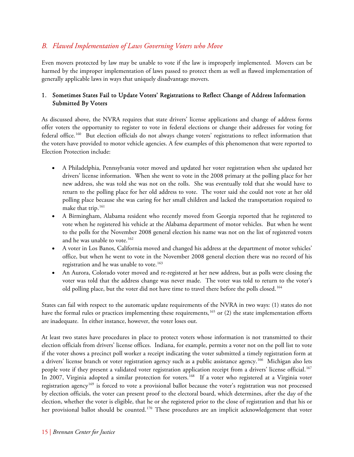## *B. Flawed Implementation of Laws Governing Voters who Move*

Even movers protected by law may be unable to vote if the law is improperly implemented. Movers can be harmed by the improper implementation of laws passed to protect them as well as flawed implementation of generally applicable laws in ways that uniquely disadvantage movers.

#### 1. Sometimes States Fail to Update Voters' Registrations to Reflect Change of Address Information Submitted By Voters

As discussed above, the NVRA requires that state drivers' license applications and change of address forms offer voters the opportunity to register to vote in federal elections or change their addresses for voting for federal office.[160](#page-37-1) But election officials do not always change voters' registrations to reflect information that the voters have provided to motor vehicle agencies. A few examples of this phenomenon that were reported to Election Protection include:

- A Philadelphia, Pennsylvania voter moved and updated her voter registration when she updated her drivers' license information. When she went to vote in the 2008 primary at the polling place for her new address, she was told she was not on the rolls. She was eventually told that she would have to return to the polling place for her old address to vote. The voter said she could not vote at her old polling place because she was caring for her small children and lacked the transportation required to make that trip.<sup>[161](#page-37-2)</sup>
- A Birmingham, Alabama resident who recently moved from Georgia reported that he registered to vote when he registered his vehicle at the Alabama department of motor vehicles. But when he went to the polls for the November 2008 general election his name was not on the list of registered voters and he was unable to vote.<sup>[162](#page-37-3)</sup>
- A voter in Los Banos, California moved and changed his address at the department of motor vehicles' office, but when he went to vote in the November 2008 general election there was no record of his registration and he was unable to vote.<sup>[163](#page-37-4)</sup>
- An Aurora, Colorado voter moved and re-registered at her new address, but as polls were closing the voter was told that the address change was never made. The voter was told to return to the voter's old polling place, but the voter did not have time to travel there before the polls closed.<sup>[164](#page-37-5)</sup>

States can fail with respect to the automatic update requirements of the NVRA in two ways: (1) states do not have the formal rules or practices implementing these requirements,<sup>[165](#page-37-6)</sup> or (2) the state implementation efforts are inadequate. In either instance, however, the voter loses out.

At least two states have procedures in place to protect voters whose information is not transmitted to their election officials from drivers' license offices. Indiana, for example, permits a voter not on the poll list to vote if the voter shows a precinct poll worker a receipt indicating the voter submitted a timely registration form at a drivers' license branch or voter registration agency such as a public assistance agency.<sup>[166](#page-37-7)</sup> Michigan also lets people vote if they present a validated voter registration application receipt from a drivers' license official.[167](#page-37-8) In 2007, Virginia adopted a similar protection for voters.<sup>[168](#page-37-9)</sup> If a voter who registered at a Virginia voter registration agency<sup>[169](#page-37-10)</sup> is forced to vote a provisional ballot because the voter's registration was not processed by election officials, the voter can present proof to the electoral board, which determines, after the day of the election, whether the voter is eligible, that he or she registered prior to the close of registration and that his or her provisional ballot should be counted.<sup>[170](#page-37-11)</sup> These procedures are an implicit acknowledgement that voter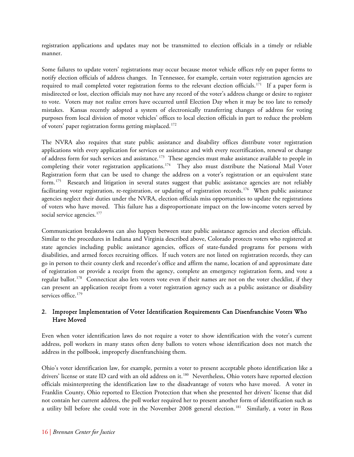registration applications and updates may not be transmitted to election officials in a timely or reliable manner.

Some failures to update voters' registrations may occur because motor vehicle offices rely on paper forms to notify election officials of address changes. In Tennessee, for example, certain voter registration agencies are required to mail completed voter registration forms to the relevant election officials.[171](#page-37-12) If a paper form is misdirected or lost, election officials may not have any record of the voter's address change or desire to register to vote. Voters may not realize errors have occurred until Election Day when it may be too late to remedy mistakes. Kansas recently adopted a system of electronically transferring changes of address for voting purposes from local division of motor vehicles' offices to local election officials in part to reduce the problem of voters' paper registration forms getting misplaced.<sup>[172](#page-37-13)</sup>

The NVRA also requires that state public assistance and disability offices distribute voter registration applications with every application for services or assistance and with every recertification, renewal or change of address form for such services and assistance.<sup>[173](#page-37-14)</sup> These agencies must make assistance available to people in completing their voter registration applications.<sup>[174](#page-37-15)</sup> They also must distribute the National Mail Voter Registration form that can be used to change the address on a voter's registration or an equivalent state form.<sup>[175](#page-37-16)</sup> Research and litigation in several states suggest that public assistance agencies are not reliably facilitating voter registration, re-registration, or updating of registration records.<sup>[176](#page-37-17)</sup> When public assistance agencies neglect their duties under the NVRA, election officials miss opportunities to update the registrations of voters who have moved. This failure has a disproportionate impact on the low-income voters served by social service agencies.<sup>[177](#page-38-0)</sup>

Communication breakdowns can also happen between state public assistance agencies and election officials. Similar to the procedures in Indiana and Virginia described above, Colorado protects voters who registered at state agencies including public assistance agencies, offices of state-funded programs for persons with disabilities, and armed forces recruiting offices. If such voters are not listed on registration records, they can go in person to their county clerk and recorder's office and affirm the name, location of and approximate date of registration or provide a receipt from the agency, complete an emergency registration form, and vote a regular ballot.[178](#page-38-1) Connecticut also lets voters vote even if their names are not on the voter checklist, if they can present an application receipt from a voter registration agency such as a public assistance or disability services office.<sup>[179](#page-38-2)</sup>

#### 2. Improper Implementation of Voter Identification Requirements Can Disenfranchise Voters Who Have Moved

Even when voter identification laws do not require a voter to show identification with the voter's current address, poll workers in many states often deny ballots to voters whose identification does not match the address in the pollbook, improperly disenfranchising them.

Ohio's voter identification law, for example, permits a voter to present acceptable photo identification like a drivers' license or state ID card with an old address on it.<sup>[180](#page-38-3)</sup> Nevertheless, Ohio voters have reported election officials misinterpreting the identification law to the disadvantage of voters who have moved. A voter in Franklin County, Ohio reported to Election Protection that when she presented her drivers' license that did not contain her current address, the poll worker required her to present another form of identification such as a utility bill before she could vote in the November 2008 general election.<sup>[181](#page-38-4)</sup> Similarly, a voter in Ross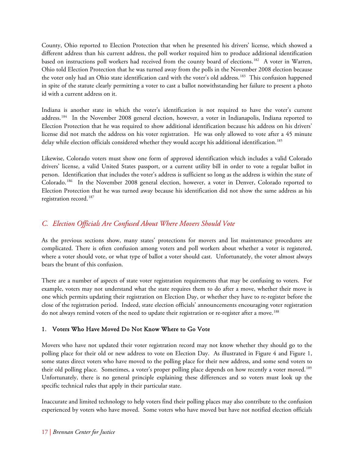County, Ohio reported to Election Protection that when he presented his drivers' license, which showed a different address than his current address, the poll worker required him to produce additional identification based on instructions poll workers had received from the county board of elections.<sup>[182](#page-38-5)</sup> A voter in Warren, Ohio told Election Protection that he was turned away from the polls in the November 2008 election because the voter only had an Ohio state identification card with the voter's old address.<sup>[183](#page-38-6)</sup> This confusion happened in spite of the statute clearly permitting a voter to cast a ballot notwithstanding her failure to present a photo id with a current address on it.

Indiana is another state in which the voter's identification is not required to have the voter's current address.[184](#page-38-7) In the November 2008 general election, however, a voter in Indianapolis, Indiana reported to Election Protection that he was required to show additional identification because his address on his drivers' license did not match the address on his voter registration. He was only allowed to vote after a 45 minute delay while election officials considered whether they would accept his additional identification.<sup>[185](#page-38-8)</sup>

Likewise, Colorado voters must show one form of approved identification which includes a valid Colorado drivers' license, a valid United States passport, or a current utility bill in order to vote a regular ballot in person. Identification that includes the voter's address is sufficient so long as the address is within the state of Colorado.[186](#page-38-9) In the November 2008 general election, however, a voter in Denver, Colorado reported to Election Protection that he was turned away because his identification did not show the same address as his registration record.<sup>[187](#page-38-10)</sup>

## *C. Election Officials Are Confused About Where Movers Should Vote*

As the previous sections show, many states' protections for movers and list maintenance procedures are complicated. There is often confusion among voters and poll workers about whether a voter is registered, where a voter should vote, or what type of ballot a voter should cast. Unfortunately, the voter almost always bears the brunt of this confusion.

There are a number of aspects of state voter registration requirements that may be confusing to voters. For example, voters may not understand what the state requires them to do after a move, whether their move is one which permits updating their registration on Election Day, or whether they have to re-register before the close of the registration period. Indeed, state election officials' announcements encouraging voter registration do not always remind voters of the need to update their registration or re-register after a move.<sup>[188](#page-38-11)</sup>

#### 1. Voters Who Have Moved Do Not Know Where to Go Vote

Movers who have not updated their voter registration record may not know whether they should go to the polling place for their old or new address to vote on Election Day. As illustrated in Figure 4 and Figure 1, some states direct voters who have moved to the polling place for their new address, and some send voters to their old polling place. Sometimes, a voter's proper polling place depends on how recently a voter moved.<sup>[189](#page-38-12)</sup> Unfortunately, there is no general principle explaining these differences and so voters must look up the specific technical rules that apply in their particular state.

Inaccurate and limited technology to help voters find their polling places may also contribute to the confusion experienced by voters who have moved. Some voters who have moved but have not notified election officials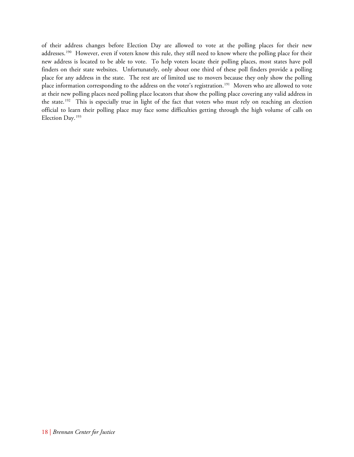of their address changes before Election Day are allowed to vote at the polling places for their new addresses.<sup>[190](#page-38-13)</sup> However, even if voters know this rule, they still need to know where the polling place for their new address is located to be able to vote. To help voters locate their polling places, most states have poll finders on their state websites. Unfortunately, only about one third of these poll finders provide a polling place for any address in the state. The rest are of limited use to movers because they only show the polling place information corresponding to the address on the voter's registration.<sup>[191](#page-39-0)</sup> Movers who are allowed to vote at their new polling places need polling place locators that show the polling place covering any valid address in the state.<sup>[192](#page-39-1)</sup> This is especially true in light of the fact that voters who must rely on reaching an election official to learn their polling place may face some difficulties getting through the high volume of calls on Election Day.193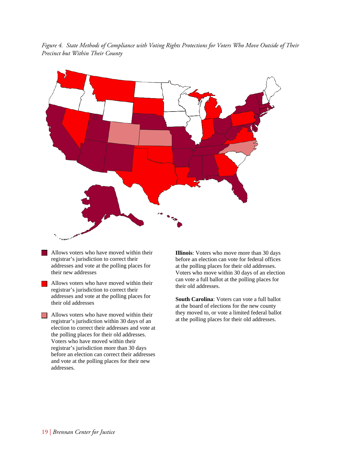*Figure 4. State Methods of Compliance with Voting Rights Protections for Voters Who Move Outside of Their Precinct but Within Their County* 



- Allows voters who have moved within their registrar's jurisdiction to correct their addresses and vote at the polling places for their new addresses
- Allows voters who have moved within their registrar's jurisdiction to correct their addresses and vote at the polling places for their old addresses

**Allows voters who have moved within their** registrar's jurisdiction within 30 days of an election to correct their addresses and vote at the polling places for their old addresses. Voters who have moved within their registrar's jurisdiction more than 30 days before an election can correct their addresses and vote at the polling places for their new addresses.

**Illinois**: Voters who move more than 30 days before an election can vote for federal offices at the polling places for their old addresses. Voters who move within 30 days of an election can vote a full ballot at the polling places for their old addresses.

**South Carolina**: Voters can vote a full ballot at the board of elections for the new county they moved to, or vote a limited federal ballot at the polling places for their old addresses.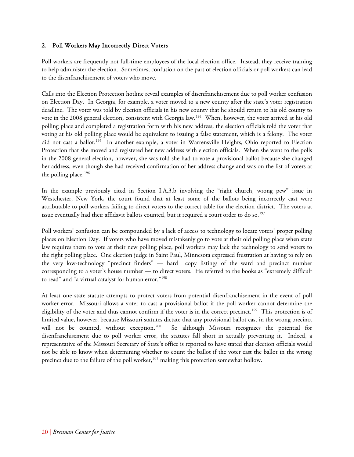#### 2. Poll Workers May Incorrectly Direct Voters

Poll workers are frequently not full-time employees of the local election office. Instead, they receive training to help administer the election. Sometimes, confusion on the part of election officials or poll workers can lead to the disenfranchisement of voters who move.

Calls into the Election Protection hotline reveal examples of disenfranchisement due to poll worker confusion on Election Day. In Georgia, for example, a voter moved to a new county after the state's voter registration deadline. The voter was told by election officials in his new county that he should return to his old county to vote in the 2008 general election, consistent with Georgia law.[194](#page-39-2) When, however, the voter arrived at his old polling place and completed a registration form with his new address, the election officials told the voter that voting at his old polling place would be equivalent to issuing a false statement, which is a felony. The voter did not cast a ballot.<sup>[195](#page-39-3)</sup> In another example, a voter in Warrensville Heights, Ohio reported to Election Protection that she moved and registered her new address with election officials. When she went to the polls in the 2008 general election, however, she was told she had to vote a provisional ballot because she changed her address, even though she had received confirmation of her address change and was on the list of voters at the polling place.<sup>[196](#page-39-4)</sup>

In the example previously cited in Section I.A.3.b involving the "right church, wrong pew" issue in Westchester, New York, the court found that at least some of the ballots being incorrectly cast were attributable to poll workers failing to direct voters to the correct table for the election district. The voters at issue eventually had their affidavit ballots counted, but it required a court order to do so.<sup>[197](#page-39-5)</sup>

Poll workers' confusion can be compounded by a lack of access to technology to locate voters' proper polling places on Election Day. If voters who have moved mistakenly go to vote at their old polling place when state law requires them to vote at their new polling place, poll workers may lack the technology to send voters to the right polling place. One election judge in Saint Paul, Minnesota expressed frustration at having to rely on the very low-technology "precinct finders" — hard copy listings of the ward and precinct number corresponding to a voter's house number — to direct voters. He referred to the books as "extremely difficult to read" and "a virtual catalyst for human error."<sup>[198](#page-39-6)</sup>

At least one state statute attempts to protect voters from potential disenfranchisement in the event of poll worker error. Missouri allows a voter to cast a provisional ballot if the poll worker cannot determine the eligibility of the voter and thus cannot confirm if the voter is in the correct precinct.<sup>[199](#page-39-7)</sup> This protection is of limited value, however, because Missouri statutes dictate that any provisional ballot cast in the wrong precinct will not be counted, without exception.<sup>[200](#page-39-8)</sup> So although Missouri recognizes the potential for disenfranchisement due to poll worker error, the statutes fall short in actually preventing it. Indeed, a representative of the Missouri Secretary of State's office is reported to have stated that election officials would not be able to know when determining whether to count the ballot if the voter cast the ballot in the wrong precinct due to the failure of the poll worker,<sup>[201](#page-39-9)</sup> making this protection somewhat hollow.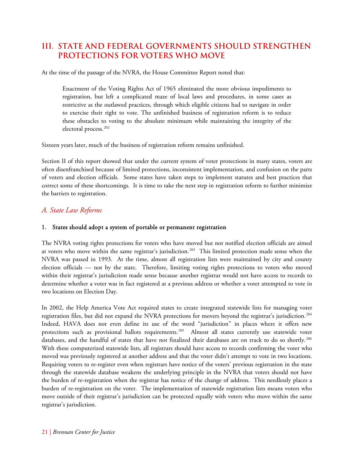## **III. STATE AND FEDERAL GOVERNMENTS SHOULD STRENGTHEN PROTECTIONS FOR VOTERS WHO MOVE**

At the time of the passage of the NVRA, the House Committee Report noted that:

Enactment of the Voting Rights Act of 1965 eliminated the more obvious impediments to registration, but left a complicated maze of local laws and procedures, in some cases as restrictive as the outlawed practices, through which eligible citizens had to navigate in order to exercise their right to vote. The unfinished business of registration reform is to reduce these obstacles to voting to the absolute minimum while maintaining the integrity of the electoral process.<sup>[202](#page-39-10)</sup>

Sixteen years later, much of the business of registration reform remains unfinished.

Section II of this report showed that under the current system of voter protections in many states, voters are often disenfranchised because of limited protections, inconsistent implementation, and confusion on the parts of voters and election officials. Some states have taken steps to implement statutes and best practices that correct some of these shortcomings. It is time to take the next step in registration reform to further minimize the barriers to registration.

#### *A. State Law Reforms*

#### 1. States should adopt a system of portable or permanent registration

The NVRA voting rights protections for voters who have moved but not notified election officials are aimed at voters who move within the same registrar's jurisdiction.<sup>[203](#page-39-11)</sup> This limited protection made sense when the NVRA was passed in 1993. At the time, almost all registration lists were maintained by city and county election officials — not by the state. Therefore, limiting voting rights protections to voters who moved within their registrar's jurisdiction made sense because another registrar would not have access to records to determine whether a voter was in fact registered at a previous address or whether a voter attempted to vote in two locations on Election Day.

In 2002, the Help America Vote Act required states to create integrated statewide lists for managing voter registration files, but did not expand the NVRA protections for movers beyond the registrar's jurisdiction.<sup>[204](#page-39-12)</sup> Indeed, HAVA does not even define its use of the word "jurisdiction" in places where it offers new protections such as provisional ballots requirements.<sup>[205](#page-39-13)</sup> Almost all states currently use statewide voter databases, and the handful of states that have not finalized their databases are on track to do so shortly.[206](#page-39-14) With these computerized statewide lists, all registrars should have access to records confirming the voter who moved was previously registered at another address and that the voter didn't attempt to vote in two locations. Requiring voters to re-register even when registrars have notice of the voters' previous registration in the state through the statewide database weakens the underlying principle in the NVRA that voters should not have the burden of re-registration when the registrar has notice of the change of address. This needlessly places a burden of re-registration on the voter. The implementation of statewide registration lists means voters who move outside of their registrar's jurisdiction can be protected equally with voters who move within the same registrar's jurisdiction.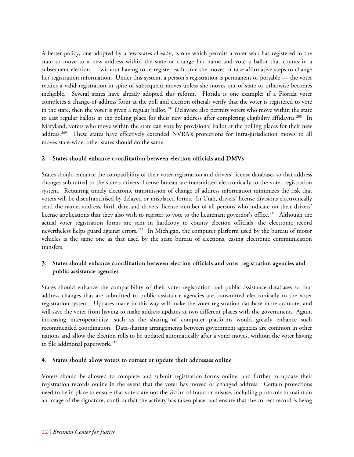A better policy, one adopted by a few states already, is one which permits a voter who has registered in the state to move to a new address within the state or change her name and vote a ballot that counts in a subsequent election — without having to re-register each time she moves or take affirmative steps to change her registration information. Under this system, a person's registration is permanent or portable — the voter retains a valid registration in spite of subsequent moves unless she moves out of state or otherwise becomes ineligible. Several states have already adopted this reform. Florida is one example: if a Florida voter completes a change-of-address form at the poll and election officials verify that the voter is registered to vote in the state, then the voter is given a regular ballot.<sup>[207](#page-39-15)</sup> Delaware also permits voters who move within the state to cast regular ballots at the polling place for their new address after completing eligibility affidavits.<sup>[208](#page-39-16)</sup> In Maryland, voters who move within the state can vote by provisional ballot at the polling places for their new address.<sup>[209](#page-39-17)</sup> These states have effectively extended NVRA's protections for intra-jurisdiction moves to all moves state-wide; other states should do the same.

#### 2. States should enhance coordination between election officials and DMVs

States should enhance the compatibility of their voter registration and drivers' license databases so that address changes submitted to the state's drivers' license bureau are transmitted electronically to the voter registration system. Requiring timely electronic transmission of change of address information minimizes the risk that voters will be disenfranchised by delayed or misplaced forms. In Utah, drivers' license divisions electronically send the name, address, birth date and drivers' license number of all persons who indicate on their drivers' license applications that they also wish to register to vote to the lieutenant governor's office.<sup>[210](#page-39-18)</sup> Although the actual voter registration forms are sent in hardcopy to county election officials, the electronic record nevertheless helps guard against errors.[211](#page-39-19) In Michigan, the computer platform used by the bureau of motor vehicles is the same one as that used by the state bureau of elections, easing electronic communication transfers.

#### 3. States should enhance coordination between election officials and voter registration agencies and public assistance agencies

States should enhance the compatibility of their voter registration and public assistance databases so that address changes that are submitted to public assistance agencies are transmitted electronically to the voter registration system. Updates made in this way will make the voter registration database more accurate, and will save the voter from having to make address updates at two different places with the government. Again, increasing interoperability, such as the sharing of computer platforms would greatly enhance such recommended coordination. Data-sharing arrangements between government agencies are common in other nations and allow the election rolls to be updated automatically after a voter moves, without the voter having to file additional paperwork.<sup>[212](#page-39-20)</sup>

#### 4. States should allow voters to correct or update their addresses online

Voters should be allowed to complete and submit registration forms online, and further to update their registration records online in the event that the voter has moved or changed address. Certain protections need to be in place to ensure that voters are not the victim of fraud or misuse, including protocols to maintain an image of the signature, confirm that the activity has taken place, and ensure that the correct record is being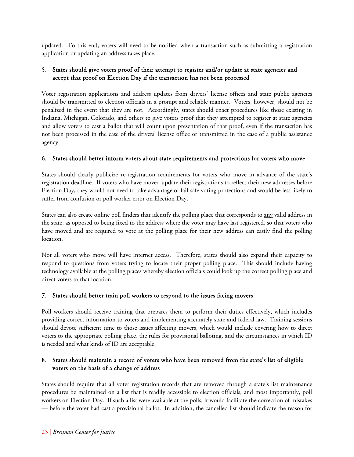updated. To this end, voters will need to be notified when a transaction such as submitting a registration application or updating an address takes place.

#### 5. States should give voters proof of their attempt to register and/or update at state agencies and accept that proof on Election Day if the transaction has not been processed

Voter registration applications and address updates from drivers' license offices and state public agencies should be transmitted to election officials in a prompt and reliable manner. Voters, however, should not be penalized in the event that they are not. Accordingly, states should enact procedures like those existing in Indiana, Michigan, Colorado, and others to give voters proof that they attempted to register at state agencies and allow voters to cast a ballot that will count upon presentation of that proof, even if the transaction has not been processed in the case of the drivers' license office or transmitted in the case of a public assistance agency.

#### 6. States should better inform voters about state requirements and protections for voters who move

States should clearly publicize re-registration requirements for voters who move in advance of the state's registration deadline. If voters who have moved update their registrations to reflect their new addresses before Election Day, they would not need to take advantage of fail-safe voting protections and would be less likely to suffer from confusion or poll worker error on Election Day.

States can also create online poll finders that identify the polling place that corresponds to any valid address in the state, as opposed to being fixed to the address where the voter may have last registered, so that voters who have moved and are required to vote at the polling place for their new address can easily find the polling location.

Not all voters who move will have internet access. Therefore, states should also expand their capacity to respond to questions from voters trying to locate their proper polling place. This should include having technology available at the polling places whereby election officials could look up the correct polling place and direct voters to that location.

#### 7. States should better train poll workers to respond to the issues facing movers

Poll workers should receive training that prepares them to perform their duties effectively, which includes providing correct information to voters and implementing accurately state and federal law. Training sessions should devote sufficient time to those issues affecting movers, which would include covering how to direct voters to the appropriate polling place, the rules for provisional balloting, and the circumstances in which ID is needed and what kinds of ID are acceptable.

#### 8. States should maintain a record of voters who have been removed from the state's list of eligible voters on the basis of a change of address

States should require that all voter registration records that are removed through a state's list maintenance procedures be maintained on a list that is readily accessible to election officials, and most importantly, poll workers on Election Day. If such a list were available at the polls, it would facilitate the correction of mistakes — before the voter had cast a provisional ballot. In addition, the cancelled list should indicate the reason for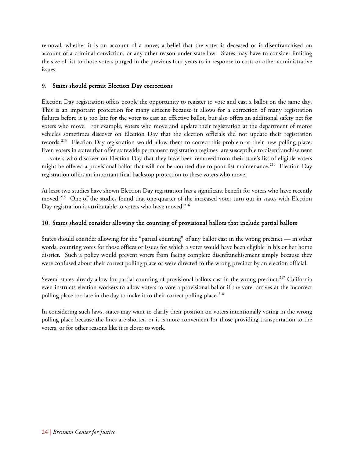removal, whether it is on account of a move, a belief that the voter is deceased or is disenfranchised on account of a criminal conviction, or any other reason under state law. States may have to consider limiting the size of list to those voters purged in the previous four years to in response to costs or other administrative issues.

#### 9. States should permit Election Day corrections

Election Day registration offers people the opportunity to register to vote and cast a ballot on the same day. This is an important protection for many citizens because it allows for a correction of many registration failures before it is too late for the voter to cast an effective ballot, but also offers an additional safety net for voters who move. For example, voters who move and update their registration at the department of motor vehicles sometimes discover on Election Day that the election officials did not update their registration records.[213](#page-39-21) Election Day registration would allow them to correct this problem at their new polling place. Even voters in states that offer statewide permanent registration regimes are susceptible to disenfranchisement — voters who discover on Election Day that they have been removed from their state's list of eligible voters might be offered a provisional ballot that will not be counted due to poor list maintenance.<sup>[214](#page-39-22)</sup> Election Day registration offers an important final backstop protection to these voters who move.

At least two studies have shown Election Day registration has a significant benefit for voters who have recently moved.<sup>[215](#page-39-23)</sup> One of the studies found that one-quarter of the increased voter turn out in states with Election Day registration is attributable to voters who have moved.<sup>[216](#page-39-24)</sup>

#### 10. States should consider allowing the counting of provisional ballots that include partial ballots

States should consider allowing for the "partial counting" of any ballot cast in the wrong precinct — in other words, counting votes for those offices or issues for which a voter would have been eligible in his or her home district. Such a policy would prevent voters from facing complete disenfranchisement simply because they were confused about their correct polling place or were directed to the wrong precinct by an election official.

Several states already allow for partial counting of provisional ballots cast in the wrong precinct.<sup>[217](#page-39-25)</sup> California even instructs election workers to allow voters to vote a provisional ballot if the voter arrives at the incorrect polling place too late in the day to make it to their correct polling place.<sup>[218](#page-40-0)</sup>

In considering such laws, states may want to clarify their position on voters intentionally voting in the wrong polling place because the lines are shorter, or it is more convenient for those providing transportation to the voters, or for other reasons like it is closer to work.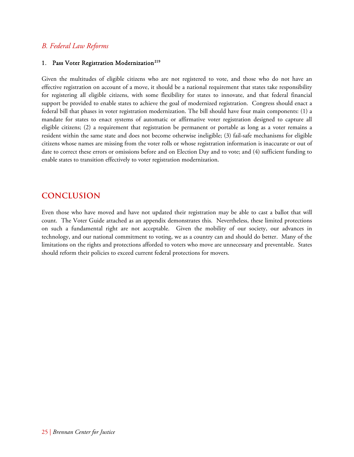#### *B. Federal Law Reforms*

#### 1. Pass Voter Registration Modernization<sup>219</sup>

Given the multitudes of eligible citizens who are not registered to vote, and those who do not have an effective registration on account of a move, it should be a national requirement that states take responsibility for registering all eligible citizens, with some flexibility for states to innovate, and that federal financial support be provided to enable states to achieve the goal of modernized registration. Congress should enact a federal bill that phases in voter registration modernization. The bill should have four main components: (1) a mandate for states to enact systems of automatic or affirmative voter registration designed to capture all eligible citizens; (2) a requirement that registration be permanent or portable as long as a voter remains a resident within the same state and does not become otherwise ineligible; (3) fail-safe mechanisms for eligible citizens whose names are missing from the voter rolls or whose registration information is inaccurate or out of date to correct these errors or omissions before and on Election Day and to vote; and (4) sufficient funding to enable states to transition effectively to voter registration modernization.

## **CONCLUSION**

Even those who have moved and have not updated their registration may be able to cast a ballot that will count. The Voter Guide attached as an appendix demonstrates this. Nevertheless, these limited protections on such a fundamental right are not acceptable. Given the mobility of our society, our advances in technology, and our national commitment to voting, we as a country can and should do better. Many of the limitations on the rights and protections afforded to voters who move are unnecessary and preventable. States should reform their policies to exceed current federal protections for movers.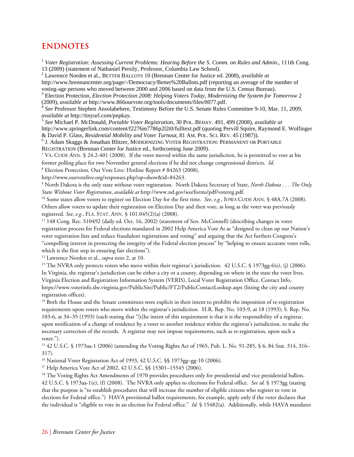## **ENDNOTES**

<span id="page-30-0"></span><sup>1</sup> *Voter Registration: Assessing Current Problems: Hearing Before the S. Comm. on Rules and Admin.*, 111th Cong. 13 (2009) (statement of Nathaniel Persily, Professor, Columbia Law School).

2 Lawrence Norden et al., BETTER BALLOTS 10 (Brennan Center for Justice ed. 2008), *available at* 

<span id="page-30-1"></span>http://www.brennancenter.org/page/-/Democracy/Better%20Ballots.pdf (reporting an average of the number of voting-age persons who moved between 2000 and 2006 based on data from the U.S. Census Bureau).

<span id="page-30-2"></span><sup>3</sup> Election Protection, *Election Protection 2008: Helping Voters Today, Modernizing the System for Tomorrow 2* (2009), *available at* http://www.866ourvote.org/tools/documents/files/0077.pdf. 4 *See* Professor Stephen Ansolabehere, Testimony Before the U.S. Senate Rules Committee 9-10, Mar. 11, 2009,

<span id="page-30-3"></span>*available at* http://tinyurl.com/pnpkay. 5 *See* Michael P. McDonald, *Portable Voter Registration*, 30 POL. BEHAV. 491, 499 (2008), *available at*

<span id="page-30-4"></span>http://www.springerlink.com/content/f2276m7786p2l2t0/fulltext.pdf (quoting Pervill Squire, Raymond E. Wolfinger & David P. Glass, *Residential Mobility and Voter Turnout*, 81 AM. POL. SCI. REV. 45 (1987)). 6

<span id="page-30-5"></span> $6$  J. Adam Skaggs & Jonathan Blitzer, MODERNIZING VOTER REGISTRATION: PERMANENT OR PORTABLE REGISTRATION (Brennan Center for Justice ed., forthcoming June 2009).

<span id="page-30-6"></span>7 VA. CODE ANN. § 24.2-401 (2008). If the voter moved within the same jurisdiction, he is permitted to vote at his former polling place for two November general elections if he did not change congressional districts. *Id.*

<span id="page-30-7"></span>8 Election Protection, Our Vote Live: Hotline Report # 84263 (2008),

[http://www.ourvotelive.org/responses.php?op=show&id=84263.](http://www.ourvotelive.org/responses.php?op=show&id=84263) 9

<span id="page-30-8"></span> North Dakota is the only state without voter registration. North Dakota Secretary of State, *North Dakota . . . The Only*  State Without Voter Registration, available at http://www.nd.gov/sos/forms/pdf/votereg.pdf.<br><sup>10</sup> Some states allow voters to register on Election Day for the first time. *See, e.g.*, IOWA CODE ANN. § 48A.7A (2008).

<span id="page-30-9"></span>Others allow voters to update their registration on Election Day and then vote, as long as the voter was previously registered. *See*, *e.g.*, FLA. STAT. ANN. § 101.045(2)(a) (2008).<br><sup>11</sup> 148 Cong. Rec. S10492 (daily ed. Oct. 16, 2002) (statement of Sen. McConnell) (describing changes in voter

<span id="page-30-10"></span>registration process for Federal elections mandated in 2002 Help America Vote At as "designed to clean up our Nation's voter registration lists and reduce fraudulent registrations and voting" and arguing that the Act furthers Congress's "compelling interest in protecting the integrity of the Federal election process" by "helping to ensure accurate voter rolls, which is the first step in ensuring fair elections").<br><sup>12</sup> Lawrence Norden et al., *supra* note 2, at 10.<br><sup>13</sup> The NVRA only protects voters who move within their registrar's jurisdiction. 42 U.S.C. § 1973gg-6(e), (j) (200

<span id="page-30-12"></span><span id="page-30-11"></span>In Virginia, the registrar's jurisdiction can be either a city or a county, depending on where in the state the voter lives. Virginia Election and Registration Information System (VERIS), Local Voter Registration Office, Contact Info, https://www.voterinfo.sbe.virginia.gov/PublicSite/Public/FT2/PublicContactLookup.aspx (listing the city and county registration offices).

<span id="page-30-13"></span><sup>14</sup> Both the House and the Senate committees were explicit in their intent to prohibit the imposition of re-registration requirements upon voters who move within the registrar's jurisdiction. H.R. Rep. No. 103-9, at 18 (1993); S. Rep. No. 103-6, at 34–35 (1993) (each stating that "[t]he intent of this requirement is that it is the responsibility of a registrar, upon notification of a change of residence by a voter to another residence within the registrar's jurisdiction, to make the necessary correction of the records. A registrar may not impose requirements, such as re-registration, upon such a voter.").

<span id="page-30-14"></span>15 42 U.S.C. § 1973aa-1 (2006) (amending the Voting Rights Act of 1965, Pub. L. No. 91-285, § 6, 84 Stat. 314, 316– 317).

<span id="page-30-16"></span><span id="page-30-15"></span><sup>16</sup> National Voter Registration Act of 1993, 42 U.S.C. §§ 1973gg–gg-10 (2006).<br><sup>17</sup> Help America Vote Act of 2002, 42 U.S.C. §§ 15301–15545 (2006).

<span id="page-30-17"></span><sup>18</sup> The Voting Rights Act Amendments of 1970 provides procedures only for presidential and vice presidential ballots. 42 U.S.C. § 1973aa-1(e), (f) (2008). The NVRA only applies to elections for Federal office. *See id.* § 1973gg (stating that the purpose is "to establish procedures that will increase the number of eligible citizens who register to vote in elections for Federal office.") HAVA provisional ballot requirements, for example, apply only if the voter declares that the individual is "eligible to vote in an election for Federal office." *Id.* § 15482(a). Additionally, while HAVA mandates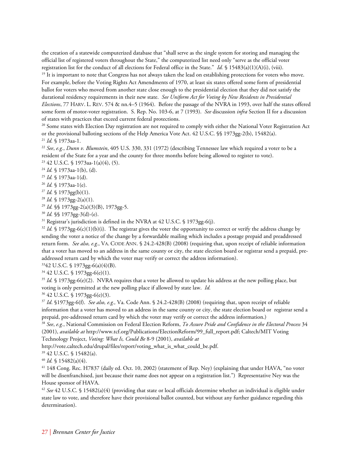the creation of a statewide computerized database that "shall serve as the single system for storing and managing the official list of registered voters throughout the State," the computerized list need only "serve as the official voter registration list for the conduct of all elections for Federal office in the State." *Id.* § 15483(a)(1)(A)(i), (viii).<br><sup>19</sup> It is important to note that Congress has not always taken the lead on establishing protections

<span id="page-31-0"></span>For example, before the Voting Rights Act Amendments of 1970, at least six states offered some form of presidential ballot for voters who moved from another state close enough to the presidential election that they did not satisfy the durational residency requirements in their new state. *See Uniform Act for Voting by New Residents in Presidential Elections*, 77 HARV. L. REV. 574 & nn.4–5 (1964). Before the passage of the NVRA in 1993, over half the states offered some form of motor-voter registration. S. Rep. No. 103-6, at 7 (1993). *See* discussion *infra* Section II for a discussion

<span id="page-31-1"></span>of states with practices that exceed current federal protections.<br><sup>20</sup> Some states with Election Day registration are not required to comply with either the National Voter Registration Act or the provisional balloting sections of the Help America Vote Act. 42 U.S.C. §§ 1973gg-2(b), 15482(a).<br><sup>21</sup> *Id.* § 1973aa-1.<br><sup>22</sup> *See, e.g., Dunn v. Blumstein,* 405 U.S. 330, 331 (1972) (describing Tennessee law which r

<span id="page-31-2"></span>

<span id="page-31-3"></span>resident of the State for a year and the county for three months before being allowed to register to vote).

<span id="page-31-5"></span><span id="page-31-4"></span>23 42 U.S.C. § 1973aa-1(a)(4), (5).

<span id="page-31-6"></span>

<span id="page-31-7"></span>

<span id="page-31-8"></span>

<span id="page-31-9"></span>

<span id="page-31-10"></span>

<span id="page-31-11"></span>

<sup>24</sup> *Id.* § 1973aa-1(b), (d).<br><sup>25</sup> *Id.* § 1973aa-1(d).<br><sup>26</sup> *Id.* § 1973aa-1(e).<br><sup>27</sup> *Id.* § 1973gg(b)(1).<br><sup>28</sup> *Id.* § 1973gg-2(a)(3)(B), 1973gg-5.<br><sup>29</sup> *Id.* §§ 1973gg-2(a)(3)(B), 1973gg-5.<br><sup>30</sup> *Id.* §§ 1973gg-3(d)-(

<span id="page-31-13"></span><span id="page-31-12"></span> $32$  *Id.* § 1973gg-6(c)(1)(b)(i). The registrar gives the voter the opportunity to correct or verify the address change by sending the voter a notice of the change by a forwardable mailing which includes a postage prepaid and preaddressed return form. *See also, e.g.*, VA. CODE ANN. § 24.2-428(B) (2008) (requiring that, upon receipt of reliable information that a voter has moved to an address in the same county or city, the state election board or registrar send a prepaid, preaddressed return card by which the voter may verify or correct the address information). <sup>33</sup>42 U.S.C. § 1973gg-6(a)(4)(B).

<span id="page-31-14"></span>

<span id="page-31-15"></span>34 42 U.S.C. § 1973gg-6(e)(1).

<span id="page-31-16"></span><sup>35</sup> *Id.* § 1973gg-6(e)(2). NVRA requires that a voter be allowed to update his address at the new polling place, but voting is only permitted at the new polling place if allowed by state law. *Id.*

<span id="page-31-17"></span>36 42 U.S.C. § 1973gg-6(e)(3).

<span id="page-31-18"></span><sup>37</sup> *Id*. §1973gg-6(f). *See also, e.g.,* Va. Code Ann. § 24.2-428(B) (2008) (requiring that, upon receipt of reliable information that a voter has moved to an address in the same county or city, the state election board or registrar send a prepaid, pre-addressed return card by which the voter may verify or correct the address information.)<br><sup>38</sup> See, e.g., National Commission on Federal Election Reform, *To Assure Pride and Confidence in the Electoral Process* 

<span id="page-31-19"></span>(2001), *available at* http://www.tcf.org/Publications/ElectionReform/99\_full\_report.pdf; Caltech/MIT Voting Technology Project, *Voting: What Is, Could Be* 8-9 (2001), *available at* 

http://vote.caltech.edu/drupal/files/report/voting\_what\_is\_what\_could\_be.pdf.

<span id="page-31-20"></span>39 42 U.S.C. § 15482(a).

<span id="page-31-22"></span><span id="page-31-21"></span><sup>40</sup> *Id.* § 15482(a)(4).<br><sup>41</sup> 148 Cong. Rec. H7837 (daily ed. Oct. 10, 2002) (statement of Rep. Ney) (explaining that under HAVA, "no voter will be disenfranchised, just because their name does not appear on a registration list.") Representative Ney was the House sponsor of HAVA.

<span id="page-31-23"></span><sup>42</sup> *See* 42 U.S.C. § 15482(a)(4) (providing that state or local officials determine whether an individual is eligible under state law to vote, and therefore have their provisional ballot counted, but without any further guidance regarding this determination).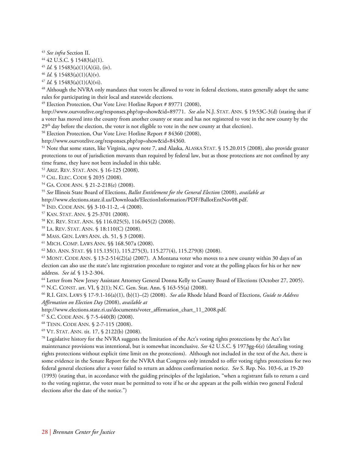<span id="page-32-1"></span><span id="page-32-0"></span><sup>43</sup> *See infra* Section II. 44 42 U.S.C. § 15483(a)(1).

<span id="page-32-3"></span><span id="page-32-2"></span><sup>45</sup> *Id.* § 15483(a)(1)(A)(ii), (iv).<br><sup>46</sup> *Id.* § 15483(a)(1)(A)(v).

<span id="page-32-5"></span><span id="page-32-4"></span><sup>47</sup> *Id.* § 15483(a)(1)(A)(vi).<br><sup>48</sup> Although the NVRA only mandates that voters be allowed to vote in federal elections, states generally adopt the same rules for participating in their local and statewide elections.

<span id="page-32-6"></span><sup>49</sup> Election Protection, Our Vote Live: Hotline Report # 89771 (2008),

http://www.ourvotelive.org/responses.php?op=show&id=89771. *See also* N.J. STAT. ANN. § 19:53C-3(d) (stating that if a voter has moved into the county from another county or state and has not registered to vote in the new county by the  $29<sup>th</sup>$  day before the election, the voter is not eligible to vote in the new county at that election).<br><sup>50</sup> Election Protection, Our Vote Live: Hotline Report # 84360 (2008),

<span id="page-32-7"></span>

<span id="page-32-8"></span>http://www.ourvotelive.org/responses.php?op=show&id=84360.<br><sup>51</sup> Note that some states, like Virginia, *supra* note 7, and Alaska, ALASKA STAT. § 15.20.015 (2008), also provide greater protections to out of jurisdiction movants than required by federal law, but as those protections are not confined by any time frame, they have not been included in this table.

<span id="page-32-10"></span><span id="page-32-9"></span>52 ARIZ. REV. STAT. ANN. § 16-125 (2008). 53 CAL. ELEC. CODE § 2035 (2008).

<span id="page-32-12"></span><span id="page-32-11"></span>54 GA. CODE ANN. § 21-2-218(e) (2008). 55 *See* Illinois State Board of Elections, *Ballot Entitlement for the General Election* (2008), *available at*

http://www.elections.state.il.us/Downloads/ElectionInformation/PDF/BallotEntNov08.pdf.

<span id="page-32-15"></span>

<span id="page-32-16"></span>

<span id="page-32-17"></span>

<span id="page-32-18"></span>

<span id="page-32-20"></span><span id="page-32-19"></span>

<span id="page-32-14"></span><span id="page-32-13"></span><sup>56</sup> IND. CODE ANN. §§ 3-10-11-2, -4 (2008).<br><sup>57</sup> KAN. STAT. ANN. § 25-3701 (2008).<br><sup>58</sup> KY. REV. STAT. ANN. §§ 116.025(5), 116.045(2) (2008).<br><sup>59</sup> LA. REV. STAT. ANN. § 18:110(C) (2008).<br><sup>60</sup> MASS. GEN. LAWS ANN. ch. 51, election can also use the state's late registration procedure to register and vote at the polling places for his or her new address. *See id.* § 13-2-304.<br><sup>64</sup> Letter from New Jersey Assistant Attorney General Donna Kelly to County Board of Elections (October 27, 2005).

<span id="page-32-21"></span>

<span id="page-32-23"></span><span id="page-32-22"></span>65 N.C. CONST. art. VI, § 2(1); N.C. Gen. Stat. Ann. § 163-55(a) (2008). 66 R.I. GEN. LAWS § 17-9.1-16(a)(1), (b)(1)–(2) (2008). *See also* Rhode Island Board of Elections, *Guide to Address Affirmation on Election Day* (2008), *available at*

http://www.elections.state.ri.us/documents/voter\_affirmation\_chart\_11\_2008.pdf.

<span id="page-32-27"></span><span id="page-32-26"></span>

<span id="page-32-25"></span><span id="page-32-24"></span><sup>67</sup> S.C. CODE ANN. § 7-5-440(B) (2008).<br><sup>68</sup> TENN. CODE ANN. § 2-7-115 (2008).<br><sup>69</sup> VT. STAT. ANN. tit. 17, § 2122(b) (2008).<br><sup>70</sup> Legislative history for the NVRA suggests the limitation of the Act's voting rights prote maintenance provisions was intentional, but is somewhat inconclusive. *See* 42 U.S.C. § 1973gg-6(e) (detailing voting rights protections without explicit time limit on the protections). Although not included in the text of the Act, there is some evidence in the Senate Report for the NVRA that Congress only intended to offer voting rights protections for two federal general elections after a voter failed to return an address confirmation notice. *See* S. Rep. No. 103-6, at 19-20 (1993) (stating that, in accordance with the guiding principles of the legislation, "when a registrant fails to return a card to the voting registrar, the voter must be permitted to vote if he or she appears at the polls within two general Federal elections after the date of the notice.")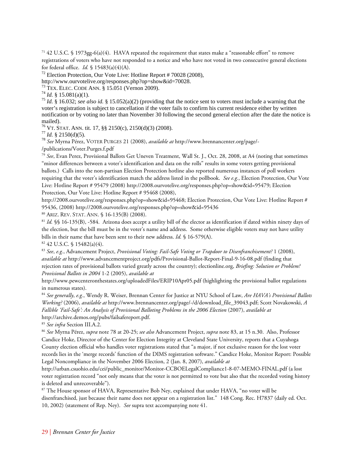<span id="page-33-0"></span><sup>71</sup> 42 U.S.C. § 1973gg-6(a)(4). HAVA repeated the requirement that states make a "reasonable effort" to remove registrations of voters who have not responded to a notice and who have not voted in two consecutive general elections for federal office. *Id.* § 15483(a)(4)(A).

<span id="page-33-1"></span><sup>72</sup> Election Protection, Our Vote Live: Hotline Report # 70028 (2008), http://www.ourvotelive.org/responses.php?op=show&id=70028.

<span id="page-33-4"></span><span id="page-33-3"></span>

<span id="page-33-2"></span><sup>73</sup> TEX. ELEC. CODE ANN. § 15.051 (Vernon 2009).<br><sup>74</sup> Id. § 15.081(a)(1).<br><sup>75</sup> Id. § 16.032; *see also id.* § 15.052(a)(2) (providing that the notice sent to voters must include a warning that the voter's registration is subject to cancellation if the voter fails to confirm his current residence either by written notification or by voting no later than November 30 following the second general election after the date the notice is mailed).<br><sup>76</sup> VT. STAT. ANN. tit. 17, §§ 2150(c), 2150(d)(3) (2008).

<span id="page-33-6"></span><span id="page-33-5"></span>76 VT. STAT. ANN. tit. 17, §§ 2150(c), 2150(d)(3) (2008). 77 *Id.* § 2150(d)(5). 78 *See* Myrna Pérez, VOTER PURGES 21 (2008), *available at* http://www.brennancenter.org/page/-

<span id="page-33-7"></span>/publications/Voter.Purges.f.pdf

<span id="page-33-8"></span><sup>79</sup> *See*, Evan Perez, Provisional Ballots Get Uneven Treatment, Wall St. J., Oct. 28, 2008, at A4 (noting that sometimes "minor differences between a voter's identification and data on the rolls" results in some voters getting provisional ballots.) Calls into the non-partisan Election Protection hotline also reported numerous instances of poll workers requiring that the voter's identification match the address listed in the pollbook. *See e.g.*, Election Protection, Our Vote Live: Hotline Report # 95479 (2008) http://2008.ourvotelive.org/responses.php?op=show&id=95479; Election Protection, Our Vote Live: Hotline Report # 95468 (2008),

http://2008.ourvotelive.org/responses.php?op=show&id=95468; Election Protection, Our Vote Live: Hotline Report # 95436, (2008) http://2008.ourvotelive.org/responses.php?op=show&id=95436<br><sup>80</sup> ARIZ. REV. STAT. ANN. § 16-135(B) (2008).<br><sup>81</sup> *Id.* §§ 16-135(B), -584. Arizona does accept a utility bill of the elector as identification if

<span id="page-33-9"></span>

<span id="page-33-10"></span>the election, but the bill must be in the voter's name and address. Some otherwise eligible voters may not have utility bills in their name that have been sent to their new address. *Id.* § 16-579(A). <sup>82</sup> 42 U.S.C. § 15482(a)(4).

<span id="page-33-11"></span>

<span id="page-33-12"></span><sup>83</sup> *See*, *e.g.*, Advancement Project, *Provisional Voting: Fail-Safe Voting or Trapdoor to Disenfranchisement?* 1 (2008), *available at* http://www.advancementproject.org/pdfs/Provisional-Ballot-Report-Final-9-16-08.pdf (finding that rejection rates of provisional ballots varied greatly across the country); electionline.org, *Briefing: Solution or Problem? Provisional Ballots in 2004* 1-2 (2005), *available at*

http://www.pewcenteronthestates.org/uploadedFiles/ERIP10Apr05.pdf (highlighting the provisional ballot regulations in numerous states).

<span id="page-33-13"></span><sup>84</sup> *See generally*, *e.g.*, Wendy R. Weiser, Brennan Center for Justice at NYU School of Law, *Are HAVA's Provisional Ballots Working?* (2006), *available at* http://www.brennancenter.org/page/-/d/download\_file\_39043.pdf; Scott Novakowski, *A Fallible 'Fail-Safe': An Analysis of Provisional Balloting Problems in the 2006 Election* (2007), *available at*  http://archive.demos.org/pubs/failsafereport.pdf.

<span id="page-33-15"></span><span id="page-33-14"></span><sup>85</sup> *See infra* Section III.A.2. 86 *See* Myrna Pérez, *supra* note 78 at 20-25; *see also* Advancement Project, *supra* note 83, at 15 n.30. Also, Professor Candice Hoke, Director of the Center for Election Integrity at Cleveland State University, reports that a Cuyahoga County election official who handles voter registrations stated that "a major, if not exclusive reason for the lost voter records lies in the 'merge records' function of the DIMS registration software." Candice Hoke, Monitor Report: Possible Legal Noncompliance in the November 2006 Election, 2 (Jan. 8, 2007), *available at*

http://urban.csuohio.edu/cei/public\_monitor/Monitor-CCBOELegalCompliance1-8-07-MEMO-FINAL.pdf (a lost voter registration record "not only means that the voter is not permitted to vote but also that the recorded voting history is deleted and unrecoverable").

<span id="page-33-16"></span>87 The House sponsor of HAVA, Representative Bob Ney, explained that under HAVA, "no voter will be disenfranchised, just because their name does not appear on a registration list." 148 Cong. Rec. H7837 (daily ed. Oct. 10, 2002) (statement of Rep. Ney). *See* supra text accompanying note 41.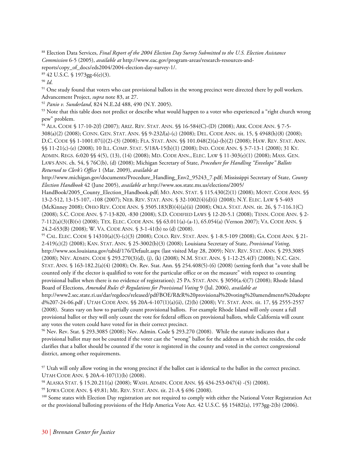<span id="page-34-0"></span>88 Election Data Services, *Final Report of the 2004 Election Day Survey Submitted to the U.S. Election Assistance Commission* 6-5 (2005), *available at* http://www.eac.gov/program-areas/research-resources-andreports/copy\_of\_docs/eds2004/2004-election-day-survey-1/.

<span id="page-34-1"></span> $89$  42 U.S.C. § 1973gg-6(e)(3).

<span id="page-34-3"></span><span id="page-34-2"></span><sup>90</sup> *Id*.<br><sup>91</sup> One study found that voters who cast provisional ballots in the wrong precinct were directed there by poll workers.

<span id="page-34-5"></span>

<span id="page-34-4"></span>Advancement Project, *supra* note 83, at 27.<br><sup>92</sup> Panio v. Sunderland, 824 N.E.2d 488, 490 (N.Y. 2005).<br><sup>93</sup> Note that this table does not predict or describe what would happen to a voter who experienced a "right church wr pew" problem.

<span id="page-34-6"></span>94 ALA. CODE § 17-10-2(f) (2007); ARIZ. REV. STAT. ANN. §§ 16-584(C)-(D) (2008); ARK. CODE ANN. § 7-5- 308(a)(2) (2008); CONN. GEN. STAT. ANN. §§ 9-232*l*(a)-(c) (2008); DEL. CODE ANN. tit. 15, § 4948(h)(8) (2008); D.C. CODE §§ 1-1001.07(i)(2)-(3) (2008); FLA. STAT. ANN. §§ 101.048(2)(a)-(b)(2) (2008); HAW. REV. STAT. ANN. §§ 11-21(c)-(e) (2008); 10 ILL. COMP. STAT. 5/18A-15(b)(1) (2008); IND. CODE ANN. § 3-7-13-1 (2008); 31 KY. ADMIN. REGS. 6:020 §§ 4(5), (13), (14) (2008); MD. CODE ANN., ELEC. LAW § 11-303(e)(1) (2008); MASS. GEN. LAWS ANN. ch. 54, § 76C(b), (d) (2008); Michigan Secretary of State, *Procedure for Handling "Envelope" Ballots Returned to Clerk's Office* 1 (Mar. 2009), *available at* 

http://www.michigan.gov/documents/Procedure\_Handling\_Env2\_95243\_7.pdf; Mississippi Secretary of State, *County Election Handbook* 42 (June 2005), *available at* http://www.sos.state.ms.us/elections/2005/

HandBook/2005\_County\_Election\_Handbook.pdf; MO. ANN. STAT. § 115.430(2)(1) (2008); MONT. CODE ANN. §§ 13-2-512, 13-15-107, -108 (2007); NEB. REV. STAT. ANN. § 32-1002(4)(d)(i) (2008); N.Y. ELEC. LAW § 5-403 (McKinney 2008); OHIO REV. CODE ANN. § 3505.183(B)(4)(a)(ii) (2008); OKLA. STAT. ANN. tit. 26, § 7-116.1(C) (2008); S.C. CODE ANN. § 7-13-820, -830 (2008); S.D. CODIFIED LAWS § 12-20-5.1 (2008); TENN. CODE ANN. § 2- 7-112(a)(3)(B)(v) (2008); TEX. ELEC. CODE ANN. §§ 63.011(a)-(a-1), 65.054(a) (Vernon 2007); VA. CODE ANN. §

<span id="page-34-7"></span>24.2-653(B) (2008); W. VA. CODE ANN. § 3-1-41(b) to (d) (2008).<br><sup>95</sup> CAL. ELEC. CODE § 14310(a)(3)-(c)(3) (2008); COLO. REV. STAT. ANN. § 1-8.5-109 (2008); GA. CODE ANN. § 21-2-419(c)(2) (2008); KAN. STAT. ANN. § 25-3002(b)(3) (2008); Louisiana Secretary of State, *Provisional Voting*, http://www.sos.louisiana.gov/tabid/176/Default.aspx (last visited May 28, 2009); NEV. REV. STAT. ANN. § 293.3085 (2008); NEV. ADMIN. CODE § 293.270(3)(d), (j), (k) (2008); N.M. STAT. ANN. § 1-12-25.4(F) (2008); N.C. GEN. STAT. ANN. § 163-182.2(a)(4) (2008); Or. Rev. Stat. Ann. §§ 254.408(5)-(6) (2008) (setting forth that "a vote shall be counted only if the elector is qualified to vote for the particular office or on the measure" with respect to counting provisional ballot when there is no evidence of registration); 25 PA. STAT. ANN. § 3050(a.4)(7) (2008); Rhode Island Board of Elections, *Amended Rules & Regulations for Provisional Voting* 9 (Jul. 2006), *available at* 

http://www2.sec.state.ri.us/dar/regdocs/released/pdf/BOE/R&R%20provisional%20voting%20amendments%20adopte d%207-24-06.pdf ; UTAH CODE ANN. §§ 20A-4-107(1)(a)(ii), (2)(b) (2008); VT. STAT. ANN. tit. 17, §§ 2555-2557 (2008). States vary on how to partially count provisional ballots. For example Rhode Island will only count a full provisional ballot or they will only count the vote for federal offices on provisional ballots, while California will count any votes the voters could have voted for in their correct precinct.

<span id="page-34-8"></span>96 Nev. Rev. Stat. § 293.3085 (2008); Nev. Admin. Code § 293.270 (2008). While the statute indicates that a provisional ballot may not be counted if the voter cast the "wrong" ballot for the address at which she resides, the code clarifies that a ballot should be counted if the voter is registered in the county and voted in the correct congressional district, among other requirements.

<span id="page-34-10"></span><span id="page-34-9"></span>97 Utah will only allow voting in the wrong precinct if the ballot cast is identical to the ballot in the correct precinct. UTAH CODE ANN. § 20A-4-107(1)(b) (2008).<br><sup>98</sup> ALASKA STAT. § 15.20.211(a) (2008); WASH. ADMIN. CODE ANN. §§ 434-253-047(4) -(5) (2008).<br><sup>99</sup> IOWA CODE ANN. § 49.81; ME. REV. STAT. ANN. tit. 21-A § 696 (2008).<br><sup>100</sup> Some st

<span id="page-34-11"></span>

<span id="page-34-12"></span>

<span id="page-34-13"></span>or the provisional balloting provisions of the Help America Vote Act. 42 U.S.C. §§ 15482(a), 1973gg-2(b) (2006).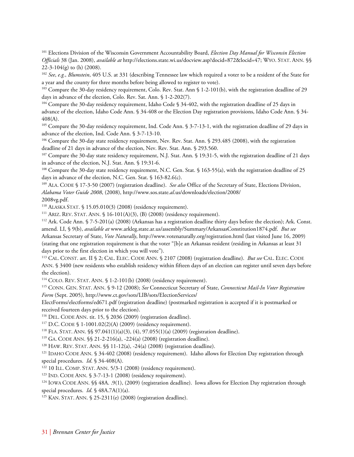<span id="page-35-0"></span>101 Elections Division of the Wisconsin Government Accountability Board, *Election Day Manual for Wisconsin Election Officials* 38 (Jan. 2008), *available at* http://elections.state.wi.us/docview.asp?docid=872&locid=47; WYO. STAT. ANN. §§  $22-3-104(g)$  to (h) (2008).

<span id="page-35-1"></span><sup>102</sup> *See*, *e.g.*, *Blumstein*, 405 U.S. at 331 (describing Tennessee law which required a voter to be a resident of the State for a year and the county for three months before being allowed to register to vote).

<span id="page-35-2"></span><sup>103</sup> Compare the 30-day residency requirement, Colo. Rev. Stat. Ann § 1-2-101(b), with the registration deadline of 29 days in advance of the election, Colo. Rev. Sat. Ann. § 1-2-202(7).

<span id="page-35-3"></span><sup>104</sup> Compare the 30-day residency requirement, Idaho Code § 34-402, with the registration deadline of 25 days in advance of the election, Idaho Code Ann. § 34-408 or the Election Day registration provisions, Idaho Code Ann. § 34- 408(A).

<span id="page-35-4"></span>105 Compare the 30-day residency requirement, Ind. Code Ann. § 3-7-13-1, with the registration deadline of 29 days in advance of the election, Ind. Code Ann. § 3-7-13-10.

<span id="page-35-5"></span>106 Compare the 30-day state residency requirement, Nev. Rev. Stat. Ann. § 293.485 (2008), with the registration deadline of 21 days in advance of the election, Nev. Rev. Stat. Ann. § 293.560.<br><sup>107</sup> Compare the 30-day state residency requirement, N.J. Stat. Ann. § 19:31-5, with the registration deadline of 21 days

<span id="page-35-6"></span>in advance of the election, N.J. Stat. Ann. § 19:31-6.

<span id="page-35-7"></span><sup>108</sup> Compare the 30-day state residency requirement, N.C. Gen. Stat. § 163-55(a), with the registration deadline of 25 days in advance of the election, N.C. Gen. Stat. § 163-82.6(c).

<span id="page-35-8"></span>109 ALA. CODE § 17-3-50 (2007) (registration deadline). *See also* Office of the Secretary of State, Elections Division, *Alabama Voter Guide 2008*, (2008), http://www.sos.state.*al*.us/downloads/election/2008/ 2008vg.pdf.

<span id="page-35-11"></span><span id="page-35-10"></span>

<span id="page-35-9"></span><sup>110</sup> ALASKA STAT. § 15.05.010(3) (2008) (residency requirement).<br><sup>111</sup> ARIZ. REV. STAT. ANN. § 16-101(A)(3), (B) (2008) (residency requirement).<br><sup>112</sup> Ark. Code Ann. § 7-5-201(a) (2008) (Arkansas has a registration deadl amend. LI, § 9(b), *available at* www.arkleg.state.ar.us/assembly/Summary/ArkansasConstitution1874.pdf. *But see* Arkansas Secretary of State, *Vote Naturally*, http://www.votenaturally.org/registration.html (last visited June 16, 2009) (stating that one registration requirement is that the voter "[b]e an Arkansas resident (residing in Arkansas at least 31 days prior to the first election in which you will vote").

<span id="page-35-12"></span>113 CAL. CONST. art. II § 2; CAL. ELEC. CODE ANN. § 2107 (2008) (registration deadline). *But see* CAL. ELEC. CODE ANN. § 3400 (new residents who establish residency within fifteen days of an election can register until seven days before the election).

<span id="page-35-14"></span><span id="page-35-13"></span>114 COLO. REV. STAT. ANN. § 1-2-101(b) (2008) (residency requirement). 115 CONN. GEN. STAT. ANN. § 9-12 (2008); *See* Connecticut Secretary of State, *Connecticut Mail-In Voter Registration Form* (Sept. 2005), http://www.ct.gov/sots/LIB/sots/ElectionServices/

ElectForms/electforms/ed671.pdf (registration deadline) (postmarked registration is accepted if it is postmarked or received fourteen days prior to the election).

<span id="page-35-17"></span>

<span id="page-35-18"></span>

<span id="page-35-20"></span><span id="page-35-19"></span>

<span id="page-35-16"></span><span id="page-35-15"></span><sup>116</sup> DEL. CODE ANN. tit. 15, § 2036 (2009) (registration deadline).<br><sup>117</sup> D.C. CODE § 1-1001.02(2)(A) (2009) (residency requirement).<br><sup>118</sup> FLA. STAT. ANN. §§ 97.041(1)(a)(3), (4), 97.055(1)(a) (2009) (registration deadl special procedures. *Id.* § 34-408(A).<br><sup>122</sup> 10 ILL. COMP. STAT. ANN. 5/3-1 (2008) (residency requirement).<br><sup>123</sup> IND. CODE ANN. § 3-7-13-1 (2008) (residency requirement).<br><sup>124</sup> IOWA CODE ANN. §§ 48A. .9(1), (2009) (regist

<span id="page-35-21"></span>

<span id="page-35-23"></span><span id="page-35-22"></span>special procedures. *Id*. § 48A.7A(1)(a).<br><sup>125</sup> KAN. STAT. ANN. § 25-2311(e) (2008) (registration deadline).

<span id="page-35-24"></span>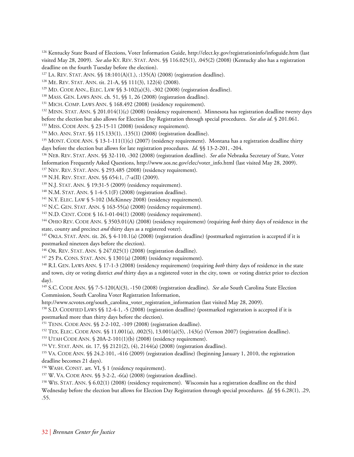126 Kentucky State Board of Elections, Voter Information Guide, http://elect.ky.gov/registrationinfo/infoguide.htm (last visited May 28, 2009). *See also* KY. REV. STAT. ANN. §§ 116.025(1), .045(2) (2008) (Kentucky also has a registration deadline on the fourth Tuesday before the election).

<sup>127</sup> LA. REV. STAT. ANN. §§ 18:101(A)(1.), :135(A) (2008) (registration deadline).<br><sup>128</sup> ME. REV. STAT. ANN. tit. 21-A, §§ 111(3), 122(4) (2008).<br><sup>129</sup> MD. CODE ANN, ELEC. LAW §§ 3-102(a)(3), -302 (2008) (registration de before the election but also allows for Election Day Registration through special procedures. *See also id*. § 201.061. <sup>133</sup> MISS. CODE ANN. § 23-15-11 (2008) (residency requirement).

<sup>134</sup> MO. ANN. STAT. §§ 115.133(1), .135(1) (2008) (registration deadline).<br><sup>135</sup> MONT. CODE ANN. § 13-1-111(1)(c) (2007) (residency requirement). Montana has a registration deadline thirty days before the election but allows for late registration procedures. *Id*. *§§* 13-2-201, -204.<br><sup>136</sup> NEB. REV. STAT. ANN. *§§* 32-110, -302 (2008) (registration deadline). *See also* Nebraska Secretary of State, Voter

Information Frequently Asked Questions, http://www.sos.ne.gov/elec/voter\_info.html (last visited May 28, 2009).<br><sup>137</sup> NEV. REV. STAT. ANN. § 293.485 (2008) (residency requirement).<br><sup>138</sup> N.H. REV. STAT. ANN. § 654:1, :7-a(

<sup>143</sup> N.D. CENT. CODE § 16.1-01-04(1) (2008) (residency requirement).<br><sup>144</sup> OHIO REV. CODE ANN. § 3503.01(A) (2008) (residency requirement) (requiring *both* thirty days of residence in the state, county and precinct *and* thirty days as a registered voter).

<sup>145</sup> OKLA. STAT. ANN. tit. 26, § 4-110.1(a) (2008) (registration deadline) (postmarked registration is accepted if it is postmarked nineteen days before the election).

146 OR. REV. STAT. ANN. § 247.025(1) (2008) (registration deadline).

<sup>147</sup> 25 PA. CONS. STAT. ANN. § 1301(a) (2008) (residency requirement).<br><sup>148</sup> R.I. GEN. LAWS ANN. § 17-1-3 (2008) (residency requirement) (requiring *both* thirty days of residence in the state and town, city or voting district *and* thirty days as a registered voter in the city, town or voting district prior to election day).

149 S.C. CODE ANN. §§ 7-5-120(A)(3), -150 (2008) (registration deadline). *See also* South Carolina State Election Commission, South Carolina Voter Registration Information,

http://www.scvotes.org/south\_carolina\_voter\_registration\_information (last visited May 28, 2009).<br><sup>150</sup> S.D. CODIFIED LAWS §§ 12-4-1, -5 (2008) (registration deadline) (postmarked registration is accepted if it is

postmarked more than thirty days before the election).

<sup>151</sup> TENN. CODE ANN. §§ 2-2-102, -109 (2008) (registration deadline).<br><sup>152</sup> TEX. ELEC. CODE ANN. §§ 11.001(a), .002(5), 13.001(a)(5), .143(e) (Vernon 2007) (registration deadline).<br><sup>153</sup> UTAH CODE ANN. § 20A-2-101(1)(b)

<sup>154</sup> VT. STAT. ANN. tit. 17,  $\$  2121(2), (4), 2144(a) (2008) (registration deadline).<br><sup>155</sup> VA. CODE ANN.  $\$  24.2-101, -416 (2009) (registration deadline) (beginning January 1, 2010, the registration deadline becomes 21 days).

<sup>156</sup> WASH. CONST. art. VI, § 1 (residency requirement).<br><sup>157</sup> W. VA. CODE ANN. §§ 3-2-2, -6(a) (2008) (registration deadline).<br><sup>158</sup> WIS. STAT. ANN. § 6.02(1) (2008) (residency requirement). Wisconsin has a registration Wednesday before the election but allows for Election Day Registration through special procedures. *Id*. §§ 6.28(1), .29, .55.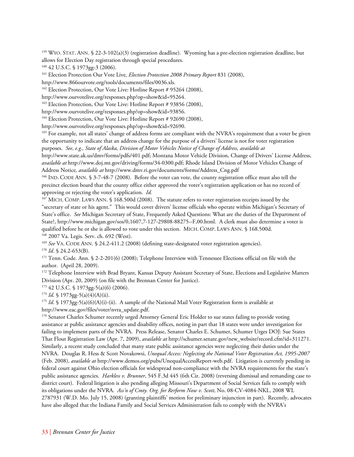<sup>159</sup> WYO. STAT. ANN. § 22-3-102(a)(3) (registration deadline). Wyoming has a pre-election registration deadline, but allows for Election Day registration through special procedures.

160 42 U.S.C. § 1973gg-3 (2006).

161 Election Protection Our Vote Live*, Election Protection 2008 Primary Report* 831 (2008),

http://www.866ourvote.org/tools/documents/files/0036.xls.<br><sup>162</sup> Election Protection, Our Vote Live: Hotline Report # 95264 (2008),

http://www.ourvotelive.org/responses.php?op=show&id=95264. 163 Election Protection, Our Vote Live: Hotline Report # 93856 (2008),

http://www.ourvotelive.org/responses.php?op=show&id=93856. 164 Election Protection, Our Vote Live: Hotline Report # 92690 (2008),

http://www.ourvotelive.org/responses.php?op=show&id=92690.

<sup>165</sup> For example, not all states' change of address forms are compliant with the NVRA's requirement that a voter be given the opportunity to indicate that an address change for the purpose of a drivers' license is not for voter registration purposes. *See, e.g., State of Alaska, Division of Motor Vehicles Notice of Change of Address, available at*

http://www.state.ak.us/dmv/forms/pdfs/401.pdf; Montana Motor Vehicle Division, Change of Drivers' License Address, *available at* http://www.doj.mt.gov/driving/forms/34-0300.pdf; Rhode Island Division of Motor Vehicles Change of Address Notice, *available at* http://www.dmv.ri.gov/documents/forms/Address\_Cng.pdf<br><sup>166</sup> IND. CODE ANN. § 3-7-48-7 (2008). Before the voter can vote, the county registration office must also tell the

precinct election board that the county office either approved the voter's registration application or has no record of approving or rejecting the voter's application. *Id.*

167 MICH. COMP. LAWS ANN. § 168.500d (2008). The statute refers to voter registration receipts issued by the "secretary of state or his agent." This would cover drivers' license officials who operate within Michigan's Secretary of State's office. *See* Michigan Secretary of State, Frequently Asked Questions: What are the duties of the Department of State?, http://www.michigan.gov/sos/0,1607,7-127-29808-88275--F,00.html. A clerk must also determine a voter is qualified before he or she is allowed to vote under this section. MICH. COMP. LAWS ANN. § 168.500d. 168 2007 Va. Legis. Serv. ch. 692 (West).

<sup>169</sup> See VA. CODE ANN. § 24.2-411.2 (2008) (defining state-designated voter registration agencies).<br><sup>170</sup> Id. § 24.2-653(B).<br><sup>171</sup> Tenn. Code. Ann. § 2-2-201(6) (2008); Telephone Interview with Tennessee Elections offici author. (April 28, 2009).

<sup>172</sup> Telephone Interview with Brad Bryant, Kansas Deputy Assistant Secretary of State, Elections and Legislative Matters Division (Apr. 20, 2009) (on file with the Brennan Center for Justice).

 $173$  42 U.S.C. § 1973gg-5(a)(6) (2006).

<sup>174</sup> *Id*. § 1973gg-5(a)(4)(A)(ii).<br><sup>175</sup> *Id*. § 1973gg-5(a)(6)(A)(i)-(ii). A sample of the National Mail Voter Registration form is available at http://www.eac.gov/files/voter/nvra\_update.pdf.

<sup>176</sup> Senator Charles Schumer recently urged Attorney General Eric Holder to sue states failing to provide voting assistance at public assistance agencies and disability offices, noting in part that 18 states were under investigation for failing to implement parts of the NVRA. Press Release, Senator Charles E. Schumer, Schumer Urges DOJ: Sue States That Flout Registration Law (Apr. 7, 2009), *available at* http://schumer.senate.gov/new\_website/record.cfm?id=311271. Similarly, a recent study concluded that many state public assistance agencies were neglecting their duties under the NVRA. Douglas R. Hess & Scott Novakowsi, *Unequal Access: Neglecting the National Voter Registration Act, 1995-2007* (Feb. 2008), *available at* http://www.demos.org/pubs/UnequalAccessReport-web.pdf. Litigation is currently pending in federal court against Ohio election officials for widespread non-compliance with the NVRA requirements for the state's public assistance agencies. *Harkless v. Brunner*, 545 F.3d 445 (6th Cir. 2008) (reversing dismissal and remanding case to district court). Federal litigation is also pending alleging Missouri's Department of Social Services fails to comply with its obligations under the NVRA. *Ass'n of Cmty. Org. for Rerform Now v. Scott*, No. 08-CV-4084-NKL, 2008 WL 2787931 (W.D. Mo. July 15, 2008) (granting plaintiffs' motion for preliminary injunction in part). Recently, advocates have also alleged that the Indiana Family and Social Services Administration fails to comply with the NVRA's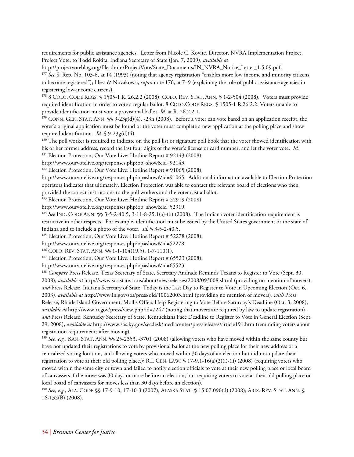requirements for public assistance agencies. Letter from Nicole C. Kovite, Director, NVRA Implementation Project, Project Vote, to Todd Rokita, Indiana Secretary of State (Jan. 7, 2009), *available at*

http://projectvoteblog.org/fileadmin/ProjectVote/State\_Documents/IN\_NVRA\_Notice\_Letter\_1.5.09.pdf.<br><sup>177</sup> See S. Rep. No. 103-6, at 14 (1993) (noting that agency registration "enables more low income and minority citizens

to become registered"); Hess & Novakowsi, *supra* note 176, at 7–9 (explaining the role of public assistance agencies in registering low-income citizens).

178 8 COLO. CODE REGS. § 1505-1 R. 26.2.2 (2008); COLO. REV. STAT. ANN. § 1-2-504 (2008). Voters must provide required identification in order to vote a regular ballot. 8 COLO.CODE REGS. § 1505-1 R.26.2.2. Voters unable to provide identification must vote a provisional ballot. *Id.* at R. 26.2.2.1.<br><sup>179</sup> CONN. GEN. STAT. ANN. §§ 9-23g(d)(4), -23n (2008). Before a voter can vote based on an application receipt, the

voter's original application must be found or the voter must complete a new application at the polling place and show required identification. *Id.* § 9-23g(d)(4).<br><sup>180</sup> The poll worker is required to indicate on the poll list or signature poll book that the voter showed identification with

his or her former address, record the last four digits of the voter's license or card number, and let the voter vote. *Id.*

<sup>181</sup> Election Protection, Our Vote Live: Hotline Report # 92143 (2008),

http://www.ourvotelive.org/responses.php?op=show&id=92143. 182 Election Protection, Our Vote Live: Hotline Report # 91065 (2008),

[http://www.ourvotelive.org/responses.php?op=show&id=91065.](http://www.ourvotelive.org/responses.php?op=show&id=91065) Additional information available to Election Protection operators indicates that ultimately, Election Protection was able to contact the relevant board of elections who then provided the correct instructions to the poll workers and the voter cast a ballot.

<sup>183</sup> Election Protection, Our Vote Live: Hotline Report # 52919 (2008),

http://www.ourvotelive.org/responses.php?op=show&id=52919.<br><sup>184</sup> *See* IND. CODE ANN. §§ 3-5-2-40.5, 3-11-8-25.1(a)-(b) (2008). The Indiana voter identification requirement is restrictive in other respects. For example, identification must be issued by the United States government or the state of

Indiana and to include a photo of the voter. *Id.* § 3-5-2-40.5.<br><sup>185</sup> Election Protection, Our Vote Live: Hotline Report # 52278 (2008),

http://www.ourvotelive.org/responses.php?op=show&id=52278.<br><sup>186</sup> COLO. REV. STAT. ANN. §§ 1-1-104(19.5), 1-7-110(1).<br><sup>187</sup> Election Protection, Our Vote Live: Hotline Report # 65523 (2008),

http://www.ourvotelive.org/responses.php?op=show&id=65523.<br><sup>188</sup> *Compare* Press Release, Texas Secretary of State, Secretary Andrade Reminds Texans to Register to Vote (Sept. 30, 2008), *available at* http://www.sos.state.tx.us/about/newsreleases/2008/093008.shtml (providing no mention of movers), *and* Press Release, Indiana Secretary of State, Today is the Last Day to Register to Vote in Upcoming Election (Oct. 6, 2003), *available at* http://www.in.gov/sos/press/old/10062003.html (providing no mention of movers), *with* Press Release, Rhode Island Government, Mollis Offers Help Registering to Vote Before Saturday's Deadline (Oct. 3, 2008), *available at* http://www.ri.gov/press/view.php?id=7247 (noting that movers are required by law to update registration), *and* Press Release, Kentucky Secretary of State, Kentuckians Face Deadline to Register to Vote in General Election (Sept. 29, 2008), *available at* http://www.sos.ky.gov/secdesk/mediacenter/pressreleases/article191.htm (reminding voters about registration requirements after moving).

<sup>189</sup> *See*, *e.g.*, KAN. STAT. ANN. §§ 25-2353, -3701 (2008) (allowing voters who have moved within the same county but have not updated their registrations to vote by provisional ballot at the new polling place for their new address or a centralized voting location, and allowing voters who moved within 30 days of an election but did not update their registration to vote at their old polling place.); R.I. GEN. LAWS  $\S 17-9.1-16(a)(2)(i)-(ii)$  (2008) (requiring voters who moved within the same city or town and failed to notify election officials to vote at their new polling place or local board of canvassers if the move was 30 days or more before an election, but requiring voters to vote at their old polling place or local board of canvassers for moves less than 30 days before an election).

<sup>190</sup> *See*, *e.g.*, ALA. CODE §§ 17-9-10, 17-10-3 (2007); ALASKA STAT. § 15.07.090(d) (2008); ARIZ. REV. STAT. ANN. § 16-135(B) (2008).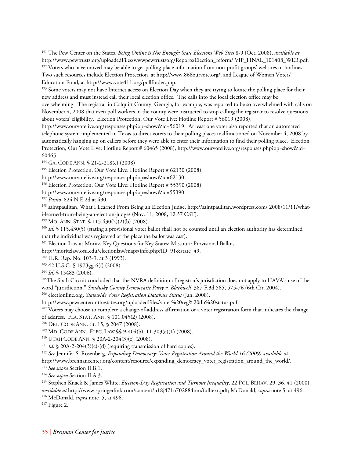191 The Pew Center on the States, *Being Online is Not Enough: State Elections Web Sites* 8-9 (Oct. 2008), *available at* http://www.pewtrusts.org/uploadedFiles/wwwpewtrustsorg/Reports/Election\_reform/ VIP\_FINAL\_101408\_WEB.pdf. 192 Voters who have moved may be able to get polling place information from non-profit groups' websites or hotlines. Two such resources include Election Protection, at http://www.866ourvote.org/, and League of Women Voters' Education Fund, at http://www.vote411.org/pollfinder.php.<br><sup>193</sup> Some voters may not have Internet access on Election Day when they are trying to locate the polling place for their

new address and must instead call their local election office. The calls into the local election office may be overwhelming. The registrar in Colquitt County, Georgia, for example, was reported to be so overwhelmed with calls on November 4, 2008 that even poll workers in the county were instructed to stop calling the registrar to resolve questions about voters' eligibility. Election Protection, Our Vote Live: Hotline Report # 56019 (2008),

http://www.ourvotelive.org/responses.php?op=show&id=56019. At least one voter also reported that an automated telephone system implemented in Texas to direct voters to their polling places malfunctioned on November 4, 2008 by automatically hanging up on callers before they were able to enter their information to find their polling place. Election Protection, Our Vote Live: Hotline Report # 60465 (2008), http://www.ourvotelive.org/responses.php?op=show&id= 60465.

<sup>194</sup> GA. CODE ANN. § 21-2-218(e) (2008)<br><sup>195</sup> Election Protection, Our Vote Live: Hotline Report # 62130 (2008),

http://www.ourvotelive.org/responses.php?op=show&id=62130. 196 Election Protection, Our Vote Live: Hotline Report # 55390 (2008),

http://www.ourvotelive.org/responses.php?op=show&id=55390.<br><sup>197</sup> *Panio*, 824 N.E.2d at 490.<br><sup>198</sup> saintpaulitan, What I Learned From Being an Election Judge, http://saintpaulitan.wordpress.com/ 2008/11/11/whati-learned-from-being-an-election-judge/ (Nov. 11, 2008, 12:37 CST).

<sup>199</sup> MO. ANN. STAT. § 115.430(2)(2)(b) (2008).<br><sup>200</sup> *Id.* § 115.430(5) (stating a provisional voter ballot shall not be counted until an election authority has determined that the individual was registered at the place the ballot was cast).

<sup>201</sup> Election Law at Moritz, Key Questions for Key States: Missouri: Provisional Ballot,

http://moritzlaw.osu.edu/electionlaw/maps/info.php?ID=91&state=49.<br><sup>202</sup> H.R. Rep. No. 103-9, at 3 (1993).

203 42 U.S.C. § 1973gg-6(f) (2008).

<sup>204</sup> *Id*. § 15483 (2006).<br><sup>205</sup>The Sixth Circuit concluded that the NVRA definition of registrar's jurisdiction does not apply to HAVA's use of the word "jurisdiction." *Sandusky County Democratic Party v. Blackwell*, 387 F.3d 565, 575-76 (6th Cir. 2004). 206 electionline.org, *Statewide Voter Registration Database Status* (Jan. 2008),

http://www.pewcenteronthestates.org/uploadedFiles/voter%20reg%20db%20status.pdf.<br><sup>207</sup> Voters may choose to complete a change-of-address affirmation or a voter registration form that indicates the change of address. FLA. STAT. ANN. § 101.045(2) (2008).<br><sup>208</sup> DEL. CODE ANN. tit. 15, § 2047 (2008).<br><sup>209</sup> MD. CODE ANN., ELEC. LAW §§ 9-404(b), 11-303(e)(1) (2008).<br><sup>210</sup> UTAH CODE ANN. § 20A-2-204(3)(e) (2008).<br><sup>211</sup> *Id.* § 20

http://www.brennancenter.org/content/resource/expanding\_democracy\_voter\_registration\_around\_the\_world/.

<sup>213</sup> *See supra* Section II.B.1. 214 *See supra* Section II.A.3. 215 Stephen Knack & James White, *Election-Day Registration and Turnout Inequality*, 22 POL. BEHAV. 29, 36, 41 (2000), *available at* http://www.springerlink.com/content/u18j471u702884nm/fulltext.pdf; McDonald, *supra* note 5, at 496. 216 McDonald, *supra* note 5, at 496. 217 Figure 2.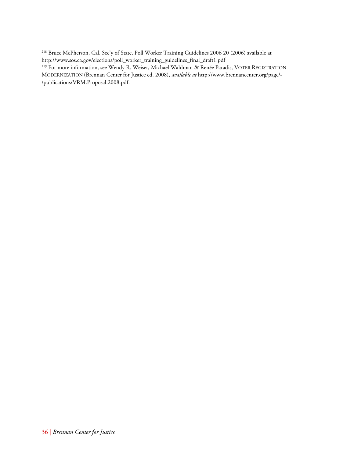218 Bruce McPherson, Cal. Sec'y of State, Poll Worker Training Guidelines 2006 20 (2006) available at

http://www.sos.ca.gov/elections/poll\_worker\_training\_guidelines\_final\_draft1.pdf 219 For more information, see Wendy R. Weiser, Michael Waldman & Renée Paradis, VOTER REGISTRATION MODERNIZATION (Brennan Center for Justice ed. 2008), *available at* http://www.brennancenter.org/page/- /publications/VRM.Proposal.2008.pdf.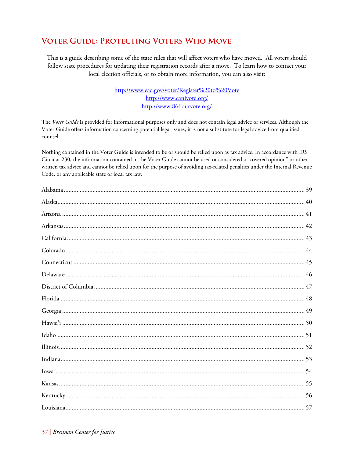# **VOTER GUIDE: PROTECTING VOTERS WHO MOVE**

This is a guide describing some of the state rules that will affect voters who have moved. All voters should follow state procedures for updating their registration records after a move. To learn how to contact your local election officials, or to obtain more information, you can also visit:

> http://www.eac.gov/voter/Register%20to%20Vote http://www.canivote.org/ http://www.866ourvote.org/

The Voter Guide is provided for informational purposes only and does not contain legal advice or services. Although the Voter Guide offers information concerning potential legal issues, it is not a substitute for legal advice from qualified counsel.

Nothing contained in the Voter Guide is intended to be or should be relied upon as tax advice. In accordance with IRS Circular 230, the information contained in the Voter Guide cannot be used or considered a "covered opinion" or other written tax advice and cannot be relied upon for the purpose of avoiding tax-related penalties under the Internal Revenue Code, or any applicable state or local tax law.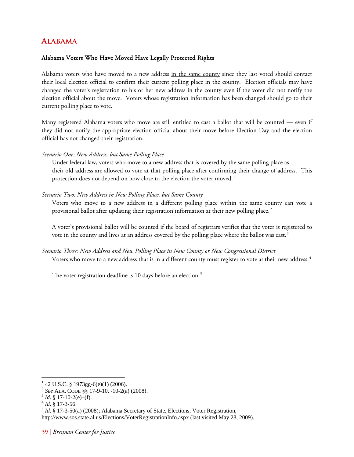# <span id="page-43-0"></span>**Alabama**

# Alabama Voters Who Have Moved Have Legally Protected Rights

Alabama voters who have moved to a new address in the same county since they last voted should contact their local election official to confirm their current polling place in the county. Election officials may have changed the voter's registration to his or her new address in the county even if the voter did not notify the election official about the move. Voters whose registration information has been changed should go to their current polling place to vote.

Many registered Alabama voters who move are still entitled to cast a ballot that will be counted — even if they did not notify the appropriate election official about their move before Election Day and the election official has not changed their registration.

### *Scenario One: New Address, but Same Polling Place*

 Under federal law, voters who move to a new address that is covered by the same polling place as their old address are allowed to vote at that polling place after confirming their change of address. This protection does not depend on how close to the election the voter moved.<sup>[1](#page-43-1)</sup>

### *Scenario Two: New Address in New Polling Place, but Same County*

Voters who move to a new address in a different polling place within the same county can vote a provisional ballot after updating their registration information at their new polling place.<sup>[2](#page-43-2)</sup>

A voter's provisional ballot will be counted if the board of registrars verifies that the voter is registered to vote in the county and lives at an address covered by the polling place where the ballot was cast.<sup>[3](#page-43-3)</sup>

# *Scenario Three: New Address and New Polling Place in New County or New Congressional District*  Voters who move to a new address that is in a different county must register to vote at their new address.[4](#page-43-4)

The voter registration deadline is 10 days before an election.<sup>[5](#page-43-5)</sup>

 $\overline{a}$  $142$  U.S.C. § 1973gg-6(e)(1) (2006).

<span id="page-43-4"></span>

<span id="page-43-3"></span><span id="page-43-2"></span><span id="page-43-1"></span><sup>&</sup>lt;sup>2</sup> *See* ALA. CODE §§ 17-9-10, -10-2(a) (2008).<br><sup>3</sup> *Id*. § 17-10-2(e)–(f).<br><sup>4</sup> *Id*. § 17-3-56. 5 *Id*. § 17-3-50(a) (2008); Alabama Secretary of State, Elections, Voter Registration,

<span id="page-43-5"></span>http://www.sos.state.al.us/Elections/VoterRegistrationInfo.aspx (last visited May 28, 2009).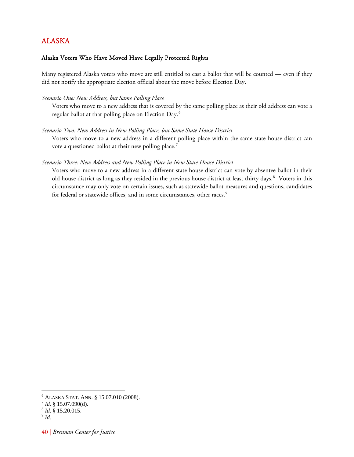# <span id="page-44-0"></span>ALASKA

# Alaska Voters Who Have Moved Have Legally Protected Rights

Many registered Alaska voters who move are still entitled to cast a ballot that will be counted — even if they did not notify the appropriate election official about the move before Election Day.

### *Scenario One: New Address, but Same Polling Place*

Voters who move to a new address that is covered by the same polling place as their old address can vote a regular ballot at that polling place on Election Day.[6](#page-44-1)

### *Scenario Two: New Address in New Polling Place, but Same State House District*

Voters who move to a new address in a different polling place within the same state house district can vote a questioned ballot at their new polling place.<sup>[7](#page-44-2)</sup>

### *Scenario Three: New Address and New Polling Place in New State House District*

Voters who move to a new address in a different state house district can vote by absentee ballot in their old house district as long as they resided in the previous house district at least thirty days.<sup>[8](#page-44-3)</sup> Voters in this circumstance may only vote on certain issues, such as statewide ballot measures and questions, candidates for federal or statewide offices, and in some circumstances, other races.<sup>[9](#page-44-4)</sup>

<sup>&</sup>lt;sup>6</sup> ALASKA STAT. ANN. § 15.07.010 (2008).

<span id="page-44-3"></span><span id="page-44-2"></span><span id="page-44-1"></span><sup>&</sup>lt;sup>7</sup> *Id.* § 15.07.090(d). <sup>8</sup> *Id.* § 15.20.015. <sup>9</sup> *Id.* 

<span id="page-44-4"></span>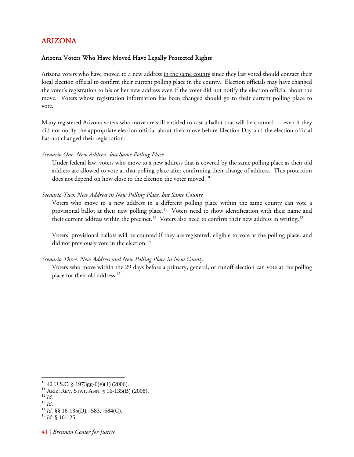# <span id="page-45-0"></span>ARIZONA

# Arizona Voters Who Have Moved Have Legally Protected Rights

Arizona voters who have moved to a new address in the same county since they last voted should contact their local election official to confirm their current polling place in the county. Election officials may have changed the voter's registration to his or her new address even if the voter did not notify the election official about the move. Voters whose registration information has been changed should go to their current polling place to vote.

Many registered Arizona voters who move are still entitled to cast a ballot that will be counted — even if they did not notify the appropriate election official about their move before Election Day and the election official has not changed their registration.

*Scenario One: New Address, but Same Polling Place* 

Under federal law, voters who move to a new address that is covered by the same polling place as their old address are allowed to vote at that polling place after confirming their change of address. This protection does not depend on how close to the election the voter moved.<sup>[10](#page-45-1)</sup>

### *Scenario Two: New Address in New Polling Place, but Same County*

Voters who move to a new address in a different polling place within the same county can vote a provisional ballot at their new polling place.<sup>[11](#page-45-2)</sup> Voters need to show identification with their name and their current address within the precinct.<sup>[12](#page-45-3)</sup> Voters also need to confirm their new address in writing.<sup>[13](#page-45-4)</sup>

Voters' provisional ballots will be counted if they are registered, eligible to vote at the polling place, and did not previously vote in the election.<sup>[14](#page-45-5)</sup>

### *Scenario Three: New Address and New Polling Place in New County*

Voters who move within the 29 days before a primary, general, or runoff election can vote at the polling place for their old address.<sup>[15](#page-45-6)</sup>

- <span id="page-45-1"></span> $^{10}$  42 U.S.C. § 1973gg-6(e)(1) (2006).<br> $^{11}$  Ariz. Rev. Stat. Ann. § 16-135(B) (2008).
- 

<span id="page-45-4"></span><span id="page-45-3"></span><span id="page-45-2"></span><sup>12</sup> *Id.*<br>
<sup>13</sup> *Id.*<br>
<sup>14</sup> *Id.* §§ 16-135(D), -583, -584(C).<br>
<sup>15</sup> *Id.* § 16-125.

<span id="page-45-6"></span><span id="page-45-5"></span>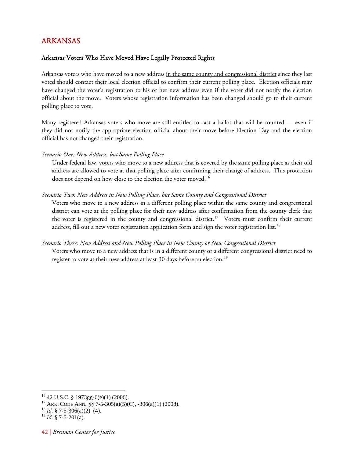# <span id="page-46-0"></span>ARKANSAS

# Arkansas Voters Who Have Moved Have Legally Protected Rights

Arkansas voters who have moved to a new address in the same county and congressional district since they last voted should contact their local election official to confirm their current polling place. Election officials may have changed the voter's registration to his or her new address even if the voter did not notify the election official about the move. Voters whose registration information has been changed should go to their current polling place to vote.

Many registered Arkansas voters who move are still entitled to cast a ballot that will be counted — even if they did not notify the appropriate election official about their move before Election Day and the election official has not changed their registration.

*Scenario One: New Address, but Same Polling Place* 

Under federal law, voters who move to a new address that is covered by the same polling place as their old address are allowed to vote at that polling place after confirming their change of address. This protection does not depend on how close to the election the voter moved.<sup>[16](#page-46-1)</sup>

# *Scenario Two: New Address in New Polling Place, but Same County and Congressional District*

Voters who move to a new address in a different polling place within the same county and congressional district can vote at the polling place for their new address after confirmation from the county clerk that the voter is registered in the county and congressional district.<sup>[17](#page-46-2)</sup> Voters must confirm their current address, fill out a new voter registration application form and sign the voter registration list.<sup>[18](#page-46-3)</sup>

### *Scenario Three: New Address and New Polling Place in New County or New Congressional District*

Voters who move to a new address that is in a different county or a different congressional district need to register to vote at their new address at least 30 days before an election.<sup>[19](#page-46-4)</sup>

<span id="page-46-1"></span> $^{16}$  42 U.S.C. § 1973gg-6(e)(1) (2006).

<span id="page-46-2"></span><sup>17</sup> ARK. CODE ANN*.* §§ 7-5-305(a)(5)(C), -306(a)(1) (2008). 18 *Id.* § 7-5-306(a)(2)–(4).

<span id="page-46-3"></span>

<span id="page-46-4"></span> $^{19}$  *Id.* § 7-5-201(a).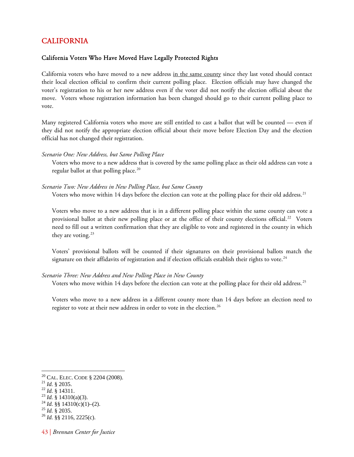# <span id="page-47-0"></span>CALIFORNIA

## California Voters Who Have Moved Have Legally Protected Rights

California voters who have moved to a new address in the same county since they last voted should contact their local election official to confirm their current polling place. Election officials may have changed the voter's registration to his or her new address even if the voter did not notify the election official about the move. Voters whose registration information has been changed should go to their current polling place to vote.

Many registered California voters who move are still entitled to cast a ballot that will be counted — even if they did not notify the appropriate election official about their move before Election Day and the election official has not changed their registration.

### *Scenario One: New Address, but Same Polling Place*

Voters who move to a new address that is covered by the same polling place as their old address can vote a regular ballot at that polling place.<sup>[20](#page-47-1)</sup>

### *Scenario Two: New Address in New Polling Place, but Same County*

Voters who move within 14 days before the election can vote at the polling place for their old address.<sup>[21](#page-47-2)</sup>

Voters who move to a new address that is in a different polling place within the same county can vote a provisional ballot at their new polling place or at the office of their county elections official.<sup>[22](#page-47-3)</sup> Voters need to fill out a written confirmation that they are eligible to vote and registered in the county in which they are voting.<sup>[23](#page-47-4)</sup>

Voters' provisional ballots will be counted if their signatures on their provisional ballots match the signature on their affidavits of registration and if election officials establish their rights to vote.<sup>[24](#page-47-5)</sup>

### *Scenario Three: New Address and New Polling Place in New County*

Voters who move within 14 days before the election can vote at the polling place for their old address.<sup>[25](#page-47-6)</sup>

Voters who move to a new address in a different county more than 14 days before an election need to register to vote at their new address in order to vote in the election.<sup>[26](#page-47-7)</sup>

<span id="page-47-2"></span><span id="page-47-1"></span><sup>&</sup>lt;sup>20</sup> CAL. ELEC. CODE § 2204 (2008).<br><sup>21</sup> *Id.* § 2035.<br><sup>22</sup> *Id.* § 14311.<br><sup>23</sup> *Id.* §§ 14310(a)(3).<br><sup>24</sup> *Id.* §§ 14310(c)(1)–(2).<br><sup>25</sup> *Id.* § 2035.<br><sup>26</sup> *Id.* §§ 2116, 2225(c).

<span id="page-47-3"></span>

<span id="page-47-4"></span>

<span id="page-47-5"></span>

<span id="page-47-7"></span><span id="page-47-6"></span>

<sup>43 |</sup> *Brennan Center for Justice*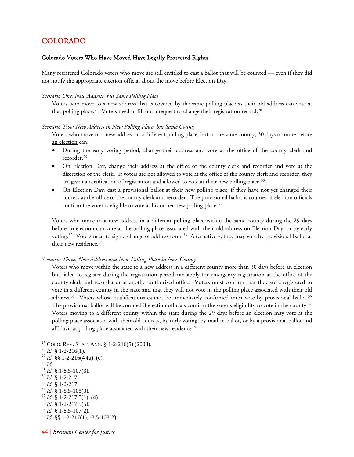# <span id="page-48-0"></span>COLORADO

### Colorado Voters Who Have Moved Have Legally Protected Rights

Many registered Colorado voters who move are still entitled to cast a ballot that will be counted — even if they did not notify the appropriate election official about the move before Election Day.

#### *Scenario One: New Address, but Same Polling Place*

Voters who move to a new address that is covered by the same polling place as their old address can vote at that polling place.<sup>[27](#page-48-1)</sup> Voters need to fill out a request to change their registration record.<sup>[28](#page-48-2)</sup>

#### *Scenario Two: New Address in New Polling Place, but Same County*

Voters who move to a new address in a different polling place, but in the same county, 30 days or more before an election can:

- During the early voting period, change their address and vote at the office of the county clerk and recorder.<sup>[29](#page-48-3)</sup>
- On Election Day, change their address at the office of the county clerk and recorder and vote at the discretion of the clerk. If voters are not allowed to vote at the office of the county clerk and recorder, they are given a certification of registration and allowed to vote at their new polling place.<sup>[30](#page-48-4)</sup>
- On Election Day, cast a provisional ballot at their new polling place, if they have not yet changed their address at the office of the county clerk and recorder. The provisional ballot is counted if election officials confirm the voter is eligible to vote at his or her new polling place. $31$

Voters who move to a new address in a different polling place within the same county during the 29 days before an election can vote at the polling place associated with their old address on Election Day, or by early voting.<sup>[32](#page-48-6)</sup> Voters need to sign a change of address form.<sup>[33](#page-48-7)</sup> Alternatively, they may vote by provisional ballot at their new residence.<sup>[34](#page-48-8)</sup>

#### *Scenario Three: New Address and New Polling Place in New County*

Voters who move within the state to a new address in a different county more than 30 days before an election but failed to register during the registration period can apply for emergency registration at the office of the county clerk and recorder or at another authorized office. Voters must confirm that they were registered to vote in a different county in the state and that they will not vote in the polling place associated with their old address.<sup>[35](#page-48-9)</sup> Voters whose qualifications cannot be immediately confirmed must vote by provisional ballot.<sup>[36](#page-48-10)</sup> The provisional ballot will be counted if election officials confirm the voter's eligibility to vote in the county.<sup>[37](#page-48-11)</sup> Voters moving to a different county within the state during the 29 days before an election may vote at the polling place associated with their old address, by early voting, by mail-in ballot, or by a provisional ballot and affidavit at polling place associated with their new residence.<sup>[38](#page-48-12)</sup>

- <span id="page-48-6"></span>
- <span id="page-48-7"></span>

<span id="page-48-12"></span><span id="page-48-11"></span><span id="page-48-10"></span>

<sup>27</sup> COLO. REV. STAT. ANN. § 1-2-216(5) (2008). 28 *Id.* § 1-2-216(1).

<span id="page-48-4"></span>

<span id="page-48-5"></span>

<span id="page-48-8"></span>

<span id="page-48-9"></span>

<span id="page-48-3"></span><span id="page-48-2"></span><span id="page-48-1"></span><sup>&</sup>lt;sup>28</sup> *Id.* § 1-2-216(1).<br>
<sup>29</sup> *Id.* §§ 1-2-216(4)(a)–(c).<br>
<sup>30</sup> *Id.*<br>
<sup>31</sup> *Id.* § 1-8.5-107(3).<br>
<sup>32</sup> *Id.* § 1-2-217.<br>
<sup>33</sup> *Id.* § 1-8.5-108(3).<br>
<sup>35</sup> *Id.* § 1-8.5-108(3).<br>
<sup>36</sup> *Id.* § 1-2-217.5(1)–(4).<br>
<sup>36</sup> *Id.* 

<sup>44 |</sup> *Brennan Center for Justice*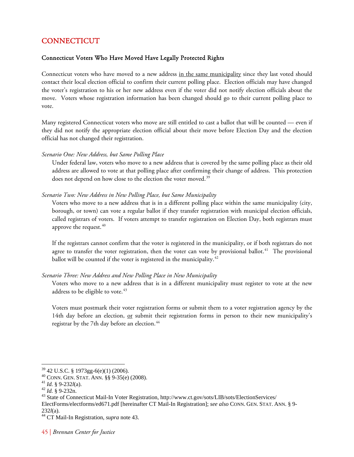# <span id="page-49-0"></span>**CONNECTICUT**

## Connecticut Voters Who Have Moved Have Legally Protected Rights

Connecticut voters who have moved to a new address in the same municipality since they last voted should contact their local election official to confirm their current polling place. Election officials may have changed the voter's registration to his or her new address even if the voter did not notify election officials about the move. Voters whose registration information has been changed should go to their current polling place to vote.

Many registered Connecticut voters who move are still entitled to cast a ballot that will be counted — even if they did not notify the appropriate election official about their move before Election Day and the election official has not changed their registration.

*Scenario One: New Address, but Same Polling Place* 

Under federal law, voters who move to a new address that is covered by the same polling place as their old address are allowed to vote at that polling place after confirming their change of address. This protection does not depend on how close to the election the voter moved.<sup>[39](#page-49-1)</sup>

*Scenario Two: New Address in New Polling Place, but Same Municipality* 

Voters who move to a new address that is in a different polling place within the same municipality (city, borough, or town) can vote a regular ballot if they transfer registration with municipal election officials, called registrars of voters. If voters attempt to transfer registration on Election Day, both registrars must approve the request.  $40$ 

If the registrars cannot confirm that the voter is registered in the municipality, or if both registrars do not agree to transfer the voter registration, then the voter can vote by provisional ballot.<sup>[41](#page-49-3)</sup> The provisional ballot will be counted if the voter is registered in the municipality.<sup>[42](#page-49-4)</sup>

### *Scenario Three: New Address and New Polling Place in New Municipality*

Voters who move to a new address that is in a different municipality must register to vote at the new address to be eligible to vote.<sup>[43](#page-49-5)</sup>

Voters must postmark their voter registration forms or submit them to a voter registration agency by the 14th day before an election, or submit their registration forms in person to their new municipality's registrar by the 7th day before an election.<sup>[44](#page-49-6)</sup>

<span id="page-49-2"></span><span id="page-49-1"></span> $^{39}$  42 U.S.C. § 1973gg-6(e)(1) (2006).<br><sup>40</sup> CONN. GEN. STAT. ANN. §§ 9-35(e) (2008).

<span id="page-49-5"></span>

<span id="page-49-4"></span><span id="page-49-3"></span><sup>&</sup>lt;sup>41</sup> *Id.* § 9-232*l*(a).<br><sup>42</sup> *Id.* § 9-232n.<br><sup>43</sup> State of Connecticut Mail-In Voter Registration, http://www.ct.gov/sots/LIB/sots/ElectionServices/ ElectForms/electforms/ed671.pdf [hereinafter CT Mail-In Registration]; *see also* CONN. GEN. STAT. ANN. § 9-

<span id="page-49-6"></span><sup>232</sup>*l*(a). 44 CT Mail-In Registration, *supra* note 43.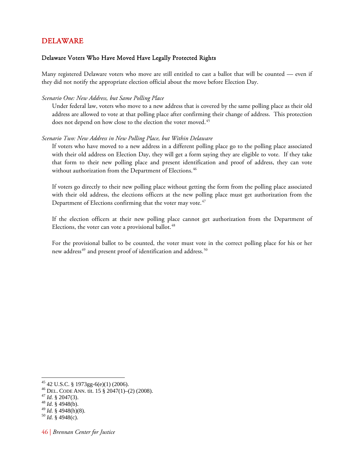# <span id="page-50-0"></span>DELAWARE

# Delaware Voters Who Have Moved Have Legally Protected Rights

Many registered Delaware voters who move are still entitled to cast a ballot that will be counted — even if they did not notify the appropriate election official about the move before Election Day.

### *Scenario One: New Address, but Same Polling Place*

Under federal law, voters who move to a new address that is covered by the same polling place as their old address are allowed to vote at that polling place after confirming their change of address. This protection does not depend on how close to the election the voter moved.<sup>[45](#page-50-1)</sup>

### *Scenario Two: New Address in New Polling Place, but Within Delaware*

If voters who have moved to a new address in a different polling place go to the polling place associated with their old address on Election Day, they will get a form saying they are eligible to vote. If they take that form to their new polling place and present identification and proof of address, they can vote without authorization from the Department of Elections.<sup>[46](#page-50-2)</sup>

If voters go directly to their new polling place without getting the form from the polling place associated with their old address, the elections officers at the new polling place must get authorization from the Department of Elections confirming that the voter may vote. $47$ 

If the election officers at their new polling place cannot get authorization from the Department of Elections, the voter can vote a provisional ballot.<sup>[48](#page-50-4)</sup>

For the provisional ballot to be counted, the voter must vote in the correct polling place for his or her new address<sup>[49](#page-50-5)</sup> and present proof of identification and address.<sup>[50](#page-50-6)</sup>

 $\overline{a}$ 45 42 U.S.C. § 1973gg-6(e)(1) (2006).

<span id="page-50-3"></span><span id="page-50-2"></span><span id="page-50-1"></span><sup>46</sup> DEL. CODE ANN. tit. 15 § 2047(1)–(2) (2008). 47 *Id.* § 2047(3). 48 *Id.* § 4948(b).

<span id="page-50-6"></span><span id="page-50-5"></span><span id="page-50-4"></span><sup>49</sup> *Id.* § 4948(h)(8). 50 *Id.* § 4948(c).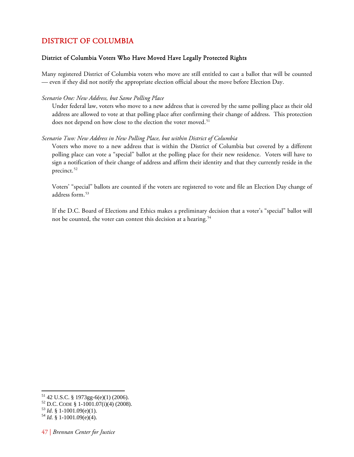# <span id="page-51-0"></span>DISTRICT OF COLUMBIA

## District of Columbia Voters Who Have Moved Have Legally Protected Rights

Many registered District of Columbia voters who move are still entitled to cast a ballot that will be counted — even if they did not notify the appropriate election official about the move before Election Day.

### *Scenario One: New Address, but Same Polling Place*

Under federal law, voters who move to a new address that is covered by the same polling place as their old address are allowed to vote at that polling place after confirming their change of address. This protection does not depend on how close to the election the voter moved.<sup>[51](#page-51-1)</sup>

### *Scenario Two: New Address in New Polling Place, but within District of Columbia*

Voters who move to a new address that is within the District of Columbia but covered by a different polling place can vote a "special" ballot at the polling place for their new residence. Voters will have to sign a notification of their change of address and affirm their identity and that they currently reside in the precinct.<sup>[52](#page-51-2)</sup>

Voters' "special" ballots are counted if the voters are registered to vote and file an Election Day change of address form.<sup>[53](#page-51-3)</sup>

If the D.C. Board of Elections and Ethics makes a preliminary decision that a voter's "special" ballot will not be counted, the voter can contest this decision at a hearing.<sup>[54](#page-51-4)</sup>

<span id="page-51-1"></span> $51$  42 U.S.C. § 1973gg-6(e)(1) (2006).

<span id="page-51-2"></span><sup>52</sup> D.C. CODE § 1-1001.07(i)(4) (2008). 53 *Id*. § 1-1001.09(e)(1). 54 *Id.* § 1-1001.09(e)(4).

<span id="page-51-3"></span>

<span id="page-51-4"></span>

<sup>47 |</sup> *Brennan Center for Justice*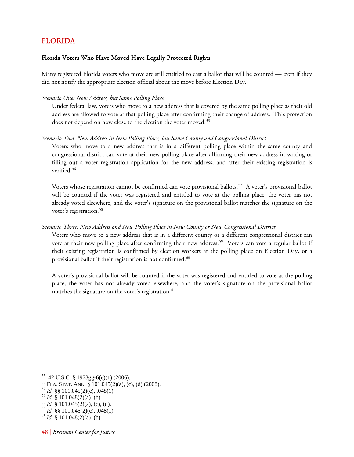# <span id="page-52-0"></span>FLORIDA

# Florida Voters Who Have Moved Have Legally Protected Rights

Many registered Florida voters who move are still entitled to cast a ballot that will be counted — even if they did not notify the appropriate election official about the move before Election Day.

### *Scenario One: New Address, but Same Polling Place*

Under federal law, voters who move to a new address that is covered by the same polling place as their old address are allowed to vote at that polling place after confirming their change of address. This protection does not depend on how close to the election the voter moved.<sup>[55](#page-52-1)</sup>

### *Scenario Two: New Address in New Polling Place, but Same County and Congressional District*

Voters who move to a new address that is in a different polling place within the same county and congressional district can vote at their new polling place after affirming their new address in writing or filling out a voter registration application for the new address, and after their existing registration is verified.<sup>[56](#page-52-2)</sup>

Voters whose registration cannot be confirmed can vote provisional ballots.<sup>[57](#page-52-3)</sup> A voter's provisional ballot will be counted if the voter was registered and entitled to vote at the polling place, the voter has not already voted elsewhere, and the voter's signature on the provisional ballot matches the signature on the voter's registration.<sup>[58](#page-52-4)</sup>

### *Scenario Three: New Address and New Polling Place in New County or New Congressional District*

Voters who move to a new address that is in a different county or a different congressional district can vote at their new polling place after confirming their new address.<sup>[59](#page-52-5)</sup> Voters can vote a regular ballot if their existing registration is confirmed by election workers at the polling place on Election Day, or a provisional ballot if their registration is not confirmed.<sup>[60](#page-52-6)</sup>

A voter's provisional ballot will be counted if the voter was registered and entitled to vote at the polling place, the voter has not already voted elsewhere, and the voter's signature on the provisional ballot matches the signature on the voter's registration.<sup>[61](#page-52-7)</sup>

<span id="page-52-3"></span><span id="page-52-2"></span><span id="page-52-1"></span>56 FLA. STAT. ANN. § 101.045(2)(a), (c), (d) (2008). 57 *Id.* §§ 101.045(2)(c), .048(1). 58 *Id.* § 101.048(2)(a)–(b).

<span id="page-52-4"></span>

<sup>55 42</sup> U.S.C. § 1973gg-6(e)(1) (2006).

<span id="page-52-6"></span><span id="page-52-5"></span><sup>&</sup>lt;sup>60</sup> *Id.* §§ 101.045(2)(c), .048(1). <sup>61</sup> *Id.* § 101.048(2)(a)–(b).

<span id="page-52-7"></span>

<sup>48 |</sup> *Brennan Center for Justice*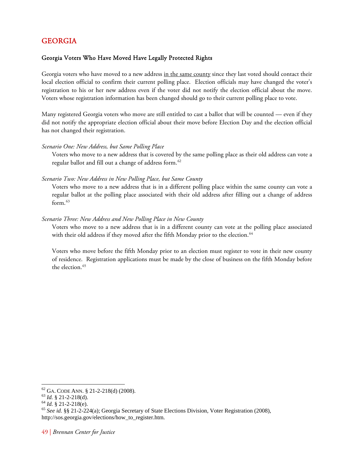# <span id="page-53-0"></span>GEORGIA

# Georgia Voters Who Have Moved Have Legally Protected Rights

Georgia voters who have moved to a new address in the same county since they last voted should contact their local election official to confirm their current polling place. Election officials may have changed the voter's registration to his or her new address even if the voter did not notify the election official about the move. Voters whose registration information has been changed should go to their current polling place to vote.

Many registered Georgia voters who move are still entitled to cast a ballot that will be counted — even if they did not notify the appropriate election official about their move before Election Day and the election official has not changed their registration.

### *Scenario One: New Address, but Same Polling Place*

Voters who move to a new address that is covered by the same polling place as their old address can vote a regular ballot and fill out a change of address form.<sup>[62](#page-53-1)</sup>

### *Scenario Two: New Address in New Polling Place, but Same County*

Voters who move to a new address that is in a different polling place within the same county can vote a regular ballot at the polling place associated with their old address after filling out a change of address form. $63$ 

## *Scenario Three: New Address and New Polling Place in New County*

Voters who move to a new address that is in a different county can vote at the polling place associated with their old address if they moved after the fifth Monday prior to the election.<sup>[64](#page-53-3)</sup>

Voters who move before the fifth Monday prior to an election must register to vote in their new county of residence. Registration applications must be made by the close of business on the fifth Monday before the election.<sup>[65](#page-53-4)</sup>

<span id="page-53-4"></span><span id="page-53-3"></span>

<span id="page-53-2"></span><span id="page-53-1"></span><sup>&</sup>lt;sup>62</sup> GA. CODE ANN. § 21-2-218(d) (2008).<br><sup>63</sup> *Id.* § 21-2-218(d).<br><sup>64</sup> *Id.* § 21-2-218(e). 65 *See id.* §§ 21-2-224(a); Georgia Secretary of State Elections Division, Voter Registration (2008), http://sos.georgia.gov/elections/how\_to\_register.htm.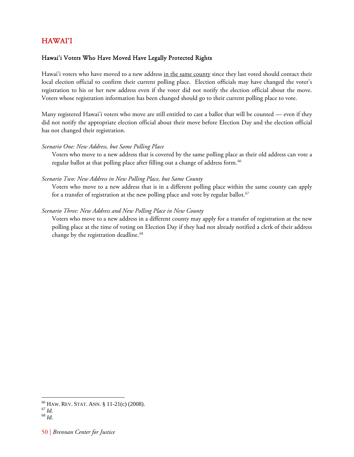# <span id="page-54-0"></span>HAWAI'I

# Hawai'i Voters Who Have Moved Have Legally Protected Rights

Hawai'i voters who have moved to a new address in the same county since they last voted should contact their local election official to confirm their current polling place. Election officials may have changed the voter's registration to his or her new address even if the voter did not notify the election official about the move. Voters whose registration information has been changed should go to their current polling place to vote.

Many registered Hawai'i voters who move are still entitled to cast a ballot that will be counted — even if they did not notify the appropriate election official about their move before Election Day and the election official has not changed their registration.

# *Scenario One: New Address, but Same Polling Place*

Voters who move to a new address that is covered by the same polling place as their old address can vote a regular ballot at that polling place after filling out a change of address form.<sup>[66](#page-54-1)</sup>

# *Scenario Two: New Address in New Polling Place, but Same County*

Voters who move to a new address that is in a different polling place within the same county can apply for a transfer of registration at the new polling place and vote by regular ballot.<sup>[67](#page-54-2)</sup>

# *Scenario Three: New Address and New Polling Place in New County*

Voters who move to a new address in a different county may apply for a transfer of registration at the new polling place at the time of voting on Election Day if they had not already notified a clerk of their address change by the registration deadline.<sup>[68](#page-54-3)</sup>

<span id="page-54-1"></span><sup>66</sup> HAW. REV. STAT. ANN. § 11-21(c) (2008). 67 *Id.* <sup>68</sup> *Id.*

<span id="page-54-2"></span>

<span id="page-54-3"></span>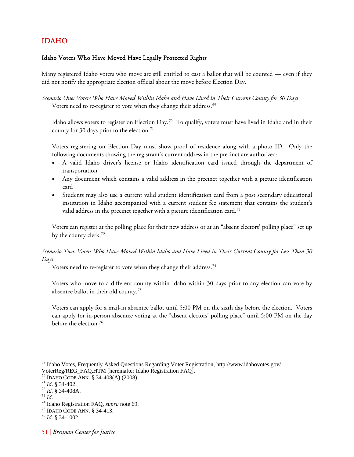# <span id="page-55-0"></span>IDAHO

# Idaho Voters Who Have Moved Have Legally Protected Rights

Many registered Idaho voters who move are still entitled to cast a ballot that will be counted — even if they did not notify the appropriate election official about the move before Election Day.

*Scenario One: Voters Who Have Moved Within Idaho and Have Lived in Their Current County for 30 Days*  Voters need to re-register to vote when they change their address.<sup>69</sup>

Idaho allows voters to register on Election Day.<sup>[70](#page-55-2)</sup> To qualify, voters must have lived in Idaho and in their county for 30 days prior to the election.<sup>[71](#page-55-3)</sup>

Voters registering on Election Day must show proof of residence along with a photo ID. Only the following documents showing the registrant's current address in the precinct are authorized:

- A valid Idaho driver's license or Idaho identification card issued through the department of transportation
- Any document which contains a valid address in the precinct together with a picture identification card
- Students may also use a current valid student identification card from a post secondary educational institution in Idaho accompanied with a current student fee statement that contains the student's valid address in the precinct together with a picture identification card.<sup>[72](#page-55-4)</sup>

Voters can register at the polling place for their new address or at an "absent electors' polling place" set up by the county clerk.<sup>[73](#page-55-5)</sup>

*Scenario Two: Voters Who Have Moved Within Idaho and Have Lived in Their Current County for Less Than 30 Days* 

Voters need to re-register to vote when they change their address.<sup>74</sup>

Voters who move to a different county within Idaho within 30 days prior to any election can vote by absentee ballot in their old county.[75](#page-55-7)

Voters can apply for a mail-in absentee ballot until 5:00 PM on the sixth day before the election. Voters can apply for in-person absentee voting at the "absent electors' polling place" until 5:00 PM on the day before the election.<sup>[76](#page-55-8)</sup>

<span id="page-55-1"></span><sup>69</sup> Idaho Votes, Frequently Asked Questions Regarding Voter Registration, http://www.idahovotes.gov/ VoterReg/REG\_FAQ.HTM [hereinafter Idaho Registration FAQ].

<span id="page-55-5"></span><span id="page-55-4"></span>

<span id="page-55-3"></span><span id="page-55-2"></span><sup>&</sup>lt;sup>70</sup> IDAHO CODE ANN. § 34-408(A) (2008).<br><sup>71</sup> *Id.* § 34-402.<br><sup>72</sup> *Id.* § 34-408A.<br><sup>73</sup> *Id.*<br><sup>74</sup> Idaho Registration FAQ, *supra* note 69.<br><sup>75</sup> IDAHO CODE ANN. § 34-413.<br><sup>76</sup> *Id.* § 34-1002.

<span id="page-55-7"></span><span id="page-55-6"></span>

<span id="page-55-8"></span>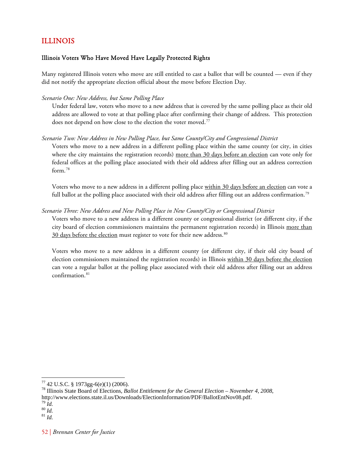# <span id="page-56-0"></span>ILLINOIS

# Illinois Voters Who Have Moved Have Legally Protected Rights

Many registered Illinois voters who move are still entitled to cast a ballot that will be counted — even if they did not notify the appropriate election official about the move before Election Day.

### *Scenario One: New Address, but Same Polling Place*

Under federal law, voters who move to a new address that is covered by the same polling place as their old address are allowed to vote at that polling place after confirming their change of address. This protection does not depend on how close to the election the voter moved.<sup>[77](#page-56-1)</sup>

### *Scenario Two: New Address in New Polling Place, but Same County/City and Congressional District*

Voters who move to a new address in a different polling place within the same county (or city, in cities where the city maintains the registration records) more than 30 days before an election can vote only for federal offices at the polling place associated with their old address after filling out an address correction form.<sup>[78](#page-56-2)</sup>

Voters who move to a new address in a different polling place within 30 days before an election can vote a full ballot at the polling place associated with their old address after filling out an address confirmation.<sup>[79](#page-56-3)</sup>

### *Scenario Three: New Address and New Polling Place in New County/City or Congressional District*

Voters who move to a new address in a different county or congressional district (or different city, if the city board of election commissioners maintains the permanent registration records) in Illinois more than 30 days before the election must register to vote for their new address.<sup>[80](#page-56-4)</sup>

Voters who move to a new address in a different county (or different city, if their old city board of election commissioners maintained the registration records) in Illinois within 30 days before the election can vote a regular ballot at the polling place associated with their old address after filling out an address confirmation.<sup>[81](#page-56-5)</sup>

<span id="page-56-1"></span> $77$  42 U.S.C. § 1973gg-6(e)(1) (2006).

<span id="page-56-2"></span><sup>78</sup> Illinois State Board of Elections, *Ballot Entitlement for the General Election – November 4, 2008*, http://www.elections.state.il.us/Downloads/ElectionInformation/PDF/BallotEntNov08.pdf.<br><sup>79</sup> *Id.* 80 *Id.* 81 *Id.* 

<span id="page-56-4"></span><span id="page-56-3"></span>

<span id="page-56-5"></span>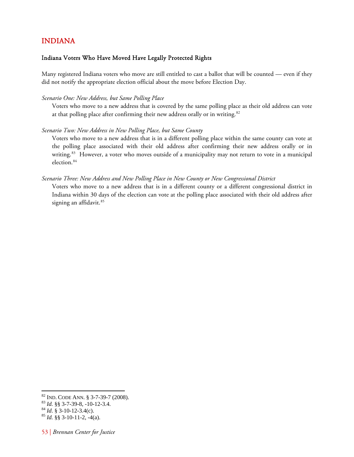# <span id="page-57-0"></span>INDIANA

### Indiana Voters Who Have Moved Have Legally Protected Rights

Many registered Indiana voters who move are still entitled to cast a ballot that will be counted — even if they did not notify the appropriate election official about the move before Election Day.

#### *Scenario One: New Address, but Same Polling Place*

Voters who move to a new address that is covered by the same polling place as their old address can vote at that polling place after confirming their new address orally or in writing.<sup>[82](#page-57-1)</sup>

#### *Scenario Two: New Address in New Polling Place, but Same County*

Voters who move to a new address that is in a different polling place within the same county can vote at the polling place associated with their old address after confirming their new address orally or in writing.<sup>[83](#page-57-2)</sup> However, a voter who moves outside of a municipality may not return to vote in a municipal election.<sup>84</sup>

#### *Scen ario Three: New Address and New Polling Place in New County or New Congressional District*

Indiana within 30 days of the election can vote at the polling place associated with their old address after signing an affidavit.<sup>85</sup> Voters who move to a new address that is in a different county or a different congressional district in

<span id="page-57-1"></span><sup>82</sup> IND. CODE ANN. § 3-7-39-7 (2008).<br><sup>83</sup> *Id.* §§ 3-7-39-8, -10-12-3.4.<br><sup>84</sup> *Id.* § 3-10-12-3.4(c). <sup>85</sup> *Id.* §§ 3-10-11-2, -4(a).

<span id="page-57-2"></span>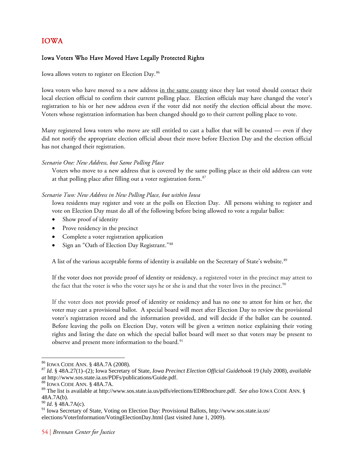# <span id="page-58-0"></span>IOWA

# Iowa Voters Who Have Moved Have Legally Protected Rights

Iowa allows voters to register on Election Day.<sup>[86](#page-58-1)</sup>

Iowa voters who have moved to a new address in the same county since they last voted should contact their local election official to confirm their current polling place. Election officials may have changed the voter's registration to his or her new address even if the voter did not notify the election official about the move. Voters whose registration information has been changed should go to their current polling place to vote.

Many registered Iowa voters who move are still entitled to cast a ballot that will be counted — even if they did not notify the appropriate election official about their move before Election Day and the election official has not changed their registration.

# *Scenario One: New Address, but Same Polling Place*

Voters who move to a new address that is covered by the same polling place as their old address can vote at that polling place after filling out a voter registration form.<sup>[87](#page-58-2)</sup>

# *Scenario Two: New Address in New Polling Place, but within Iowa*

Iowa residents may register and vote at the polls on Election Day. All persons wishing to register and vote on Election Day must do all of the following before being allowed to vote a regular ballot:

- Show proof of identity
- Prove residency in the precinct
- Complete a voter registration application
- Sign an "Oath of Election Day Registrant."[88](#page-58-3)

A list of the various acceptable forms of identity is available on the Secretary of State's website.<sup>[89](#page-58-4)</sup>

If the voter does not provide proof of identity or residency, a registered voter in the precinct may attest to the fact that the voter is who the voter says he or she is and that the voter lives in the precinct.<sup>[90](#page-58-5)</sup>

If the voter does not provide proof of identity or residency and has no one to attest for him or her, the voter may cast a provisional ballot. A special board will meet after Election Day to review the provisional voter's registration record and the information provided, and will decide if the ballot can be counted. Before leaving the polls on Election Day, voters will be given a written notice explaining their voting rights and listing the date on which the special ballot board will meet so that voters may be present to observe and present more information to the board.<sup>[91](#page-58-6)</sup>

<span id="page-58-1"></span><sup>&</sup>lt;sup>86</sup> IOWA CODE ANN. § 48A.7A (2008).

<span id="page-58-2"></span><sup>87</sup> Id. § 48A.27(1)–(2); Iowa Secretary of State, *Iowa Precinct Election Official Guidebook* 19 (July 2008), *available at* http://www.sos.state.ia.us/PDFs/publications/Guide.pdf. 88 IOWA CODE ANN. § 48A.7A.

<span id="page-58-4"></span><span id="page-58-3"></span><sup>89</sup> The list is available at http://www.sos.state.ia.us/pdfs/elections/EDRbrochure.pdf. *See also* IOWA CODE ANN. § 48A.7A(b).

<span id="page-58-5"></span><sup>90</sup> *Id*. § 48A.7A(c).

<span id="page-58-6"></span><sup>91</sup> Iowa Secretary of State, Voting on Election Day: Provisional Ballots, http://www.sos.state.ia.us/ elections/VoterInformation/VotingElectionDay.html (last visited June 1, 2009).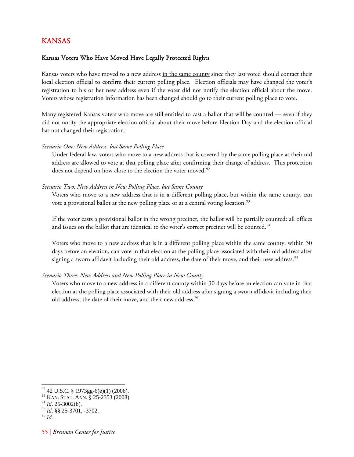# <span id="page-59-0"></span>KANSAS

# Kansas Voters Who Have Moved Have Legally Protected Rights

Kansas voters who have moved to a new address in the same county since they last voted should contact their local election official to confirm their current polling place. Election officials may have changed the voter's registration to his or her new address even if the voter did not notify the election official about the move. Voters whose registration information has been changed should go to their current polling place to vote.

Many registered Kansas voters who move are still entitled to cast a ballot that will be counted — even if they did not notify the appropriate election official about their move before Election Day and the election official has not changed their registration.

### *Scenario One: New Address, but Same Polling Place*

Under federal law, voters who move to a new address that is covered by the same polling place as their old address are allowed to vote at that polling place after confirming their change of address. This protection does not depend on how close to the election the voter moved.<sup>[92](#page-59-1)</sup>

### *Scenario Two: New Address in New Polling Place, but Same County*

Voters who move to a new address that is in a different polling place, but within the same county, can vote a provisional ballot at the new polling place or at a central voting location.<sup>[93](#page-59-2)</sup>

If the voter casts a provisional ballot in the wrong precinct, the ballot will be partially counted: all offices and issues on the ballot that are identical to the voter's correct precinct will be counted.<sup>[94](#page-59-3)</sup>

Voters who move to a new address that is in a different polling place within the same county, within 30 days before an election, can vote in that election at the polling place associated with their old address after signing a sworn affidavit including their old address, the date of their move, and their new address.<sup>[95](#page-59-4)</sup>

### *Scenario Three: New Address and New Polling Place in New County*

Voters who move to a new address in a different county within 30 days before an election can vote in that election at the polling place associated with their old address after signing a sworn affidavit including their old address, the date of their move, and their new address.<sup>[96](#page-59-5)</sup>

<sup>92 42</sup> U.S.C. § 1973gg-6(e)(1) (2006).

<span id="page-59-2"></span><span id="page-59-1"></span><sup>93</sup> KAN. STAT. ANN*.* § 25-2353 (2008).

<span id="page-59-3"></span><sup>94</sup> *Id*. 25-3002(b).

<span id="page-59-4"></span><sup>95</sup> *Id*. §§ 25-3701, -3702. 96 *Id*.

<span id="page-59-5"></span>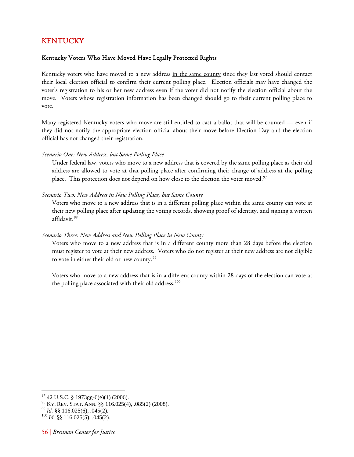# <span id="page-60-0"></span>KENTUCKY

# Kentucky Voters Who Have Moved Have Legally Protected Rights

Kentucky voters who have moved to a new address in the same county since they last voted should contact their local election official to confirm their current polling place. Election officials may have changed the voter's registration to his or her new address even if the voter did not notify the election official about the move. Voters whose registration information has been changed should go to their current polling place to vote.

Many registered Kentucky voters who move are still entitled to cast a ballot that will be counted — even if they did not notify the appropriate election official about their move before Election Day and the election official has not changed their registration.

### *Scenario One: New Address, but Same Polling Place*

Under federal law, voters who move to a new address that is covered by the same polling place as their old address are allowed to vote at that polling place after confirming their change of address at the polling place. This protection does not depend on how close to the election the voter moved.<sup>[97](#page-60-1)</sup>

### *Scenario Two: New Address in New Polling Place, but Same County*

Voters who move to a new address that is in a different polling place within the same county can vote at their new polling place after updating the voting records, showing proof of identity, and signing a written affidavit.<sup>[98](#page-60-2)</sup>

## *Scenario Three: New Address and New Polling Place in New County*

Voters who move to a new address that is in a different county more than 28 days before the election must register to vote at their new address. Voters who do not register at their new address are not eligible to vote in either their old or new county.<sup>[99](#page-60-3)</sup>

Voters who move to a new address that is in a different county within 28 days of the election can vote at the polling place associated with their old address.<sup>[100](#page-60-4)</sup>

<span id="page-60-1"></span> $97$  42 U.S.C. § 1973gg-6(e)(1) (2006).

<span id="page-60-2"></span><sup>&</sup>lt;sup>98</sup> KY. REV. STAT. ANN. §§ 116.025(4), .085(2) (2008).<br><sup>99</sup> *Id.* §§ 116.025(6), .045(2).<br><sup>100</sup> *Id.* §§ 116.025(5), .045(2).

<span id="page-60-3"></span>

<span id="page-60-4"></span>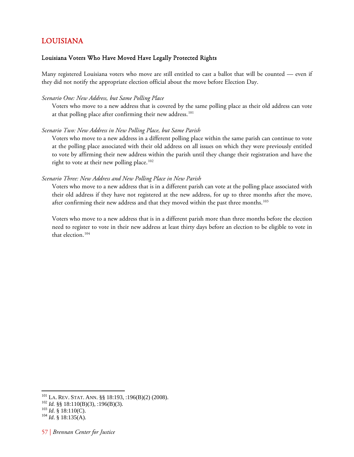# <span id="page-61-0"></span>LOUISIANA

# Louisiana Voters Who Have Moved Have Legally Protected Rights

Many registered Louisiana voters who move are still entitled to cast a ballot that will be counted — even if they did not notify the appropriate election official about the move before Election Day.

### *Scenario One: New Address, but Same Polling Place*

Voters who move to a new address that is covered by the same polling place as their old address can vote at that polling place after confirming their new address.<sup>[101](#page-61-1)</sup>

### *Scenario Two: New Address in New Polling Place, but Same Parish*

Voters who move to a new address in a different polling place within the same parish can continue to vote at the polling place associated with their old address on all issues on which they were previously entitled to vote by affirming their new address within the parish until they change their registration and have the right to vote at their new polling place.<sup>[102](#page-61-2)</sup>

### *Scenario Three: New Address and New Polling Place in New Parish*

Voters who move to a new address that is in a different parish can vote at the polling place associated with their old address if they have not registered at the new address, for up to three months after the move, after confirming their new address and that they moved within the past three months.<sup>[103](#page-61-3)</sup>

Voters who move to a new address that is in a different parish more than three months before the election need to register to vote in their new address at least thirty days before an election to be eligible to vote in that election.<sup>[104](#page-61-4)</sup>

<span id="page-61-1"></span><sup>&</sup>lt;sup>101</sup> LA. REV. STAT. ANN. §§ 18:193, :196(B)(2) (2008).<br><sup>102</sup> *Id.* §§ 18:110(B)(3), :196(B)(3).<br><sup>103</sup> *Id.* § 18:110(C).<br><sup>104</sup> *Id.* § 18:135(A).

<span id="page-61-2"></span>

<span id="page-61-3"></span>

<span id="page-61-4"></span>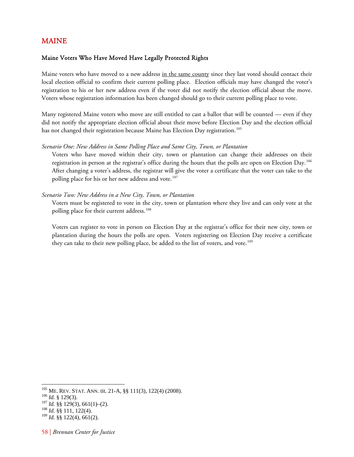# <span id="page-62-0"></span>MAINE

## Maine Voters Who Have Moved Have Legally Protected Rights

Maine voters who have moved to a new address in the same county since they last voted should contact their local election official to confirm their current polling place. Election officials may have changed the voter's registration to his or her new address even if the voter did not notify the election official about the move. Voters whose registration information has been changed should go to their current polling place to vote.

Many registered Maine voters who move are still entitled to cast a ballot that will be counted — even if they did not notify the appropriate election official about their move before Election Day and the election official has not changed their registration because Maine has Election Day registration.<sup>[105](#page-62-1)</sup>

### *Scenario One: New Address in Same Polling Place and Same City, Town, or Plantation*

Voters who have moved within their city, town or plantation can change their addresses on their registration in person at the registrar's office during the hours that the polls are open on Election Day.[106](#page-62-2) After changing a voter's address, the registrar will give the voter a certificate that the voter can take to the polling place for his or her new address and vote.<sup>[107](#page-62-3)</sup>

### *Scenario Two: New Address in a New City, Town, or Plantation*

Voters must be registered to vote in the city, town or plantation where they live and can only vote at the polling place for their current address.<sup>[108](#page-62-4)</sup>

Voters can register to vote in person on Election Day at the registrar's office for their new city, town or plantation during the hours the polls are open. Voters registering on Election Day receive a certificate they can take to their new polling place, be added to the list of voters, and vote.<sup>[109](#page-62-5)</sup>

<span id="page-62-2"></span><span id="page-62-1"></span><sup>&</sup>lt;sup>105</sup> ME. REV. STAT. ANN. tit. 21-A, §§ 111(3), 122(4) (2008).<br><sup>106</sup> *Id.* § 129(3).<br><sup>107</sup> *Id.* §§ 129(3), 661(1)–(2).<br><sup>108</sup> *Id.* §§ 111, 122(4).

<span id="page-62-3"></span>

<span id="page-62-5"></span><span id="page-62-4"></span><sup>109</sup> *Id.* §§ 122(4), 661(2).

<sup>58 |</sup> *Brennan Center for Justice*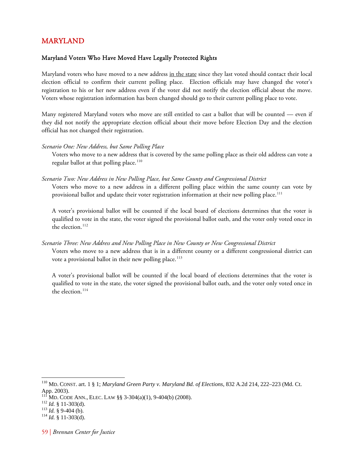# <span id="page-63-0"></span>MARYLAND

# Maryland Voters Who Have Moved Have Legally Protected Rights

Maryland voters who have moved to a new address in the state since they last voted should contact their local election official to confirm their current polling place. Election officials may have changed the voter's registration to his or her new address even if the voter did not notify the election official about the move. Voters whose registration information has been changed should go to their current polling place to vote.

Many registered Maryland voters who move are still entitled to cast a ballot that will be counted — even if they did not notify the appropriate election official about their move before Election Day and the election official has not changed their registration.

### *Scenario One: New Address, but Same Polling Place*

Voters who move to a new address that is covered by the same polling place as their old address can vote a regular ballot at that polling place.<sup>[110](#page-63-1)</sup>

### *Scenario Two: New Address in New Polling Place, but Same County and Congressional District*

Voters who move to a new address in a different polling place within the same county can vote by provisional ballot and update their voter registration information at their new polling place.<sup>[111](#page-63-2)</sup>

A voter's provisional ballot will be counted if the local board of elections determines that the voter is qualified to vote in the state, the voter signed the provisional ballot oath, and the voter only voted once in the election.<sup>[112](#page-63-3)</sup>

#### *Scenario Three: New Address and New Polling Place in New County or New Congressional District*

Voters who move to a new address that is in a different county or a different congressional district can vote a provisional ballot in their new polling place.<sup>[113](#page-63-4)</sup>

A voter's provisional ballot will be counted if the local board of elections determines that the voter is qualified to vote in the state, the voter signed the provisional ballot oath, and the voter only voted once in the election. $114$ 

<span id="page-63-1"></span><sup>110</sup> MD. CONST. art. 1 § 1; *Maryland Green Party v. Maryland Bd. of Elections*, 832 A.2d 214, 222–223 (Md. Ct. App. 2003).

<span id="page-63-2"></span><sup>&</sup>lt;sup>111</sup> MD. CODE ANN., ELEC. LAW §§ 3-304(a)(1), 9-404(b) (2008).<br><sup>112</sup> *Id.* § 11-303(d).<br><sup>113</sup> *Id.* § 9-404 (b).<br><sup>114</sup> *Id.* § 11-303(d).

<span id="page-63-5"></span><span id="page-63-4"></span><span id="page-63-3"></span>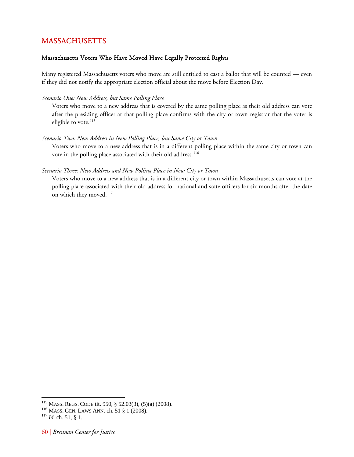# MASSACHUSETTS

# Massachusetts Voters Who Have Moved Have Legally Protected Rights

Many registered Massachusetts voters who move are still entitled to cast a ballot that will be counted — even if they did not notify the appropriate election official about the move before Election Day.

### *Scenario One: New Address, but Same Polling Place*

Voters who move to a new address that is covered by the same polling place as their old address can vote after the presiding officer at that polling place confirms with the city or town registrar that the voter is eligible to vote.<sup>[115](#page-64-1)</sup>

### *Scenario Two: New Address in New Polling Place, but Same City or Town*

Voters who move to a new address that is in a different polling place within the same city or town can vote in the polling place associated with their old address.<sup>[116](#page-64-2)</sup>

### *Scenario Three: New Address and New Polling Place in New City or Town*

Voters who move to a new address that is in a different city or town within Massachusetts can vote at the polling place associated with their old address for national and state officers for six months after the date on which they moved.<sup>[117](#page-64-3)</sup>

<span id="page-64-1"></span><span id="page-64-0"></span><sup>&</sup>lt;sup>115</sup> MASS. REGS. CODE tit. 950, § 52.03(3), (5)(a) (2008).

<span id="page-64-3"></span><span id="page-64-2"></span><sup>116</sup> MASS. REGS. CODE tit. 950, § 1.<br><sup>116</sup> MASS. GEN. LAWS ANN. ch. 51 § 1 (2008). <sup>117</sup> *Id.* ch. 51, § 1.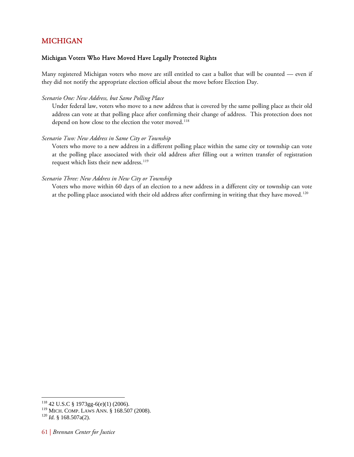# <span id="page-65-0"></span>MICHIGAN

# Michigan Voters Who Have Moved Have Legally Protected Rights

Many registered Michigan voters who move are still entitled to cast a ballot that will be counted — even if they did not notify the appropriate election official about the move before Election Day.

### *Scenario One: New Address, but Same Polling Place*

Under federal law, voters who move to a new address that is covered by the same polling place as their old address can vote at that polling place after confirming their change of address. This protection does not depend on how close to the election the voter moved.<sup>[118](#page-65-1)</sup>

### *Scenario Two: New Address in Same City or Township*

Voters who move to a new address in a different polling place within the same city or township can vote at the polling place associated with their old address after filling out a written transfer of registration request which lists their new address.<sup>[119](#page-65-2)</sup>

### *Scenario Three: New Address in New City or Township*

Voters who move within 60 days of an election to a new address in a different city or township can vote at the polling place associated with their old address after confirming in writing that they have moved.<sup>[120](#page-65-3)</sup>

<span id="page-65-1"></span> $\overline{a}$  $118$  42 U.S.C § 1973gg-6(e)(1) (2006).

<span id="page-65-2"></span><sup>&</sup>lt;sup>119</sup> MICH. COMP. LAWS ANN. § 168.507 (2008).<br><sup>120</sup> *Id.* § 168.507a(2).

<span id="page-65-3"></span>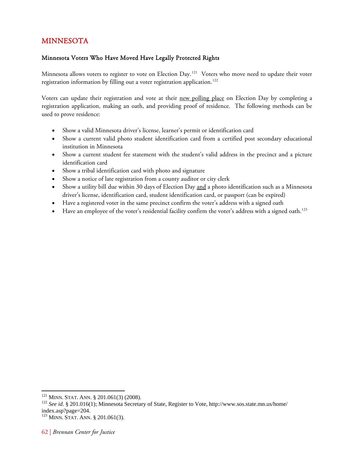# <span id="page-66-0"></span>MINNESOTA

# Minnesota Voters Who Have Moved Have Legally Protected Rights

Minnesota allows voters to register to vote on Election Day.<sup>[121](#page-66-1)</sup> Voters who move need to update their voter registration information by filling out a voter registration application.<sup>[122](#page-66-2)</sup>

Voters can update their registration and vote at their new polling place on Election Day by completing a registration application, making an oath, and providing proof of residence. The following methods can be used to prove residence:

- Show a valid Minnesota driver's license, learner's permit or identification card
- Show a current valid photo student identification card from a certified post secondary educational institution in Minnesota
- Show a current student fee statement with the student's valid address in the precinct and a picture identification card
- Show a tribal identification card with photo and signature
- Show a notice of late registration from a county auditor or city clerk
- Show a utility bill due within 30 days of Election Day and a photo identification such as a Minnesota driver's license, identification card, student identification card, or passport (can be expired)
- Have a registered voter in the same precinct confirm the voter's address with a signed oath
- $\bullet$  Have an employee of the voter's residential facility confirm the voter's address with a signed oath.<sup>[123](#page-66-3)</sup>

<span id="page-66-1"></span> $121$  MINN. STAT. ANN. § 201.061(3) (2008).

<span id="page-66-2"></span><sup>&</sup>lt;sup>122</sup> See id. § 201.016(1); Minnesota Secretary of State, Register to Vote, http://www.sos.state.mn.us/home/ index.asp?page=204.

<span id="page-66-3"></span><sup>123</sup> MINN. STAT. ANN. § 201.061(3).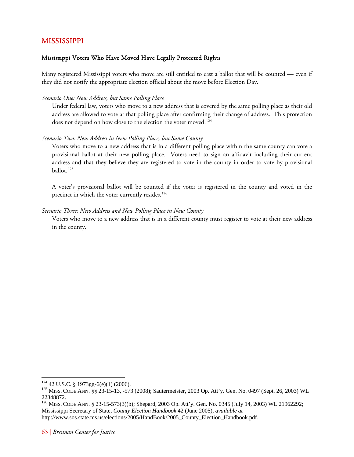# <span id="page-67-0"></span>MISSISSIPPI

# Mississippi Voters Who Have Moved Have Legally Protected Rights

Many registered Mississippi voters who move are still entitled to cast a ballot that will be counted — even if they did not notify the appropriate election official about the move before Election Day.

## *Scenario One: New Address, but Same Polling Place*

Under federal law, voters who move to a new address that is covered by the same polling place as their old address are allowed to vote at that polling place after confirming their change of address. This protection does not depend on how close to the election the voter moved.<sup>[124](#page-67-1)</sup>

# *Scenario Two: New Address in New Polling Place, but Same County*

Voters who move to a new address that is in a different polling place within the same county can vote a provisional ballot at their new polling place. Voters need to sign an affidavit including their current address and that they believe they are registered to vote in the county in order to vote by provisional ballot.<sup>[125](#page-67-2)</sup>

A voter's provisional ballot will be counted if the voter is registered in the county and voted in the precinct in which the voter currently resides.<sup>[126](#page-67-3)</sup>

# *Scenario Three: New Address and New Polling Place in New County*

Voters who move to a new address that is in a different county must register to vote at their new address in the county.

<span id="page-67-1"></span><sup>&</sup>lt;sup>124</sup> 42 U.S.C. § 1973gg-6(e)(1) (2006).

<span id="page-67-2"></span><sup>&</sup>lt;sup>125</sup> MISS. CODE ANN. §§ 23-15-13, -573 (2008); Sautermeister, 2003 Op. Att'y. Gen. No. 0497 (Sept. 26, 2003) WL 22348872.

<span id="page-67-3"></span><sup>&</sup>lt;sup>126</sup> MISS. CODE ANN. § 23-15-573(3)(b); Shepard, 2003 Op. Att'y. Gen. No. 0345 (July 14, 2003) WL 21962292; Mississippi Secretary of State, *County Election Handbook* 42 (June 2005), *available at*

http://www.sos.state.ms.us/elections/2005/HandBook/2005\_County\_Election\_Handbook.pdf.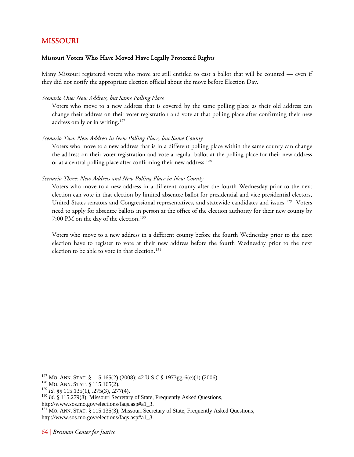# <span id="page-68-0"></span>MISSOURI

# Missouri Voters Who Have Moved Have Legally Protected Rights

Many Missouri registered voters who move are still entitled to cast a ballot that will be counted — even if they did not notify the appropriate election official about the move before Election Day.

### *Scenario One: New Address, but Same Polling Place*

Voters who move to a new address that is covered by the same polling place as their old address can change their address on their voter registration and vote at that polling place after confirming their new address orally or in writing.<sup>[127](#page-68-1)</sup>

### *Scenario Two: New Address in New Polling Place, but Same County*

Voters who move to a new address that is in a different polling place within the same county can change the address on their voter registration and vote a regular ballot at the polling place for their new address or at a central polling place after confirming their new address.<sup>[128](#page-68-2)</sup>

### *Scenario Three: New Address and New Polling Place in New County*

Voters who move to a new address in a different county after the fourth Wednesday prior to the next election can vote in that election by limited absentee ballot for presidential and vice presidential electors, United States senators and Congressional representatives, and statewide candidates and issues.<sup>[129](#page-68-3)</sup> Voters need to apply for absentee ballots in person at the office of the election authority for their new county by 7:00 PM on the day of the election.<sup>[130](#page-68-4)</sup>

Voters who move to a new address in a different county before the fourth Wednesday prior to the next election have to register to vote at their new address before the fourth Wednesday prior to the next election to be able to vote in that election.<sup>[131](#page-68-5)</sup>

<span id="page-68-2"></span><span id="page-68-1"></span><sup>&</sup>lt;sup>127</sup> Mo. Ann. Stat. § 115.165(2) (2008); 42 U.S.C § 1973gg-6(e)(1) (2006).<br><sup>128</sup> Mo. Ann. Stat. § 115.165(2).<br><sup>129</sup> Id. §§ 115.135(1), .275(3), .277(4).

<span id="page-68-4"></span><span id="page-68-3"></span><sup>&</sup>lt;sup>130</sup> *Id.* § 115.279(8); Missouri Secretary of State, Frequently Asked Questions, http://www.sos.mo.gov/elections/faqs.asp#a1\_3.

<span id="page-68-5"></span><sup>&</sup>lt;sup>131</sup> MO. ANN. STAT. § 115.135(3); Missouri Secretary of State, Frequently Asked Questions, http://www.sos.mo.gov/elections/faqs.asp#a1\_3.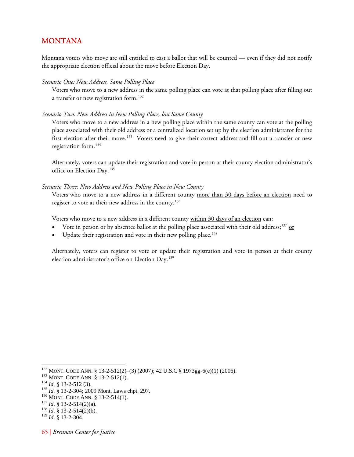# <span id="page-69-0"></span>MONTANA

Montana voters who move are still entitled to cast a ballot that will be counted — even if they did not notify the appropriate election official about the move before Election Day.

*Scenario One: New Address, Same Polling Place* 

Voters who move to a new address in the same polling place can vote at that polling place after filling out a transfer or new registration form.<sup>[132](#page-69-1)</sup>

### *Scenario Two: New Address in New Polling Place, but Same County*

Voters who move to a new address in a new polling place within the same county can vote at the polling place associated with their old address or a centralized location set up by the election administrator for the first election after their move.<sup>[133](#page-69-2)</sup> Voters need to give their correct address and fill out a transfer or new registration form.[134](#page-69-3)

Alternately, voters can update their registration and vote in person at their county election administrator's office on Election Day.<sup>[135](#page-69-4)</sup>

### *Scenario Three: New Address and New Polling Place in New County*

Voters who move to a new address in a different county more than 30 days before an election need to register to vote at their new address in the county.<sup>[136](#page-69-5)</sup>

Voters who move to a new address in a different county within 30 days of an election can:

- Vote in person or by absentee ballot at the polling place associated with their old address;<sup>[137](#page-69-6)</sup> or
- $\bullet$  Update their registration and vote in their new polling place.<sup>[138](#page-69-7)</sup>

Alternately, voters can register to vote or update their registration and vote in person at their county election administrator's office on Election Day.<sup>[139](#page-69-8)</sup>

- <span id="page-69-4"></span>
- <span id="page-69-5"></span>
- <span id="page-69-6"></span>
- <span id="page-69-7"></span>

<span id="page-69-2"></span><span id="page-69-1"></span><sup>&</sup>lt;sup>132</sup> MONT. CODE ANN. § 13-2-512(2)–(3) (2007); 42 U.S.C § 1973gg-6(e)(1) (2006).<br><sup>133</sup> MONT. CODE ANN. § 13-2-512(1).<br><sup>134</sup> *Id.* § 13-2-512 (3).<br><sup>135</sup> *Id.* § 13-2-304; 2009 Mont. Laws chpt. 297.<br><sup>136</sup> MONT. CODE ANN. §

<span id="page-69-3"></span>

<span id="page-69-8"></span><sup>139</sup> *Id*. § 13-2-304.

<sup>65 |</sup> *Brennan Center for Justice*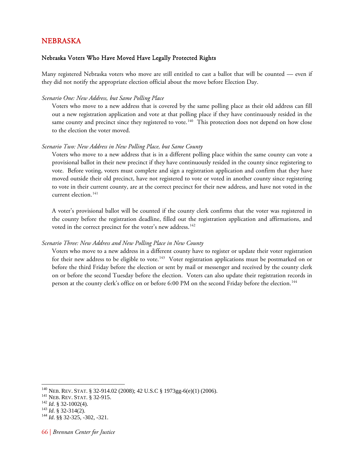# <span id="page-70-0"></span>NEBRASKA

### Nebraska Voters Who Have Moved Have Legally Protected Rights

Many registered Nebraska voters who move are still entitled to cast a ballot that will be counted — even if they did not notify the appropriate election official about the move before Election Day.

#### *Scenario One: New Address, but Same Polling Place*

Voters who move to a new address that is covered by the same polling place as their old address can fill out a new registration application and vote at that polling place if they have continuously resided in the same county and precinct since they registered to vote.<sup>[140](#page-70-1)</sup> This protection does not depend on how close to the election the voter moved.

#### *Scenario Two: New Address in New Polling Place, but Same County*

Voters who move to a new address that is in a different polling place within the same county can vote a provisional ballot in their new precinct if they have continuously resided in the county since registering to vote. Before voting, voters must complete and sign a registration application and confirm that they have moved outside their old precinct, have not registered to vote or voted in another county since registering to vote in their current county, are at the correct precinct for their new address, and have not voted in the current election.<sup>[141](#page-70-2)</sup>

A voter's provisional ballot will be counted if the county clerk confirms that the voter was registered in the county before the registration deadline, filled out the registration application and affirmations, and voted in the correct precinct for the voter's new address.<sup>[142](#page-70-3)</sup>

#### *Scenario Three: New Address and New Polling Place in New County*

Voters who move to a new address in a different county have to register or update their voter registration for their new address to be eligible to vote.<sup>[143](#page-70-4)</sup> Voter registration applications must be postmarked on or before the third Friday before the election or sent by mail or messenger and received by the county clerk on or before the second Tuesday before the election. Voters can also update their registration records in person at the county clerk's office on or before 6:00 PM on the second Friday before the election.[144](#page-70-5)

<span id="page-70-2"></span><span id="page-70-1"></span><sup>1&</sup>lt;sup>40</sup> NEB. REV. STAT. § 32-914.02 (2008); 42 U.S.C § 1973gg-6(e)(1) (2006).<br>
<sup>141</sup> NEB. REV. STAT. § 32-915.<br>
<sup>142</sup> *Id.* § 32-1002(4).<br>
<sup>143</sup> *Id.* § 32-314(2).<br>
<sup>144</sup> *Id.* §§ 32-325, -302, -321.

<span id="page-70-3"></span>

<span id="page-70-5"></span><span id="page-70-4"></span>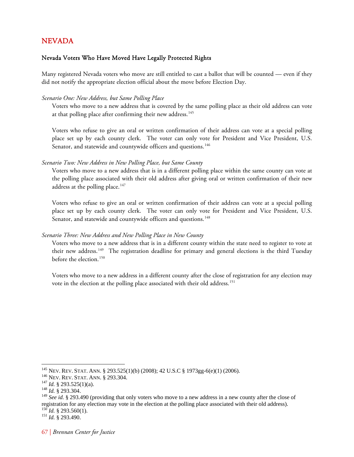# <span id="page-71-0"></span>NEVADA

### Nevada Voters Who Have Moved Have Legally Protected Rights

Many registered Nevada voters who move are still entitled to cast a ballot that will be counted — even if they did not notify the appropriate election official about the move before Election Day.

### *Scenario One: New Address, but Same Polling Place*

Voters who move to a new address that is covered by the same polling place as their old address can vote at that polling place after confirming their new address.<sup>[145](#page-71-1)</sup>

Voters who refuse to give an oral or written confirmation of their address can vote at a special polling place set up by each county clerk. The voter can only vote for President and Vice President, U.S. Senator, and statewide and countywide officers and questions.<sup>[146](#page-71-2)</sup>

### *Scenario Two: New Address in New Polling Place, but Same County*

Voters who move to a new address that is in a different polling place within the same county can vote at the polling place associated with their old address after giving oral or written confirmation of their new address at the polling place. $147$ 

Voters who refuse to give an oral or written confirmation of their address can vote at a special polling place set up by each county clerk. The voter can only vote for President and Vice President, U.S. Senator, and statewide and countywide officers and questions.<sup>[148](#page-71-4)</sup>

#### *Scenario Three: New Address and New Polling Place in New County*

Voters who move to a new address that is in a different county within the state need to register to vote at their new address.<sup>[149](#page-71-5)</sup> The registration deadline for primary and general elections is the third Tuesday before the election.<sup>[150](#page-71-6)</sup>

Voters who move to a new address in a different county after the close of registration for any election may vote in the election at the polling place associated with their old address.<sup>[151](#page-71-7)</sup>

<span id="page-71-7"></span><span id="page-71-6"></span>

<span id="page-71-2"></span><span id="page-71-1"></span><sup>145</sup> NEV. REV. STAT. ANN. § 293.525(1)(b) (2008); 42 U.S.C § 1973gg-6(e)(1) (2006). 146 NEV. REV. STAT. ANN. § 293.304. 147 *Id.* § 293.525(1)(a). 148 *Id.* § 293.304.

<span id="page-71-3"></span>

<span id="page-71-5"></span><span id="page-71-4"></span><sup>&</sup>lt;sup>149</sup> See id. § 293.490 (providing that only voters who move to a new address in a new county after the close of registration for any election may vote in the election at the polling place associated with their old address). 150 *Id.* § 293.560(1). 151 *Id.* § 293.490.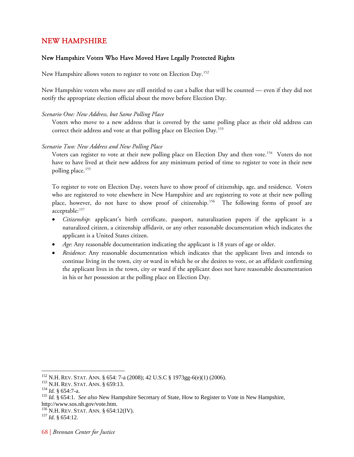## NEW HAMPSHIRE

## New Hampshire Voters Who Have Moved Have Legally Protected Rights

New Hampshire allows voters to register to vote on Election Day.<sup>[152](#page-72-0)</sup>

New Hampshire voters who move are still entitled to cast a ballot that will be counted — even if they did not notify the appropriate election official about the move before Election Day.

#### *Scenario One: New Address, but Same Polling Place*

Voters who move to a new address that is covered by the same polling place as their old address can correct their address and vote at that polling place on Election Day.<sup>[153](#page-72-1)</sup>

#### *Scenario Two: New Address and New Polling Place*

Voters can register to vote at their new polling place on Election Day and then vote.<sup>[154](#page-72-2)</sup> Voters do not have to have lived at their new address for any minimum period of time to register to vote in their new polling place.<sup>[155](#page-72-3)</sup>

To register to vote on Election Day, voters have to show proof of citizenship, age, and residence. Voters who are registered to vote elsewhere in New Hampshire and are registering to vote at their new polling place, however, do not have to show proof of citizenship.<sup>[156](#page-72-4)</sup> The following forms of proof are acceptable:<sup>[157](#page-72-5)</sup>

- *Citizenship*: applicant's birth certificate, passport, naturalization papers if the applicant is a naturalized citizen, a citizenship affidavit, or any other reasonable documentation which indicates the applicant is a United States citizen.
- *Age*: Any reasonable documentation indicating the applicant is 18 years of age or older.
- *Residence*: Any reasonable documentation which indicates that the applicant lives and intends to continue living in the town, city or ward in which he or she desires to vote, or an affidavit confirming the applicant lives in the town, city or ward if the applicant does not have reasonable documentation in his or her possession at the polling place on Election Day.

<span id="page-72-2"></span>

<span id="page-72-3"></span>

<span id="page-72-1"></span><span id="page-72-0"></span><sup>&</sup>lt;sup>152</sup> N.H. REV. STAT. ANN. § 654: 7-a (2008); 42 U.S.C § 1973gg-6(e)(1) (2006).<br><sup>153</sup> N.H. REV. STAT. ANN. § 659:13.<br><sup>154</sup> *Id.* § 654:7-a.<br><sup>155</sup> *Id.* § 654:1. *See also* New Hampshire Secretary of State, How to Register http://www.sos.nh.gov/vote.htm.

<span id="page-72-5"></span><span id="page-72-4"></span><sup>&</sup>lt;sup>156</sup> N.H. REV. STAT. ANN. § 654:12(IV).<br><sup>157</sup> *Id.* § 654:12.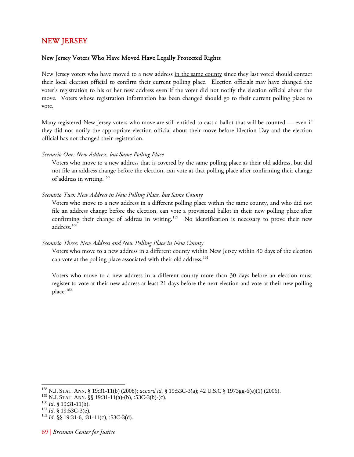## NEW JERSEY

## New Jersey Voters Who Have Moved Have Legally Protected Rights

New Jersey voters who have moved to a new address in the same county since they last voted should contact their local election official to confirm their current polling place. Election officials may have changed the voter's registration to his or her new address even if the voter did not notify the election official about the move. Voters whose registration information has been changed should go to their current polling place to vote.

Many registered New Jersey voters who move are still entitled to cast a ballot that will be counted — even if they did not notify the appropriate election official about their move before Election Day and the election official has not changed their registration.

#### *Scenario One: New Address, but Same Polling Place*

Voters who move to a new address that is covered by the same polling place as their old address, but did not file an address change before the election, can vote at that polling place after confirming their change of address in writing.<sup>[158](#page-73-0)</sup>

#### *Scenario Two: New Address in New Polling Place, but Same County*

Voters who move to a new address in a different polling place within the same county, and who did not file an address change before the election, can vote a provisional ballot in their new polling place after confirming their change of address in writing.<sup>[159](#page-73-1)</sup> No identification is necessary to prove their new address.<sup>[160](#page-73-2)</sup>

#### *Scenario Three: New Address and New Polling Place in New County*

Voters who move to a new address in a different county within New Jersey within 30 days of the election can vote at the polling place associated with their old address.<sup>[161](#page-73-3)</sup>

Voters who move to a new address in a different county more than 30 days before an election must register to vote at their new address at least 21 days before the next election and vote at their new polling place.<sup>[162](#page-73-4)</sup>

<span id="page-73-0"></span><sup>158</sup> N.J. STAT. ANN. § 19:31-11(b) (2008); *accord id.* § 19:53C-3(a); 42 U.S.C § 1973gg-6(e)(1) (2006).

<span id="page-73-2"></span><span id="page-73-1"></span><sup>&</sup>lt;sup>159</sup> N.J. STAT. ANN. §§ 19:31-11(a)-(b), :53C-3(b)-(c).<br><sup>160</sup> *Id*. § 19:31-11(b).<br><sup>161</sup> *Id*. § 19:53C-3(e).<br><sup>162</sup> *Id*. §§ 19:31-6, :31-11(c), :53C-3(d).

<span id="page-73-4"></span><span id="page-73-3"></span>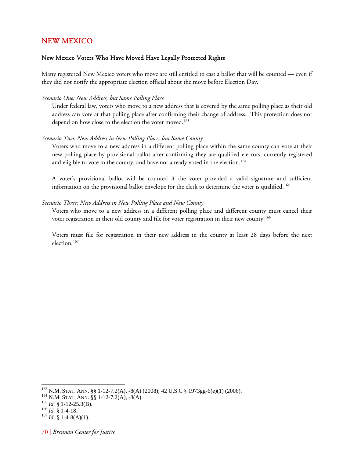## NEW MEXICO

### New Mexico Voters Who Have Moved Have Legally Protected Rights

Many registered New Mexico voters who move are still entitled to cast a ballot that will be counted — even if they did not notify the appropriate election official about the move before Election Day.

#### *Scenario One: New Address, but Same Polling Place*

Under federal law, voters who move to a new address that is covered by the same polling place as their old address can vote at that polling place after confirming their change of address. This protection does not depend on how close to the election the voter moved.<sup>[163](#page-74-0)</sup>

#### *Scenario Two: New Address in New Polling Place, but Same County*

Voters who move to a new address in a different polling place within the same county can vote at their new polling place by provisional ballot after confirming they are qualified electors, currently registered and eligible to vote in the county, and have not already voted in the election.<sup>[164](#page-74-1)</sup>

A voter's provisional ballot will be counted if the voter provided a valid signature and sufficient information on the provisional ballot envelope for the clerk to determine the voter is qualified.<sup>[165](#page-74-2)</sup>

#### *Scenario Three: New Address in New Polling Place and New County*

Voters who move to a new address in a different polling place and different county must cancel their voter registration in their old county and file for voter registration in their new county.<sup>[166](#page-74-3)</sup>

Voters must file for registration in their new address in the county at least 28 days before the next election.[167](#page-74-4)

<span id="page-74-1"></span><span id="page-74-0"></span><sup>&</sup>lt;sup>163</sup> N.M. STAT. ANN. §§ 1-12-7.2(A), -8(A) (2008); 42 U.S.C § 1973gg-6(e)(1) (2006).<br><sup>164</sup> N.M. STAT. ANN. §§ 1-12-7.2(A), -8(A).<br><sup>165</sup> *Id.* § 1-12-25.3(B). <sup>166</sup> *Id.* § 1-4-18. <sup>167</sup> *Id.* § 1-4-8(A)(1).

<span id="page-74-2"></span>

<span id="page-74-4"></span><span id="page-74-3"></span>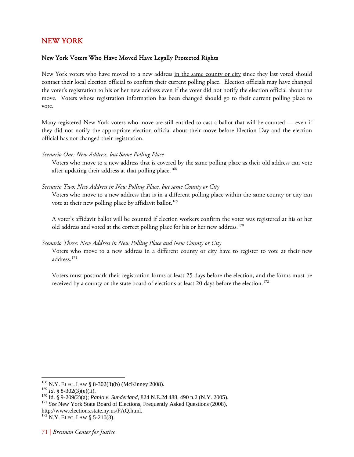# NEW YORK

## New York Voters Who Have Moved Have Legally Protected Rights

New York voters who have moved to a new address in the same county or city since they last voted should contact their local election official to confirm their current polling place. Election officials may have changed the voter's registration to his or her new address even if the voter did not notify the election official about the move. Voters whose registration information has been changed should go to their current polling place to vote.

Many registered New York voters who move are still entitled to cast a ballot that will be counted — even if they did not notify the appropriate election official about their move before Election Day and the election official has not changed their registration.

#### *Scenario One: New Address, but Same Polling Place*

Voters who move to a new address that is covered by the same polling place as their old address can vote after updating their address at that polling place.<sup>[168](#page-75-0)</sup>

## *Scenario Two: New Address in New Polling Place, but same County or City*

Voters who move to a new address that is in a different polling place within the same county or city can vote at their new polling place by affidavit ballot.<sup>[169](#page-75-1)</sup>

A voter's affidavit ballot will be counted if election workers confirm the voter was registered at his or her old address and voted at the correct polling place for his or her new address.<sup>[170](#page-75-2)</sup>

## *Scenario Three: New Address in New Polling Place and New County or City*

Voters who move to a new address in a different county or city have to register to vote at their new address.[171](#page-75-3)

Voters must postmark their registration forms at least 25 days before the election, and the forms must be received by a county or the state board of elections at least 20 days before the election.<sup>[172](#page-75-4)</sup>

<sup>168</sup> N.Y. ELEC. LAW § 8-302(3)(b) (McKinney 2008).

<span id="page-75-3"></span>

<span id="page-75-2"></span><span id="page-75-1"></span><span id="page-75-0"></span><sup>&</sup>lt;sup>169</sup> *Id.* § 8-302(3)(e)(ii).<br><sup>170</sup> Id. § 9-209(2)(a); *Panio v. Sunderland*, 824 N.E.2d 488, 490 n.2 (N.Y. 2005).<br><sup>171</sup> *See* New York State Board of Elections, Frequently Asked Questions (2008), http://www.elections.state.ny.us/FAQ.html.<br><sup>172</sup> N.Y. ELEC. LAW § 5-210(3).

<span id="page-75-4"></span>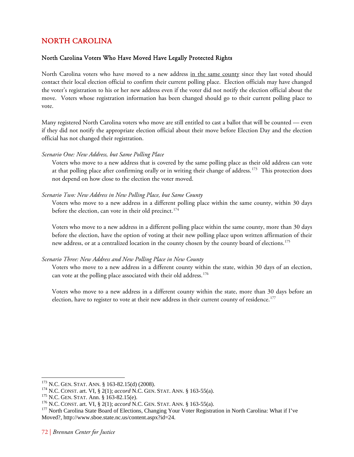# NORTH CAROLINA

## North Carolina Voters Who Have Moved Have Legally Protected Rights

North Carolina voters who have moved to a new address in the same county since they last voted should contact their local election official to confirm their current polling place. Election officials may have changed the voter's registration to his or her new address even if the voter did not notify the election official about the move. Voters whose registration information has been changed should go to their current polling place to vote.

Many registered North Carolina voters who move are still entitled to cast a ballot that will be counted — even if they did not notify the appropriate election official about their move before Election Day and the election official has not changed their registration.

## *Scenario One: New Address, but Same Polling Place*

Voters who move to a new address that is covered by the same polling place as their old address can vote at that polling place after confirming orally or in writing their change of address.<sup>[173](#page-76-0)</sup> This protection does not depend on how close to the election the voter moved.

## *Scenario Two: New Address in New Polling Place, but Same County*

Voters who move to a new address in a different polling place within the same county, within 30 days before the election, can vote in their old precinct.<sup>[174](#page-76-1)</sup>

Voters who move to a new address in a different polling place within the same county, more than 30 days before the election, have the option of voting at their new polling place upon written affirmation of their new address, or at a centralized location in the county chosen by the county board of elections.<sup>[175](#page-76-2)</sup>

## *Scenario Three: New Address and New Polling Place in New County*

Voters who move to a new address in a different county within the state, within 30 days of an election, can vote at the polling place associated with their old address.<sup>[176](#page-76-3)</sup>

Voters who move to a new address in a different county within the state, more than 30 days before an election, have to register to vote at their new address in their current county of residence.<sup>[177](#page-76-4)</sup>

<span id="page-76-0"></span><sup>&</sup>lt;sup>173</sup> N.C. GEN. STAT. ANN. § 163-82.15(d) (2008).

<span id="page-76-4"></span><span id="page-76-3"></span>

<span id="page-76-2"></span><span id="page-76-1"></span><sup>&</sup>lt;sup>174</sup> N.C. CONST. art. VI, § 2(1); *accord* N.C. GEN. STAT. ANN. § 163-55(a).<br><sup>175</sup> N.C. GEN. STAT. Ann. § 163-82.15(e).<br><sup>176</sup> N.C. CONST. art. VI, § 2(1); *accord* N.C. GEN. STAT. ANN. § 163-55(a).<br><sup>176</sup> N.C. CONST. art. Moved?, http://www.sboe.state.nc.us/content.aspx?id=24.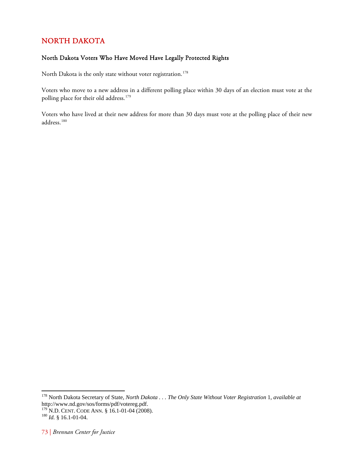# NORTH DAKOTA

## North Dakota Voters Who Have Moved Have Legally Protected Rights

North Dakota is the only state without voter registration.<sup>[178](#page-77-0)</sup>

Voters who move to a new address in a different polling place within 30 days of an election must vote at the polling place for their old address.<sup>[179](#page-77-1)</sup>

Voters who have lived at their new address for more than 30 days must vote at the polling place of their new address.[180](#page-77-2)

<span id="page-77-0"></span><sup>178</sup> North Dakota Secretary of State, *North Dakota . . . The Only State Without Voter Registration* 1, *available at* http://www.nd.gov/sos/forms/pdf/votereg.pdf.

<span id="page-77-1"></span><sup>179</sup> N.D. CENT. CODE ANN. § 16.1-01-04 (2008). 180 *Id.* § 16.1-01-04.

<span id="page-77-2"></span>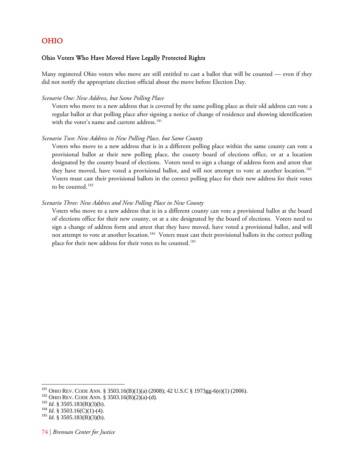# OHIO

## Ohio Voters Who Have Moved Have Legally Protected Rights

Many registered Ohio voters who move are still entitled to cast a ballot that will be counted — even if they did not notify the appropriate election official about the move before Election Day.

### *Scenario One: New Address, but Same Polling Place*

Voters who move to a new address that is covered by the same polling place as their old address can vote a regular ballot at that polling place after signing a notice of change of residence and showing identification with the voter's name and current address.<sup>[181](#page-78-0)</sup>

#### *Scenario Two: New Address in New Polling Place, but Same County*

Voters who move to a new address that is in a different polling place within the same county can vote a provisional ballot at their new polling place, the county board of elections office, or at a location designated by the county board of elections. Voters need to sign a change of address form and attest that they have moved, have voted a provisional ballot, and will not attempt to vote at another location.<sup>[182](#page-78-1)</sup> Voters must cast their provisional ballots in the correct polling place for their new address for their votes to be counted.<sup>[183](#page-78-2)</sup>

#### *Scenario Three: New Address and New Polling Place in New County*

Voters who move to a new address that is in a different county can vote a provisional ballot at the board of elections office for their new county, or at a site designated by the board of elections. Voters need to sign a change of address form and attest that they have moved, have voted a provisional ballot, and will not attempt to vote at another location.<sup>[184](#page-78-3)</sup> Voters must cast their provisional ballots in the correct polling place for their new address for their votes to be counted.<sup>[185](#page-78-4)</sup>

<span id="page-78-1"></span><span id="page-78-0"></span><sup>&</sup>lt;sup>181</sup> OHIO REV. CODE ANN. § 3503.16(B)(1)(a) (2008); 42 U.S.C § 1973gg-6(e)(1) (2006).<br><sup>182</sup> OHIO REV. CODE ANN. § 3503.16(B)(2)(a)-(d).<br><sup>183</sup> Id. § 3505.183(B)(3)(b).<br><sup>184</sup> Id. § 3503.16(C)(1)-(4).<br><sup>184</sup> Id. § 3505.183(B

<span id="page-78-2"></span>

<span id="page-78-3"></span>

<span id="page-78-4"></span>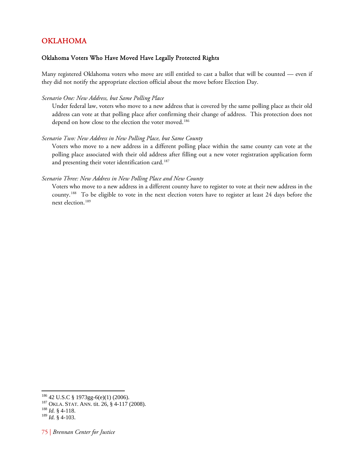# OKLAHOMA

## Oklahoma Voters Who Have Moved Have Legally Protected Rights

Many registered Oklahoma voters who move are still entitled to cast a ballot that will be counted — even if they did not notify the appropriate election official about the move before Election Day.

#### *Scenario One: New Address, but Same Polling Place*

Under federal law, voters who move to a new address that is covered by the same polling place as their old address can vote at that polling place after confirming their change of address. This protection does not depend on how close to the election the voter moved.<sup>[186](#page-79-0)</sup>

#### *Scenario Two: New Address in New Polling Place, but Same County*

Voters who move to a new address in a different polling place within the same county can vote at the polling place associated with their old address after filling out a new voter registration application form and presenting their voter identification card.<sup>[187](#page-79-1)</sup>

#### *Scenario Three: New Address in New Polling Place and New County*

Voters who move to a new address in a different county have to register to vote at their new address in the county.[188](#page-79-2) To be eligible to vote in the next election voters have to register at least 24 days before the next election. 189

<span id="page-79-0"></span><sup>186 42</sup> U.S.C § 1973gg-6(e)(1) (2006). 187 OKLA. STAT. ANN. tit. 26, § 4-117 (2008). 188 *Id.* § 4-118.

<span id="page-79-2"></span><span id="page-79-1"></span> $\frac{188}{189}$  *Id.* § 4-118.<br><sup>189</sup> *Id.* § 4-103.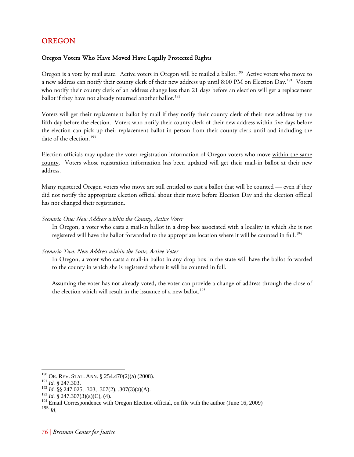# OREGON

## Oregon Voters Who Have Moved Have Legally Protected Rights

Oregon is a vote by mail state. Active voters in Oregon will be mailed a ballot.<sup>[190](#page-80-0)</sup> Active voters who move to a new address can notify their county clerk of their new address up until 8:00 PM on Election Day.<sup>[191](#page-80-1)</sup> Voters who notify their county clerk of an address change less than 21 days before an election will get a replacement ballot if they have not already returned another ballot.<sup>[192](#page-80-2)</sup>

Voters will get their replacement ballot by mail if they notify their county clerk of their new address by the fifth day before the election. Voters who notify their county clerk of their new address within five days before the election can pick up their replacement ballot in person from their county clerk until and including the date of the election.<sup>[193](#page-80-3)</sup>

Election officials may update the voter registration information of Oregon voters who move within the same county. Voters whose registration information has been updated will get their mail-in ballot at their new address.

Many registered Oregon voters who move are still entitled to cast a ballot that will be counted — even if they did not notify the appropriate election official about their move before Election Day and the election official has not changed their registration.

## *Scenario One: New Address within the County, Active Voter*

In Oregon, a voter who casts a mail-in ballot in a drop box associated with a locality in which she is not registered will have the ballot forwarded to the appropriate location where it will be counted in full.<sup>[194](#page-80-4)</sup>

#### *Scenario Two: New Address within the State, Active Voter*

In Oregon, a voter who casts a mail-in ballot in any drop box in the state will have the ballot forwarded to the county in which she is registered where it will be counted in full.

Assuming the voter has not already voted, the voter can provide a change of address through the close of the election which will result in the issuance of a new ballot.<sup>[195](#page-80-5)</sup>

 $190$  Or. Rev. Stat. Ann. § 254.470(2)(a) (2008).

<span id="page-80-1"></span><span id="page-80-0"></span><sup>191</sup> *Id.* § 247.303.

<span id="page-80-2"></span><sup>192</sup> *Id.* §§ 247.025, .303, .307(2), .307(3)(a)(A).

<span id="page-80-3"></span><sup>193</sup> *Id.* § 247.307(3)(a)(C), (4).

<sup>&</sup>lt;sup>194</sup> Email Correspondence with Oregon Election official, on file with the author (June 16, 2009)

<span id="page-80-5"></span><span id="page-80-4"></span><sup>195</sup> *Id.*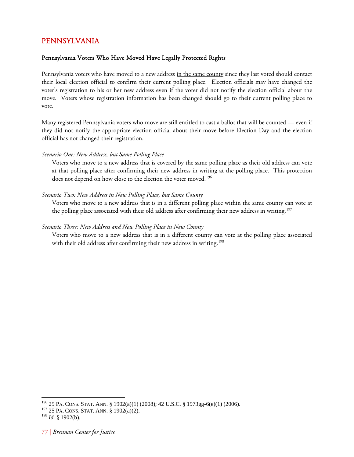# PENNSYLVANIA

## Pennsylvania Voters Who Have Moved Have Legally Protected Rights

Pennsylvania voters who have moved to a new address in the same county since they last voted should contact their local election official to confirm their current polling place. Election officials may have changed the voter's registration to his or her new address even if the voter did not notify the election official about the move. Voters whose registration information has been changed should go to their current polling place to vote.

Many registered Pennsylvania voters who move are still entitled to cast a ballot that will be counted — even if they did not notify the appropriate election official about their move before Election Day and the election official has not changed their registration.

## *Scenario One: New Address, but Same Polling Place*

Voters who move to a new address that is covered by the same polling place as their old address can vote at that polling place after confirming their new address in writing at the polling place. This protection does not depend on how close to the election the voter moved.<sup>[196](#page-81-0)</sup>

## *Scenario Two: New Address in New Polling Place, but Same County*

Voters who move to a new address that is in a different polling place within the same county can vote at the polling place associated with their old address after confirming their new address in writing.<sup>[197](#page-81-1)</sup>

### *Scenario Three: New Address and New Polling Place in New County*

Voters who move to a new address that is in a different county can vote at the polling place associated with their old address after confirming their new address in writing.<sup>[198](#page-81-2)</sup>

<span id="page-81-0"></span><sup>196 25</sup> PA. CONS. STAT. ANN. § 1902(a)(1) (2008); 42 U.S.C. § 1973gg-6(e)(1) (2006).

<span id="page-81-1"></span> $197$  25 PA. CONS. STAT. ANN. § 1902(a)(2).

<span id="page-81-2"></span><sup>198</sup> *Id.* § 1902(b).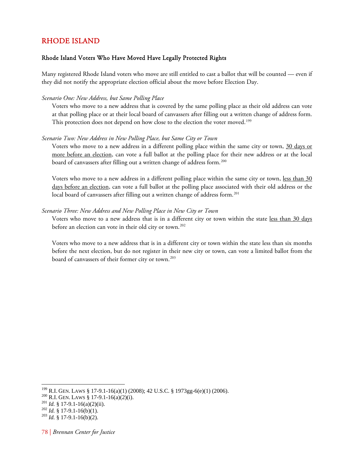## RHODE ISLAND

## Rhode Island Voters Who Have Moved Have Legally Protected Rights

Many registered Rhode Island voters who move are still entitled to cast a ballot that will be counted — even if they did not notify the appropriate election official about the move before Election Day.

### *Scenario One: New Address, but Same Polling Place*

Voters who move to a new address that is covered by the same polling place as their old address can vote at that polling place or at their local board of canvassers after filling out a written change of address form. This protection does not depend on how close to the election the voter moved.<sup>[199](#page-82-0)</sup>

#### *Scenario Two: New Address in New Polling Place, but Same City or Town*

Voters who move to a new address in a different polling place within the same city or town, 30 days or more before an election, can vote a full ballot at the polling place for their new address or at the local board of canvassers after filling out a written change of address form.<sup>[200](#page-82-1)</sup>

Voters who move to a new address in a different polling place within the same city or town, less than 30 days before an election, can vote a full ballot at the polling place associated with their old address or the local board of canvassers after filling out a written change of address form.<sup>[201](#page-82-2)</sup>

#### *Scenario Three: New Address and New Polling Place in New City or Town*

Voters who move to a new address that is in a different city or town within the state less than 30 days before an election can vote in their old city or town.<sup>[202](#page-82-3)</sup>

Voters who move to a new address that is in a different city or town within the state less than six months before the next election, but do not register in their new city or town, can vote a limited ballot from the board of canvassers of their former city or town.<sup>[203](#page-82-4)</sup>

<span id="page-82-2"></span>

<span id="page-82-1"></span><span id="page-82-0"></span><sup>&</sup>lt;sup>199</sup> R.I. GEN. LAWS § 17-9.1-16(a)(1) (2008); 42 U.S.C. § 1973gg-6(e)(1) (2006).<br><sup>200</sup> R.I. GEN. LAWS § 17-9.1-16(a)(2)(i).<br><sup>201</sup> Id. § 17-9.1-16(a)(2)(ii).<br><sup>202</sup> Id. § 17-9.1-16(b)(1).<br><sup>202</sup> Id. § 17-9.1-16(b)(2).

<span id="page-82-3"></span>

<span id="page-82-4"></span>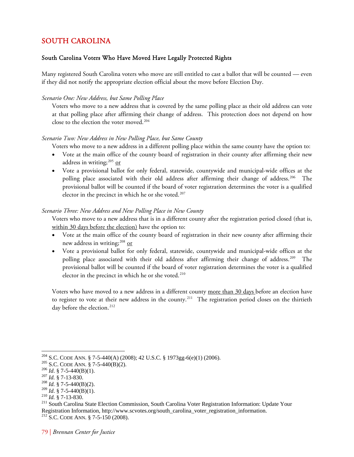# SOUTH CAROLINA

## South Carolina Voters Who Have Moved Have Legally Protected Rights

Many registered South Carolina voters who move are still entitled to cast a ballot that will be counted — even if they did not notify the appropriate election official about the move before Election Day.

## *Scenario One: New Address, but Same Polling Place*

Voters who move to a new address that is covered by the same polling place as their old address can vote at that polling place after affirming their change of address. This protection does not depend on how close to the election the voter moved.<sup>[204](#page-83-0)</sup>

## *Scenario Two: New Address in New Polling Place, but Same County*

Voters who move to a new address in a different polling place within the same county have the option to:

- Vote at the main office of the county board of registration in their county after affirming their new address in writing; $^{205}$  $^{205}$  $^{205}$  or
- Vote a provisional ballot for only federal, statewide, countywide and municipal-wide offices at the polling place associated with their old address after affirming their change of address.<sup>[206](#page-83-2)</sup> The provisional ballot will be counted if the board of voter registration determines the voter is a qualified elector in the precinct in which he or she voted.<sup>[207](#page-83-3)</sup>

## *Scenario Three: New Address and New Polling Place in New County*

Voters who move to a new address that is in a different county after the registration period closed (that is, within 30 days before the election) have the option to:

- Vote at the main office of the county board of registration in their new county after affirming their new address in writing;<sup>[208](#page-83-4)</sup> or
- Vote a provisional ballot for only federal, statewide, countywide and municipal-wide offices at the polling place associated with their old address after affirming their change of address.<sup>[209](#page-83-5)</sup> The provisional ballot will be counted if the board of voter registration determines the voter is a qualified elector in the precinct in which he or she voted.<sup>[210](#page-83-6)</sup>

Voters who have moved to a new address in a different county more than 30 days before an election have to register to vote at their new address in the county.<sup>[211](#page-83-7)</sup> The registration period closes on the thirtieth day before the election. 212

<span id="page-83-1"></span><span id="page-83-0"></span><sup>&</sup>lt;sup>204</sup> S.C. CODE ANN. § 7-5-440(A) (2008); 42 U.S.C. § 1973gg-6(e)(1) (2006).<br><sup>206</sup> S.C. CODE ANN. § 7-5-440(B)(2).<br><sup>206</sup> *Id.* § 7-5-440(B)(1).<br><sup>207</sup> *Id.* § 7-5-440(B)(2).<br><sup>208</sup> *Id.* § 7-5-440(B)(2).<br><sup>209</sup> *Id.* § 7-5-44

<span id="page-83-2"></span>

<span id="page-83-3"></span>

<span id="page-83-4"></span>

<span id="page-83-7"></span><span id="page-83-6"></span><span id="page-83-5"></span><sup>&</sup>lt;sup>210</sup> *Id.* § 7-13-830.<br><sup>211</sup> South Carolina State Election Commission, South Carolina Voter Registration Information: Update Your Registration Information, http://www.scvotes.org/south\_carolina\_voter\_registration\_information. <sup>212</sup> S.C. CODE ANN. § 7-5-150 (2008).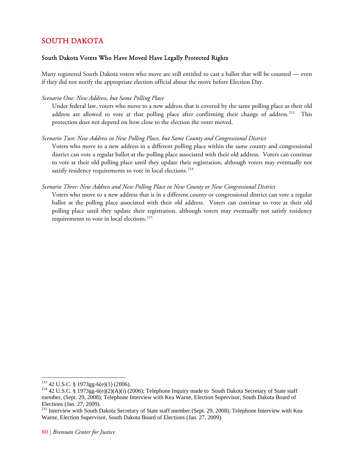# SOUTH DAKOTA

## South Dakota Voters Who Have Moved Have Legally Protected Rights

Many registered South Dakota voters who move are still entitled to cast a ballot that will be counted — even if they did not notify the appropriate election official about the move before Election Day.

## *Scenario One: New Address, but Same Polling Place*

Under federal law, voters who move to a new address that is covered by the same polling place as their old address are allowed to vote at that polling place after confirming their change of address.<sup>[213](#page-84-0)</sup> This protection does not depend on how close to the election the voter moved.

## *Scenario Two: New Address in New Polling Place, but Same County and Congressional District*

Voters who move to a new address in a different polling place within the same county and congressional district can vote a regular ballot at the polling place associated with their old address. Voters can continue to vote at their old polling place until they update their registration, although voters may eventually not satisfy residency requirements to vote in local elections.<sup>[214](#page-84-1)</sup>

## *Scenario Three: New Address and New Polling Place in New County or New Congressional District*

Voters who move to a new address that is in a different county or congressional district can vote a regular ballot at the polling place associated with their old address. Voters can continue to vote at their old polling place until they update their registration, although voters may eventually not satisfy residency requirements to vote in local elections.<sup>[215](#page-84-2)</sup>

<span id="page-84-0"></span><sup>&</sup>lt;sup>213</sup> 42 U.S.C. § 1973gg-6(e)(1) (2006).

<span id="page-84-1"></span><sup>&</sup>lt;sup>214</sup> 42 U.S.C. § 1973gg-6(e)(2)(A)(i) (2006); Telephone Inquiry made to South Dakota Secretary of State staff member, (Sept. 29, 2008); Telephone Interview with Kea Warne, Election Supervisor, South Dakota Board of Elections (Jan. 27, 2009).

<span id="page-84-2"></span><sup>&</sup>lt;sup>215</sup> Interview with South Dakota Secretary of State staff member (Sept. 29, 2008); Telephone Interview with Kea Warne, Election Supervisor, South Dakota Board of Elections (Jan. 27, 2009).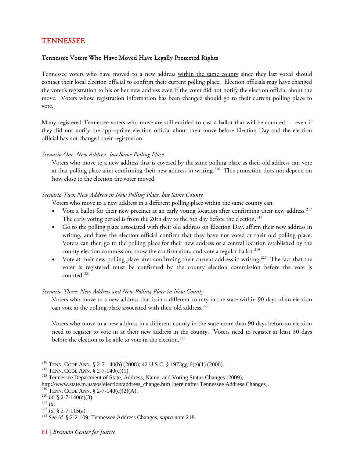# TENNESSEE

## Tennessee Voters Who Have Moved Have Legally Protected Rights

Tennessee voters who have moved to a new address within the same county since they last voted should contact their local election official to confirm their current polling place. Election officials may have changed the voter's registration to his or her new address even if the voter did not notify the election official about the move. Voters whose registration information has been changed should go to their current polling place to vote.

Many registered Tennessee voters who move are still entitled to cast a ballot that will be counted — even if they did not notify the appropriate election official about their move before Election Day and the election official has not changed their registration.

## *Scenario One: New Address, but Same Polling Place*

Voters who move to a new address that is covered by the same polling place as their old address can vote at that polling place after confirming their new address in writing.<sup>[216](#page-85-0)</sup> This protection does not depend on how close to the election the voter moved.

## *Scenario Two: New Address in New Polling Place, but Same County*

Voters who move to a new address in a different polling place within the same county can:

- Vote a ballot for their new precinct at an early voting location after confirming their new address.<sup>[217](#page-85-1)</sup> The early voting period is from the 20th day to the 5th day before the election.<sup>[218](#page-85-2)</sup>
- Go to the polling place associated with their old address on Election Day, affirm their new address in writing, and have the election official confirm that they have not voted at their old polling place. Voters can then go to the polling place for their new address or a central location established by the county election commission, show the confirmation, and vote a regular ballot.<sup>[219](#page-85-3)</sup>
- Vote at their new polling place after confirming their current address in writing.<sup>[220](#page-85-4)</sup> The fact that the voter is registered must be confirmed by the county election commission before the vote is counted. [221](#page-85-5)

## *Scenario Three: New Address and New Polling Place in New County*

Voters who move to a new address that is in a different county in the state within 90 days of an election can vote at the polling place associated with their old address.<sup>[222](#page-85-6)</sup>

Voters who move to a new address in a different county in the state more than 90 days before an election need to register to vote in at their new address in the county. Voters need to register at least 30 days before the election to be able to vote in the election.<sup>[223](#page-85-7)</sup>

- 
- 

<span id="page-85-0"></span>

<span id="page-85-1"></span>

<sup>&</sup>lt;sup>216</sup> TENN. CODE ANN. § 2-7-140(b) (2008); 42 U.S.C. § 1973gg-6(e)(1) (2006).<br><sup>217</sup> TENN. CODE ANN. § 2-7-140(c)(1).<br><sup>218</sup> Tennessee Department of State, Address, Name, and Voting Status Changes (2009),

<span id="page-85-2"></span>http://www.state.tn.us/sos/election/address\_change.htm [hereinafter Tennessee Address Changes].<br><sup>219</sup> TENN. CODE ANN. § 2-7-140(c)(2)(A).

<span id="page-85-7"></span><span id="page-85-6"></span>

<span id="page-85-5"></span><span id="page-85-4"></span><span id="page-85-3"></span><sup>&</sup>lt;sup>220</sup> *Id.* § 2-7-140(c)(3).<br><sup>221</sup> *Id.* 22-7-115(a). <sup>222</sup> *See id.* § 2-2-109; Tennessee Address Changes, *supra* note 218.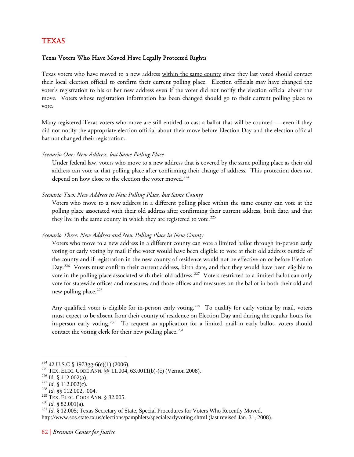## TEXAS

## Texas Voters Who Have Moved Have Legally Protected Rights

Texas voters who have moved to a new address within the same county since they last voted should contact their local election official to confirm their current polling place. Election officials may have changed the voter's registration to his or her new address even if the voter did not notify the election official about the move. Voters whose registration information has been changed should go to their current polling place to vote.

Many registered Texas voters who move are still entitled to cast a ballot that will be counted — even if they did not notify the appropriate election official about their move before Election Day and the election official has not changed their registration.

*Scenario One: New Address, but Same Polling Place* 

Under federal law, voters who move to a new address that is covered by the same polling place as their old address can vote at that polling place after confirming their change of address. This protection does not depend on how close to the election the voter moved.<sup>[224](#page-86-0)</sup>

#### *Scenario Two: New Address in New Polling Place, but Same County*

Voters who move to a new address in a different polling place within the same county can vote at the polling place associated with their old address after confirming their current address, birth date, and that they live in the same county in which they are registered to vote.<sup>[225](#page-86-1)</sup>

## *Scenario Three: New Address and New Polling Place in New County*

Voters who move to a new address in a different county can vote a limited ballot through in-person early voting or early voting by mail if the voter would have been eligible to vote at their old address outside of the county and if registration in the new county of residence would not be effective on or before Election Day.<sup>[226](#page-86-2)</sup> Voters must confirm their current address, birth date, and that they would have been eligible to vote in the polling place associated with their old address.<sup>[227](#page-86-3)</sup> Voters restricted to a limited ballot can only vote for statewide offices and measures, and those offices and measures on the ballot in both their old and new polling place.<sup>[228](#page-86-4)</sup>

Any qualified voter is eligible for in-person early voting.<sup>[229](#page-86-5)</sup> To qualify for early voting by mail, voters must expect to be absent from their county of residence on Election Day and during the regular hours for in-person early voting.<sup>[230](#page-86-6)</sup> To request an application for a limited mail-in early ballot, voters should contact the voting clerk for their new polling place.<sup>[231](#page-86-7)</sup>

<span id="page-86-0"></span><sup>&</sup>lt;sup>224</sup> 42 U.S.C § 1973gg-6(e)(1) (2006).

<span id="page-86-2"></span><span id="page-86-1"></span><sup>&</sup>lt;sup>225</sup> TEX. ELEC. CODE ANN. §§ 11.004, 63.0011(b)-(c) (Vernon 2008). <sup>225</sup> Id. § 112.002(a). <sup>228</sup> *Id.* § 112.002(c). <sup>228</sup> TEX. ELEC. CODE ANN. § 82.005.

<span id="page-86-3"></span>

<span id="page-86-4"></span>

<span id="page-86-7"></span><span id="page-86-6"></span><span id="page-86-5"></span><sup>&</sup>lt;sup>230</sup> Id. § 82.001(a).<br><sup>231</sup> Id. § 12.005; Texas Secretary of State, Special Procedures for Voters Who Recently Moved,

http://www.sos.state.tx.us/elections/pamphlets/specialearlyvoting.shtml (last revised Jan. 31, 2008).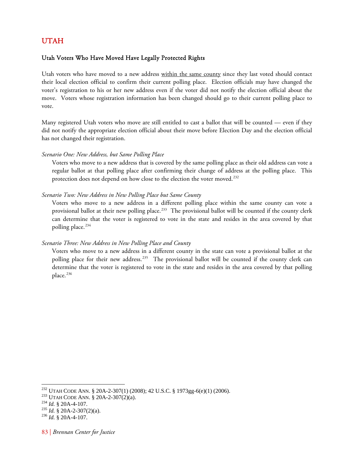## <span id="page-87-5"></span>UTAH

## Utah Voters Who Have Moved Have Legally Protected Rights

Utah voters who have moved to a new address within the same county since they last voted should contact their local election official to confirm their current polling place. Election officials may have changed the voter's registration to his or her new address even if the voter did not notify the election official about the move. Voters whose registration information has been changed should go to their current polling place to vote.

Many registered Utah voters who move are still entitled to cast a ballot that will be counted — even if they did not notify the appropriate election official about their move before Election Day and the election official has not changed their registration.

## *Scenario One: New Address, but Same Polling Place*

Voters who move to a new address that is covered by the same polling place as their old address can vote a regular ballot at that polling place after confirming their change of address at the polling place. This protection does not depend on how close to the election the voter moved.<sup>[232](#page-87-0)</sup>

#### *Scenario Two: New Address in New Polling Place but Same County*

Voters who move to a new address in a different polling place within the same county can vote a provisional ballot at their new polling place.<sup>[233](#page-87-1)</sup> The provisional ballot will be counted if the county clerk can determine that the voter is registered to vote in the state and resides in the area covered by that polling place.<sup>[234](#page-87-2)</sup>

## *Scenario Three: New Address in New Polling Place and County*

Voters who move to a new address in a different county in the state can vote a provisional ballot at the polling place for their new address.<sup>[235](#page-87-3)</sup> The provisional ballot will be counted if the county clerk can determine that the voter is registered to vote in the state and resides in the area covered by that polling place.<sup>[236](#page-87-4)</sup>

<span id="page-87-1"></span><span id="page-87-0"></span><sup>&</sup>lt;sup>232</sup> UTAH CODE ANN. § 20A-2-307(1) (2008); 42 U.S.C. § 1973gg-6(e)(1) (2006).<br><sup>233</sup> UTAH CODE ANN. § 20A-2-307(2)(a).<br><sup>234</sup> *Id.* § 20A-4-107.<br><sup>236</sup> *Id.* § 20A-4-107.<br><sup>236</sup> *Id.* § 20A-4-107.

<span id="page-87-2"></span>

<span id="page-87-4"></span><span id="page-87-3"></span>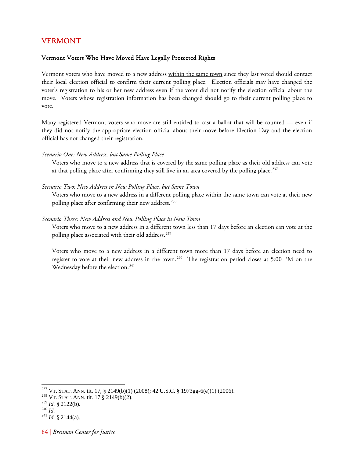# VERMONT

## Vermont Voters Who Have Moved Have Legally Protected Rights

Vermont voters who have moved to a new address within the same town since they last voted should contact their local election official to confirm their current polling place. Election officials may have changed the voter's registration to his or her new address even if the voter did not notify the election official about the move. Voters whose registration information has been changed should go to their current polling place to vote.

Many registered Vermont voters who move are still entitled to cast a ballot that will be counted — even if they did not notify the appropriate election official about their move before Election Day and the election official has not changed their registration.

#### *Scenario One: New Address, but Same Polling Place*

Voters who move to a new address that is covered by the same polling place as their old address can vote at that polling place after confirming they still live in an area covered by the polling place.<sup>[237](#page-88-0)</sup>

#### *Scenario Two: New Address in New Polling Place, but Same Town*

Voters who move to a new address in a different polling place within the same town can vote at their new polling place after confirming their new address.<sup>[238](#page-88-1)</sup>

#### *Scenario Three: New Address and New Polling Place in New Town*

Voters who move to a new address in a different town less than 17 days before an election can vote at the polling place associated with their old address.<sup>[239](#page-88-2)</sup>

Voters who move to a new address in a different town more than 17 days before an election need to register to vote at their new address in the town.<sup>[240](#page-88-3)</sup> The registration period closes at 5:00 PM on the Wednesday before the election.<sup>[241](#page-88-4)</sup>

<span id="page-88-1"></span><span id="page-88-0"></span><sup>&</sup>lt;sup>237</sup> VT. STAT. ANN. tit. 17, § 2149(b)(1) (2008); 42 U.S.C. § 1973gg-6(e)(1) (2006).<br><sup>238</sup> VT. STAT. ANN. tit. 17 § 2149(b)(2).<br><sup>239</sup> Id. § 2122(b).

<span id="page-88-4"></span><span id="page-88-3"></span><span id="page-88-2"></span><sup>239</sup> *Id.* § 2122(b). 240 *Id.* <sup>241</sup> *Id.* § 2144(a).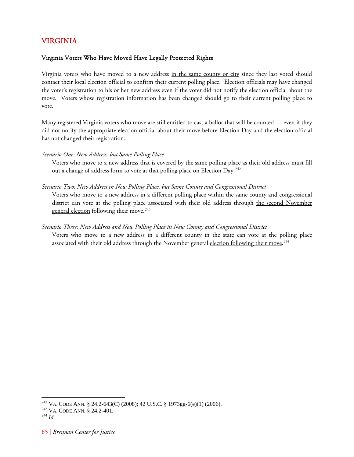# VIRGINIA

## Virginia Voters Who Have Moved Have Legally Protected Rights

Virginia voters who have moved to a new address in the same county or city since they last voted should contact their local election official to confirm their current polling place. Election officials may have changed the voter's registration to his or her new address even if the voter did not notify the election official about the move. Voters whose registration information has been changed should go to their current polling place to vote.

Many registered Virginia voters who move are still entitled to cast a ballot that will be counted — even if they did not notify the appropriate election official about their move before Election Day and the election official has not changed their registration.

## *Scenario One: New Address, but Same Polling Place*

Voters who move to a new address that is covered by the same polling place as their old address must fill out a change of address form to vote at that polling place on Election Day.<sup>[242](#page-89-0)</sup>

## *Scenario Two: New Address in New Polling Place, but Same County and Congressional District*

Voters who move to a new address in a different polling place within the same county and congressional district can vote at the polling place associated with their old address through the second November general election following their move.<sup>[243](#page-89-1)</sup>

## *Scenario Three: New Address and New Polling Place in New County and Congressional District*

Voters who move to a new address in a different county in the state can vote at the polling place associated with their old address through the November general <u>election following their move</u>.<sup>[244](#page-89-2)</sup>

<span id="page-89-0"></span><sup>&</sup>lt;sup>242</sup> VA. CODE ANN. § 24.2-643(C) (2008); 42 U.S.C. § 1973gg-6(e)(1) (2006).<br><sup>243</sup> VA. CODE ANN. § 24.2-401.<br><sup>244</sup> *Id.* 

<span id="page-89-1"></span>

<span id="page-89-2"></span>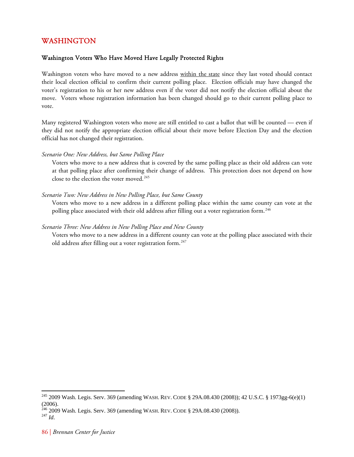# WASHINGTON

## Washington Voters Who Have Moved Have Legally Protected Rights

Washington voters who have moved to a new address within the state since they last voted should contact their local election official to confirm their current polling place. Election officials may have changed the voter's registration to his or her new address even if the voter did not notify the election official about the move. Voters whose registration information has been changed should go to their current polling place to vote.

Many registered Washington voters who move are still entitled to cast a ballot that will be counted — even if they did not notify the appropriate election official about their move before Election Day and the election official has not changed their registration.

#### *Scenario One: New Address, but Same Polling Place*

Voters who move to a new address that is covered by the same polling place as their old address can vote at that polling place after confirming their change of address. This protection does not depend on how close to the election the voter moved.<sup>[245](#page-90-0)</sup>

## *Scenario Two: New Address in New Polling Place, but Same County*

Voters who move to a new address in a different polling place within the same county can vote at the polling place associated with their old address after filling out a voter registration form.<sup>[246](#page-90-1)</sup>

#### *Scenario Three: New Address in New Polling Place and New County*

Voters who move to a new address in a different county can vote at the polling place associated with their old address after filling out a voter registration form.<sup>[247](#page-90-2)</sup>

<span id="page-90-0"></span><sup>245 2009</sup> Wash. Legis. Serv. 369 (amending WASH. REV. CODE § 29A.08.430 (2008)); 42 U.S.C. § 1973gg-6(e)(1) (2006).

<span id="page-90-1"></span><sup>&</sup>lt;sup>246</sup> 2009 Wash. Legis. Serv. 369 (amending WASH. REV. CODE § 29A.08.430 (2008)).<br><sup>247</sup> *Id* 

<span id="page-90-2"></span>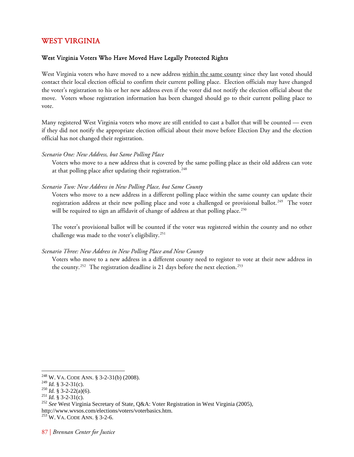# WEST VIRGINIA

## West Virginia Voters Who Have Moved Have Legally Protected Rights

West Virginia voters who have moved to a new address within the same county since they last voted should contact their local election official to confirm their current polling place. Election officials may have changed the voter's registration to his or her new address even if the voter did not notify the election official about the move. Voters whose registration information has been changed should go to their current polling place to vote.

Many registered West Virginia voters who move are still entitled to cast a ballot that will be counted — even if they did not notify the appropriate election official about their move before Election Day and the election official has not changed their registration.

#### *Scenario One: New Address, but Same Polling Place*

Voters who move to a new address that is covered by the same polling place as their old address can vote at that polling place after updating their registration.<sup>[248](#page-91-0)</sup>

#### *Scenario Two: New Address in New Polling Place, but Same County*

Voters who move to a new address in a different polling place within the same county can update their registration address at their new polling place and vote a challenged or provisional ballot.<sup>[249](#page-91-1)</sup> The voter will be required to sign an affidavit of change of address at that polling place.<sup>[250](#page-91-2)</sup>

The voter's provisional ballot will be counted if the voter was registered within the county and no other challenge was made to the voter's eligibility.<sup>[251](#page-91-3)</sup>

#### *Scenario Three: New Address in New Polling Place and New County*

Voters who move to a new address in a different county need to register to vote at their new address in the county.<sup>[252](#page-91-4)</sup> The registration deadline is 21 days before the next election.<sup>[253](#page-91-5)</sup>

<span id="page-91-0"></span><sup>&</sup>lt;sup>248</sup> W. VA. CODE ANN. § 3-2-31(b) (2008).<br><sup>249</sup> Id. § 3-2-31(c).

<span id="page-91-4"></span>

<span id="page-91-3"></span><span id="page-91-2"></span><span id="page-91-1"></span><sup>&</sup>lt;sup>250</sup> *Id.* § 3-2-22(a)(6).<br><sup>251</sup> *Id.* § 3-2-31(c).<br><sup>252</sup> *See* West Virginia Secretary of State, Q&A: Voter Registration in West Virginia (2005), http://www.wvsos.com/elections/voters/voterbasics.htm. 253 W. VA. CODE ANN. § 3-2-6.

<span id="page-91-5"></span>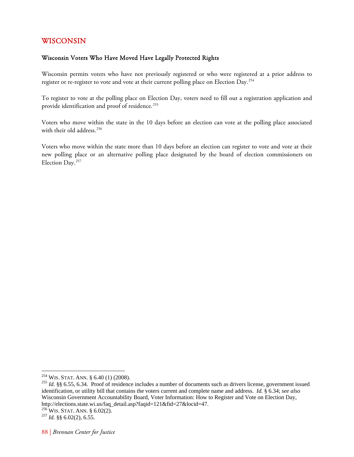# WISCONSIN

## Wisconsin Voters Who Have Moved Have Legally Protected Rights

Wisconsin permits voters who have not previously registered or who were registered at a prior address to register or re-register to vote and vote at their current polling place on Election Day.<sup>[254](#page-92-0)</sup>

To register to vote at the polling place on Election Day, voters need to fill out a registration application and provide identification and proof of residence.<sup>[255](#page-92-1)</sup>

Voters who move within the state in the 10 days before an election can vote at the polling place associated with their old address.<sup>[256](#page-92-2)</sup>

Voters who move within the state more than 10 days before an election can register to vote and vote at their new polling place or an alternative polling place designated by the board of election commissioners on Election Day.[257](#page-92-3)

<span id="page-92-1"></span><span id="page-92-0"></span><sup>254</sup> WIS. STAT. ANN. § 6.40 (1) (2008). 255 *Id.* §§ 6.55, 6.34. Proof of residence includes a number of documents such as drivers license, government issued identification, or utility bill that contains the voters current and complete name and address. *Id.* § 6.34; *see also* Wisconsin Government Accountability Board, Voter Information: How to Register and Vote on Election Day, http://elections.state.wi.us/faq\_detail.asp?faqid=121&fid=27&locid=47.

<span id="page-92-3"></span><span id="page-92-2"></span><sup>256</sup> WIS. STAT. ANN. § 6.02(2). 257 *Id.* §§ 6.02(2), 6.55.